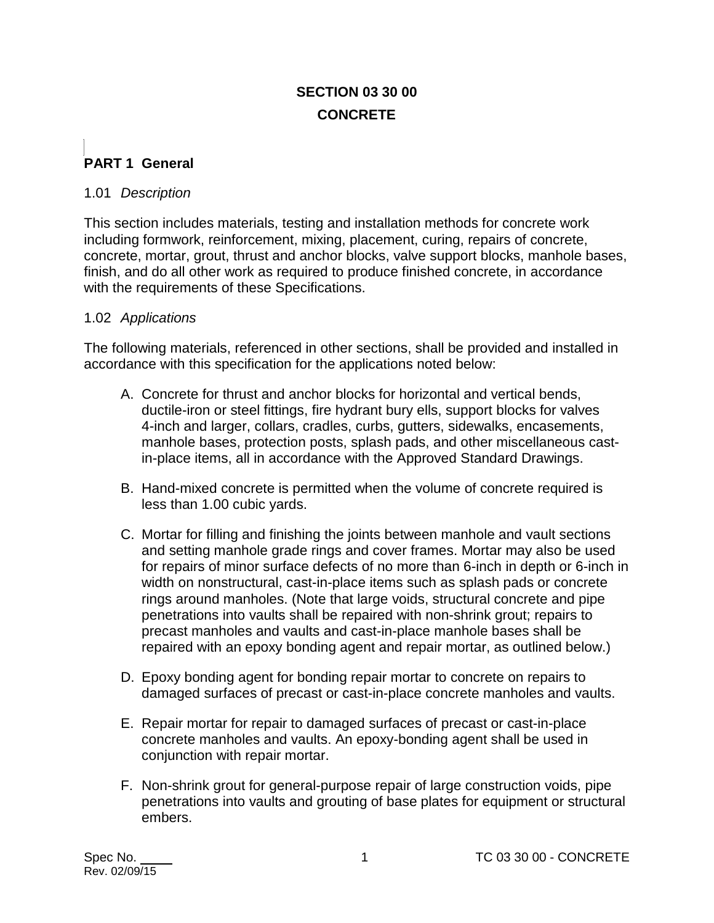# **SECTION 03 30 00 CONCRETE**

# **PART 1 General**

## 1.01 *Description*

This section includes materials, testing and installation methods for concrete work including formwork, reinforcement, mixing, placement, curing, repairs of concrete, concrete, mortar, grout, thrust and anchor blocks, valve support blocks, manhole bases, finish, and do all other work as required to produce finished concrete, in accordance with the requirements of these Specifications.

## 1.02 *Applications*

The following materials, referenced in other sections, shall be provided and installed in accordance with this specification for the applications noted below:

- A. Concrete for thrust and anchor blocks for horizontal and vertical bends, ductile-iron or steel fittings, fire hydrant bury ells, support blocks for valves 4-inch and larger, collars, cradles, curbs, gutters, sidewalks, encasements, manhole bases, protection posts, splash pads, and other miscellaneous castin-place items, all in accordance with the Approved Standard Drawings.
- B. Hand-mixed concrete is permitted when the volume of concrete required is less than 1.00 cubic yards.
- C. Mortar for filling and finishing the joints between manhole and vault sections and setting manhole grade rings and cover frames. Mortar may also be used for repairs of minor surface defects of no more than 6-inch in depth or 6-inch in width on nonstructural, cast-in-place items such as splash pads or concrete rings around manholes. (Note that large voids, structural concrete and pipe penetrations into vaults shall be repaired with non-shrink grout; repairs to precast manholes and vaults and cast-in-place manhole bases shall be repaired with an epoxy bonding agent and repair mortar, as outlined below.)
- D. Epoxy bonding agent for bonding repair mortar to concrete on repairs to damaged surfaces of precast or cast-in-place concrete manholes and vaults.
- E. Repair mortar for repair to damaged surfaces of precast or cast-in-place concrete manholes and vaults. An epoxy-bonding agent shall be used in conjunction with repair mortar.
- F. Non-shrink grout for general-purpose repair of large construction voids, pipe penetrations into vaults and grouting of base plates for equipment or structural embers.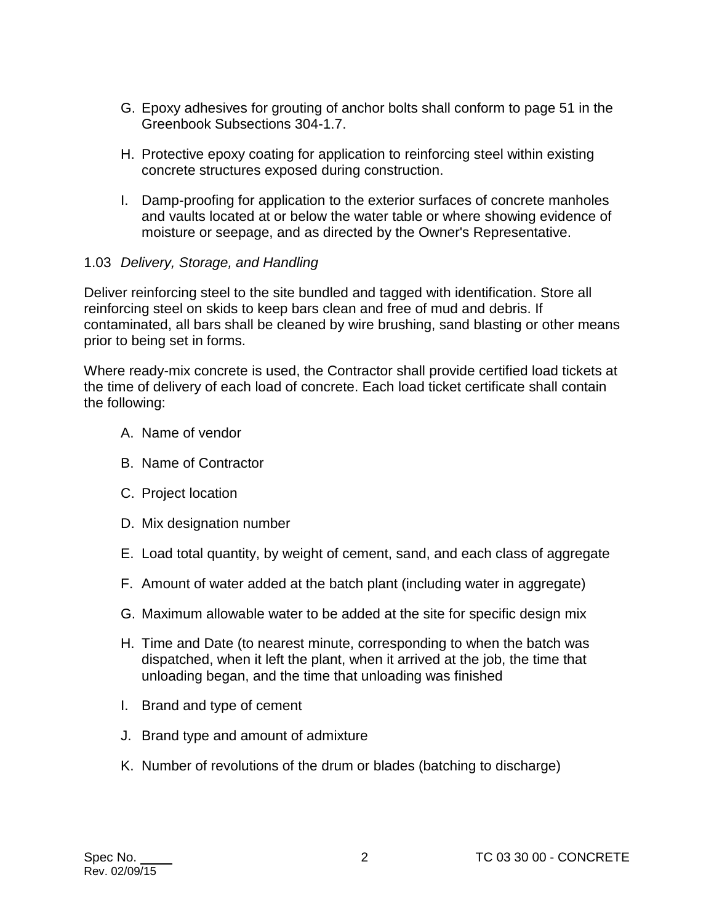- G. Epoxy adhesives for grouting of anchor bolts shall conform to page 51 in the Greenbook Subsections 304-1.7.
- H. Protective epoxy coating for application to reinforcing steel within existing concrete structures exposed during construction.
- I. Damp-proofing for application to the exterior surfaces of concrete manholes and vaults located at or below the water table or where showing evidence of moisture or seepage, and as directed by the Owner's Representative.

## 1.03 *Delivery, Storage, and Handling*

Deliver reinforcing steel to the site bundled and tagged with identification. Store all reinforcing steel on skids to keep bars clean and free of mud and debris. If contaminated, all bars shall be cleaned by wire brushing, sand blasting or other means prior to being set in forms.

Where ready-mix concrete is used, the Contractor shall provide certified load tickets at the time of delivery of each load of concrete. Each load ticket certificate shall contain the following:

- A. Name of vendor
- B. Name of Contractor
- C. Project location
- D. Mix designation number
- E. Load total quantity, by weight of cement, sand, and each class of aggregate
- F. Amount of water added at the batch plant (including water in aggregate)
- G. Maximum allowable water to be added at the site for specific design mix
- H. Time and Date (to nearest minute, corresponding to when the batch was dispatched, when it left the plant, when it arrived at the job, the time that unloading began, and the time that unloading was finished
- I. Brand and type of cement
- J. Brand type and amount of admixture
- K. Number of revolutions of the drum or blades (batching to discharge)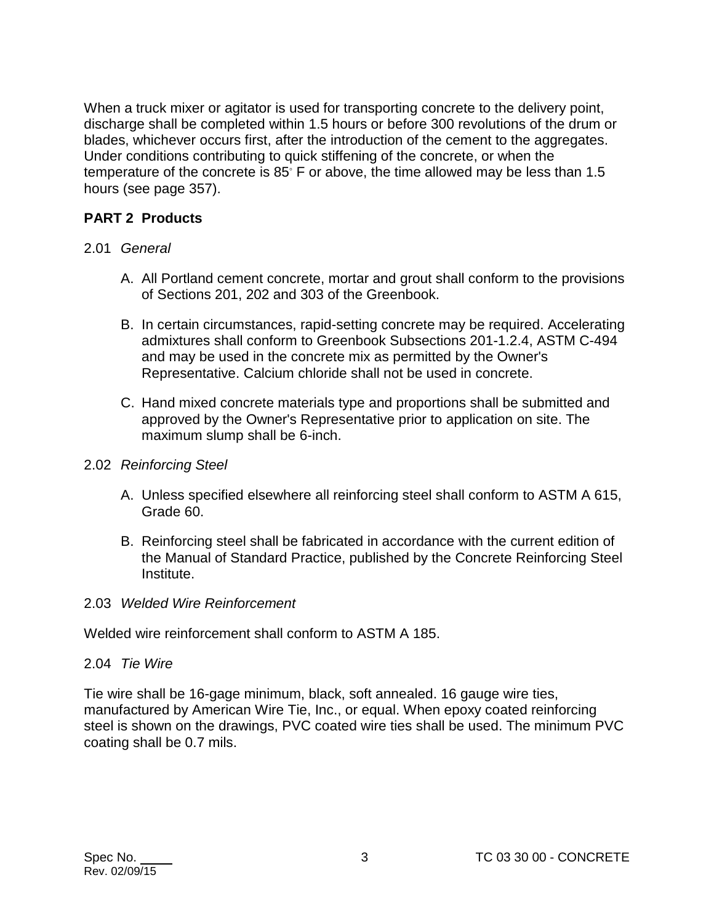When a truck mixer or agitator is used for transporting concrete to the delivery point, discharge shall be completed within 1.5 hours or before 300 revolutions of the drum or blades, whichever occurs first, after the introduction of the cement to the aggregates. Under conditions contributing to quick stiffening of the concrete, or when the temperature of the concrete is 85◦ F or above, the time allowed may be less than 1.5 hours (see page 357).

# **PART 2 Products**

#### 2.01 *General*

- A. All Portland cement concrete, mortar and grout shall conform to the provisions of Sections 201, 202 and 303 of the Greenbook.
- B. In certain circumstances, rapid-setting concrete may be required. Accelerating admixtures shall conform to Greenbook Subsections 201-1.2.4, ASTM C-494 and may be used in the concrete mix as permitted by the Owner's Representative. Calcium chloride shall not be used in concrete.
- C. Hand mixed concrete materials type and proportions shall be submitted and approved by the Owner's Representative prior to application on site. The maximum slump shall be 6-inch.

#### 2.02 *Reinforcing Steel*

- A. Unless specified elsewhere all reinforcing steel shall conform to ASTM A 615, Grade 60.
- B. Reinforcing steel shall be fabricated in accordance with the current edition of the Manual of Standard Practice, published by the Concrete Reinforcing Steel Institute.

#### 2.03 *Welded Wire Reinforcement*

Welded wire reinforcement shall conform to ASTM A 185.

#### 2.04 *Tie Wire*

Tie wire shall be 16-gage minimum, black, soft annealed. 16 gauge wire ties, manufactured by American Wire Tie, Inc., or equal. When epoxy coated reinforcing steel is shown on the drawings, PVC coated wire ties shall be used. The minimum PVC coating shall be 0.7 mils.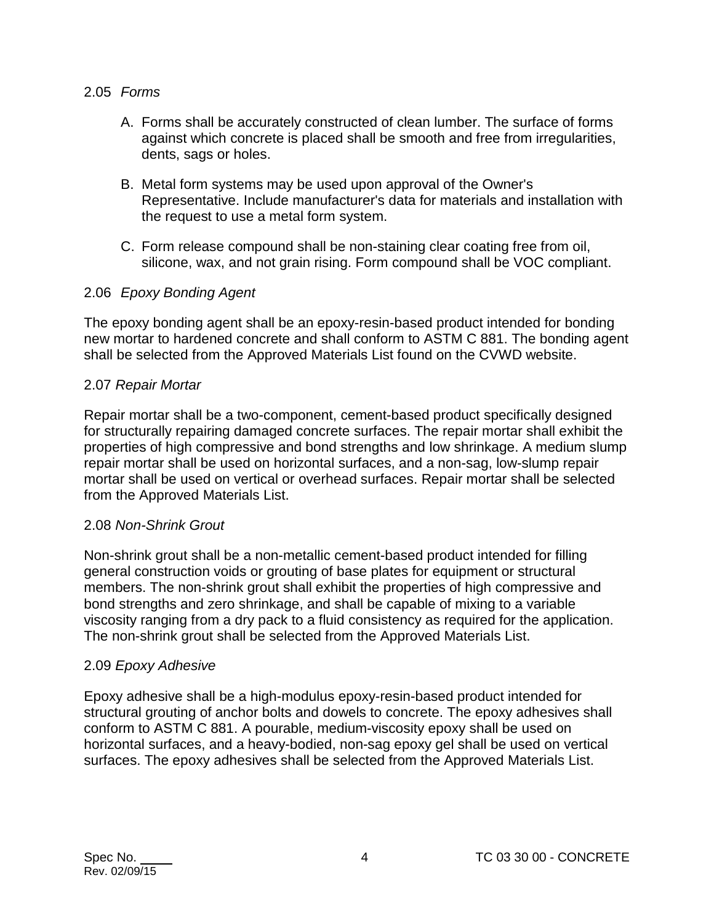#### 2.05 *Forms*

- A. Forms shall be accurately constructed of clean lumber. The surface of forms against which concrete is placed shall be smooth and free from irregularities, dents, sags or holes.
- B. Metal form systems may be used upon approval of the Owner's Representative. Include manufacturer's data for materials and installation with the request to use a metal form system.
- C. Form release compound shall be non-staining clear coating free from oil, silicone, wax, and not grain rising. Form compound shall be VOC compliant.

## 2.06 *Epoxy Bonding Agent*

The epoxy bonding agent shall be an epoxy-resin-based product intended for bonding new mortar to hardened concrete and shall conform to ASTM C 881. The bonding agent shall be selected from the Approved Materials List found on the CVWD website.

## 2.07 *Repair Mortar*

Repair mortar shall be a two-component, cement-based product specifically designed for structurally repairing damaged concrete surfaces. The repair mortar shall exhibit the properties of high compressive and bond strengths and low shrinkage. A medium slump repair mortar shall be used on horizontal surfaces, and a non-sag, low-slump repair mortar shall be used on vertical or overhead surfaces. Repair mortar shall be selected from the Approved Materials List.

## 2.08 *Non-Shrink Grout*

Non-shrink grout shall be a non-metallic cement-based product intended for filling general construction voids or grouting of base plates for equipment or structural members. The non-shrink grout shall exhibit the properties of high compressive and bond strengths and zero shrinkage, and shall be capable of mixing to a variable viscosity ranging from a dry pack to a fluid consistency as required for the application. The non-shrink grout shall be selected from the Approved Materials List.

## 2.09 *Epoxy Adhesive*

Epoxy adhesive shall be a high-modulus epoxy-resin-based product intended for structural grouting of anchor bolts and dowels to concrete. The epoxy adhesives shall conform to ASTM C 881. A pourable, medium-viscosity epoxy shall be used on horizontal surfaces, and a heavy-bodied, non-sag epoxy gel shall be used on vertical surfaces. The epoxy adhesives shall be selected from the Approved Materials List.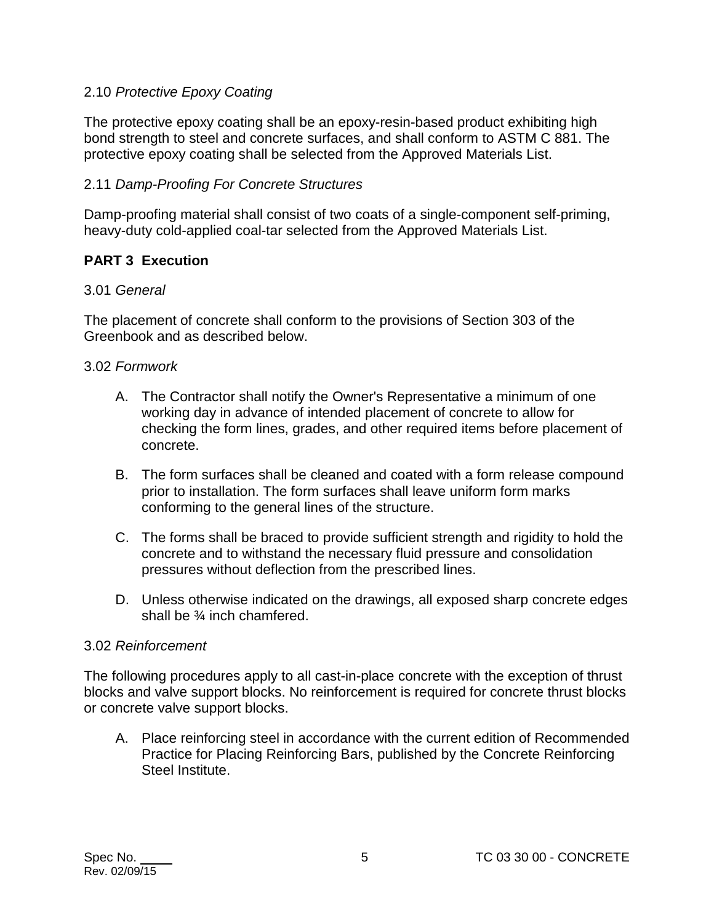## 2.10 *Protective Epoxy Coating*

The protective epoxy coating shall be an epoxy-resin-based product exhibiting high bond strength to steel and concrete surfaces, and shall conform to ASTM C 881. The protective epoxy coating shall be selected from the Approved Materials List.

## 2.11 *Damp-Proofing For Concrete Structures*

Damp-proofing material shall consist of two coats of a single-component self-priming, heavy-duty cold-applied coal-tar selected from the Approved Materials List.

## **PART 3 Execution**

#### 3.01 *General*

The placement of concrete shall conform to the provisions of Section 303 of the Greenbook and as described below.

#### 3.02 *Formwork*

- A. The Contractor shall notify the Owner's Representative a minimum of one working day in advance of intended placement of concrete to allow for checking the form lines, grades, and other required items before placement of concrete.
- B. The form surfaces shall be cleaned and coated with a form release compound prior to installation. The form surfaces shall leave uniform form marks conforming to the general lines of the structure.
- C. The forms shall be braced to provide sufficient strength and rigidity to hold the concrete and to withstand the necessary fluid pressure and consolidation pressures without deflection from the prescribed lines.
- D. Unless otherwise indicated on the drawings, all exposed sharp concrete edges shall be ¾ inch chamfered.

#### 3.02 *Reinforcement*

The following procedures apply to all cast-in-place concrete with the exception of thrust blocks and valve support blocks. No reinforcement is required for concrete thrust blocks or concrete valve support blocks.

A. Place reinforcing steel in accordance with the current edition of Recommended Practice for Placing Reinforcing Bars, published by the Concrete Reinforcing Steel Institute.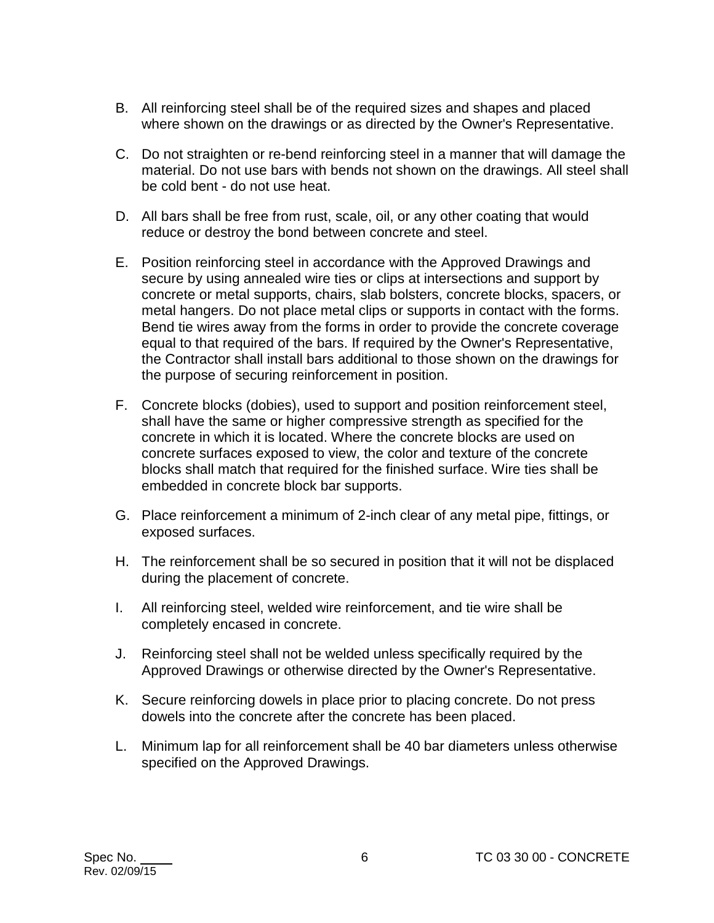- B. All reinforcing steel shall be of the required sizes and shapes and placed where shown on the drawings or as directed by the Owner's Representative.
- C. Do not straighten or re-bend reinforcing steel in a manner that will damage the material. Do not use bars with bends not shown on the drawings. All steel shall be cold bent - do not use heat.
- D. All bars shall be free from rust, scale, oil, or any other coating that would reduce or destroy the bond between concrete and steel.
- E. Position reinforcing steel in accordance with the Approved Drawings and secure by using annealed wire ties or clips at intersections and support by concrete or metal supports, chairs, slab bolsters, concrete blocks, spacers, or metal hangers. Do not place metal clips or supports in contact with the forms. Bend tie wires away from the forms in order to provide the concrete coverage equal to that required of the bars. If required by the Owner's Representative, the Contractor shall install bars additional to those shown on the drawings for the purpose of securing reinforcement in position.
- F. Concrete blocks (dobies), used to support and position reinforcement steel, shall have the same or higher compressive strength as specified for the concrete in which it is located. Where the concrete blocks are used on concrete surfaces exposed to view, the color and texture of the concrete blocks shall match that required for the finished surface. Wire ties shall be embedded in concrete block bar supports.
- G. Place reinforcement a minimum of 2-inch clear of any metal pipe, fittings, or exposed surfaces.
- H. The reinforcement shall be so secured in position that it will not be displaced during the placement of concrete.
- I. All reinforcing steel, welded wire reinforcement, and tie wire shall be completely encased in concrete.
- J. Reinforcing steel shall not be welded unless specifically required by the Approved Drawings or otherwise directed by the Owner's Representative.
- K. Secure reinforcing dowels in place prior to placing concrete. Do not press dowels into the concrete after the concrete has been placed.
- L. Minimum lap for all reinforcement shall be 40 bar diameters unless otherwise specified on the Approved Drawings.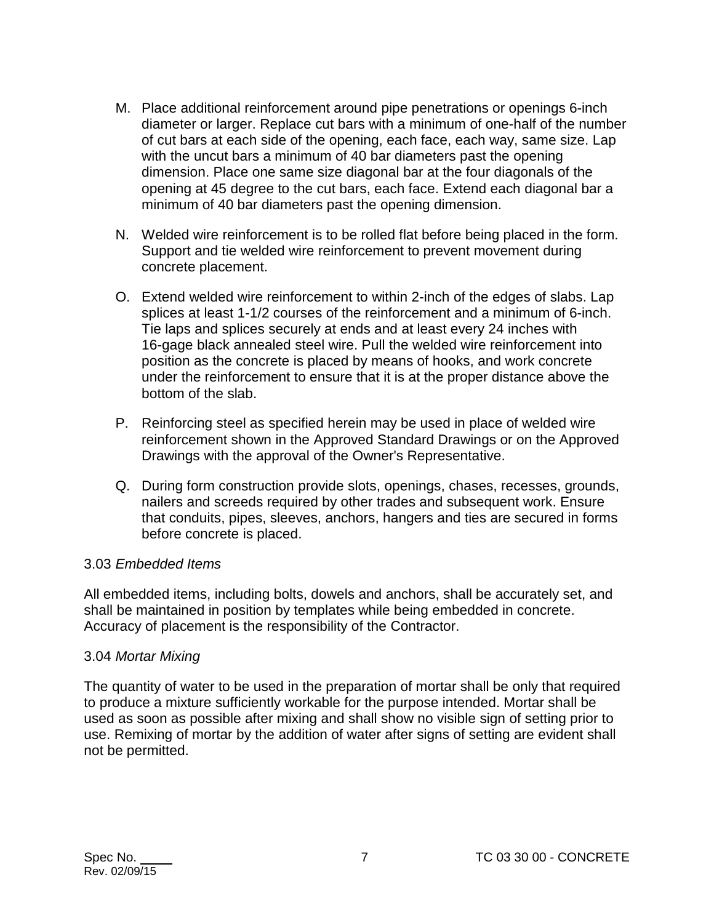- M. Place additional reinforcement around pipe penetrations or openings 6-inch diameter or larger. Replace cut bars with a minimum of one-half of the number of cut bars at each side of the opening, each face, each way, same size. Lap with the uncut bars a minimum of 40 bar diameters past the opening dimension. Place one same size diagonal bar at the four diagonals of the opening at 45 degree to the cut bars, each face. Extend each diagonal bar a minimum of 40 bar diameters past the opening dimension.
- N. Welded wire reinforcement is to be rolled flat before being placed in the form. Support and tie welded wire reinforcement to prevent movement during concrete placement.
- O. Extend welded wire reinforcement to within 2-inch of the edges of slabs. Lap splices at least 1-1/2 courses of the reinforcement and a minimum of 6-inch. Tie laps and splices securely at ends and at least every 24 inches with 16-gage black annealed steel wire. Pull the welded wire reinforcement into position as the concrete is placed by means of hooks, and work concrete under the reinforcement to ensure that it is at the proper distance above the bottom of the slab.
- P. Reinforcing steel as specified herein may be used in place of welded wire reinforcement shown in the Approved Standard Drawings or on the Approved Drawings with the approval of the Owner's Representative.
- Q. During form construction provide slots, openings, chases, recesses, grounds, nailers and screeds required by other trades and subsequent work. Ensure that conduits, pipes, sleeves, anchors, hangers and ties are secured in forms before concrete is placed.

#### 3.03 *Embedded Items*

All embedded items, including bolts, dowels and anchors, shall be accurately set, and shall be maintained in position by templates while being embedded in concrete. Accuracy of placement is the responsibility of the Contractor.

#### 3.04 *Mortar Mixing*

The quantity of water to be used in the preparation of mortar shall be only that required to produce a mixture sufficiently workable for the purpose intended. Mortar shall be used as soon as possible after mixing and shall show no visible sign of setting prior to use. Remixing of mortar by the addition of water after signs of setting are evident shall not be permitted.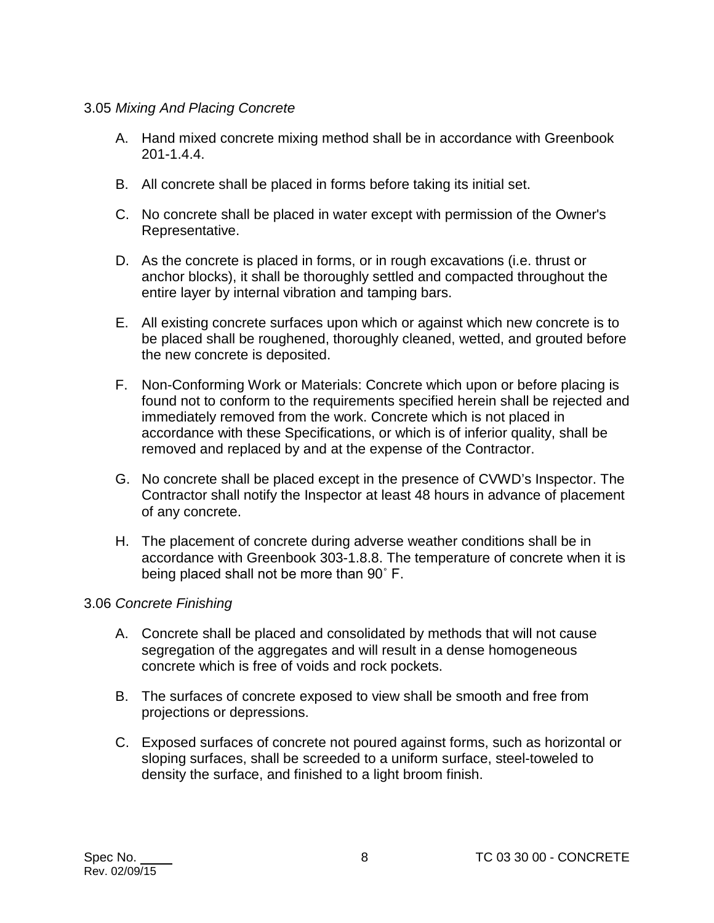#### 3.05 *Mixing And Placing Concrete*

- A. Hand mixed concrete mixing method shall be in accordance with Greenbook 201-1.4.4.
- B. All concrete shall be placed in forms before taking its initial set.
- C. No concrete shall be placed in water except with permission of the Owner's Representative.
- D. As the concrete is placed in forms, or in rough excavations (i.e. thrust or anchor blocks), it shall be thoroughly settled and compacted throughout the entire layer by internal vibration and tamping bars.
- E. All existing concrete surfaces upon which or against which new concrete is to be placed shall be roughened, thoroughly cleaned, wetted, and grouted before the new concrete is deposited.
- F. Non-Conforming Work or Materials: Concrete which upon or before placing is found not to conform to the requirements specified herein shall be rejected and immediately removed from the work. Concrete which is not placed in accordance with these Specifications, or which is of inferior quality, shall be removed and replaced by and at the expense of the Contractor.
- G. No concrete shall be placed except in the presence of CVWD's Inspector. The Contractor shall notify the Inspector at least 48 hours in advance of placement of any concrete.
- H. The placement of concrete during adverse weather conditions shall be in accordance with Greenbook 303-1.8.8. The temperature of concrete when it is being placed shall not be more than 90˚ F.

## 3.06 *Concrete Finishing*

- A. Concrete shall be placed and consolidated by methods that will not cause segregation of the aggregates and will result in a dense homogeneous concrete which is free of voids and rock pockets.
- B. The surfaces of concrete exposed to view shall be smooth and free from projections or depressions.
- C. Exposed surfaces of concrete not poured against forms, such as horizontal or sloping surfaces, shall be screeded to a uniform surface, steel-toweled to density the surface, and finished to a light broom finish.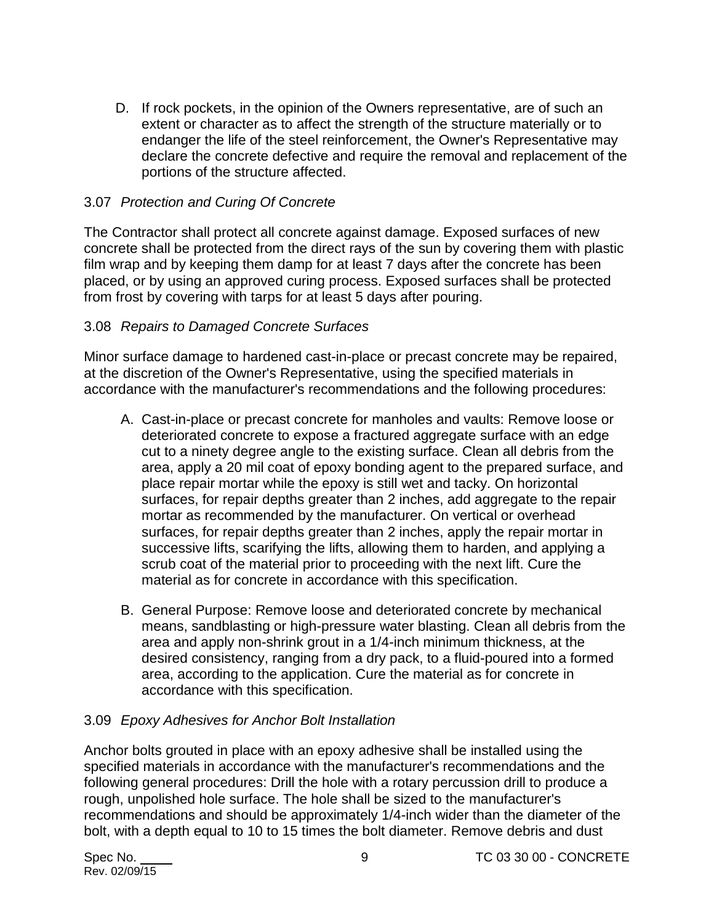D. If rock pockets, in the opinion of the Owners representative, are of such an extent or character as to affect the strength of the structure materially or to endanger the life of the steel reinforcement, the Owner's Representative may declare the concrete defective and require the removal and replacement of the portions of the structure affected.

## 3.07 *Protection and Curing Of Concrete*

The Contractor shall protect all concrete against damage. Exposed surfaces of new concrete shall be protected from the direct rays of the sun by covering them with plastic film wrap and by keeping them damp for at least 7 days after the concrete has been placed, or by using an approved curing process. Exposed surfaces shall be protected from frost by covering with tarps for at least 5 days after pouring.

#### 3.08 *Repairs to Damaged Concrete Surfaces*

Minor surface damage to hardened cast-in-place or precast concrete may be repaired, at the discretion of the Owner's Representative, using the specified materials in accordance with the manufacturer's recommendations and the following procedures:

- A. Cast-in-place or precast concrete for manholes and vaults: Remove loose or deteriorated concrete to expose a fractured aggregate surface with an edge cut to a ninety degree angle to the existing surface. Clean all debris from the area, apply a 20 mil coat of epoxy bonding agent to the prepared surface, and place repair mortar while the epoxy is still wet and tacky. On horizontal surfaces, for repair depths greater than 2 inches, add aggregate to the repair mortar as recommended by the manufacturer. On vertical or overhead surfaces, for repair depths greater than 2 inches, apply the repair mortar in successive lifts, scarifying the lifts, allowing them to harden, and applying a scrub coat of the material prior to proceeding with the next lift. Cure the material as for concrete in accordance with this specification.
- B. General Purpose: Remove loose and deteriorated concrete by mechanical means, sandblasting or high-pressure water blasting. Clean all debris from the area and apply non-shrink grout in a 1/4-inch minimum thickness, at the desired consistency, ranging from a dry pack, to a fluid-poured into a formed area, according to the application. Cure the material as for concrete in accordance with this specification.

## 3.09 *Epoxy Adhesives for Anchor Bolt Installation*

Anchor bolts grouted in place with an epoxy adhesive shall be installed using the specified materials in accordance with the manufacturer's recommendations and the following general procedures: Drill the hole with a rotary percussion drill to produce a rough, unpolished hole surface. The hole shall be sized to the manufacturer's recommendations and should be approximately 1/4-inch wider than the diameter of the bolt, with a depth equal to 10 to 15 times the bolt diameter. Remove debris and dust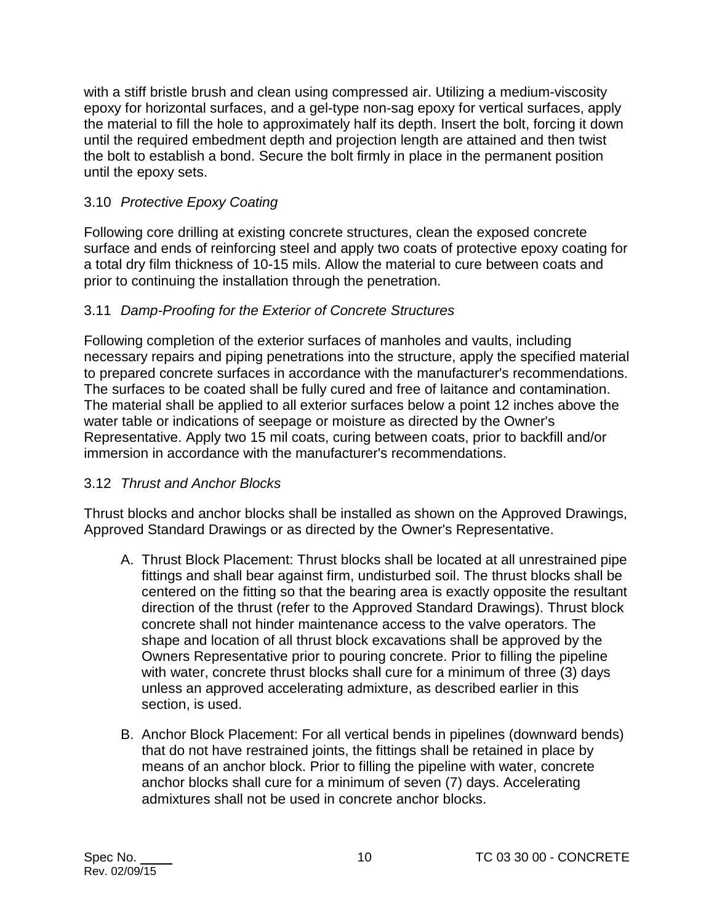with a stiff bristle brush and clean using compressed air. Utilizing a medium-viscosity epoxy for horizontal surfaces, and a gel-type non-sag epoxy for vertical surfaces, apply the material to fill the hole to approximately half its depth. Insert the bolt, forcing it down until the required embedment depth and projection length are attained and then twist the bolt to establish a bond. Secure the bolt firmly in place in the permanent position until the epoxy sets.

# 3.10 *Protective Epoxy Coating*

Following core drilling at existing concrete structures, clean the exposed concrete surface and ends of reinforcing steel and apply two coats of protective epoxy coating for a total dry film thickness of 10-15 mils. Allow the material to cure between coats and prior to continuing the installation through the penetration.

# 3.11 *Damp-Proofing for the Exterior of Concrete Structures*

Following completion of the exterior surfaces of manholes and vaults, including necessary repairs and piping penetrations into the structure, apply the specified material to prepared concrete surfaces in accordance with the manufacturer's recommendations. The surfaces to be coated shall be fully cured and free of laitance and contamination. The material shall be applied to all exterior surfaces below a point 12 inches above the water table or indications of seepage or moisture as directed by the Owner's Representative. Apply two 15 mil coats, curing between coats, prior to backfill and/or immersion in accordance with the manufacturer's recommendations.

## 3.12 *Thrust and Anchor Blocks*

Thrust blocks and anchor blocks shall be installed as shown on the Approved Drawings, Approved Standard Drawings or as directed by the Owner's Representative.

- A. Thrust Block Placement: Thrust blocks shall be located at all unrestrained pipe fittings and shall bear against firm, undisturbed soil. The thrust blocks shall be centered on the fitting so that the bearing area is exactly opposite the resultant direction of the thrust (refer to the Approved Standard Drawings). Thrust block concrete shall not hinder maintenance access to the valve operators. The shape and location of all thrust block excavations shall be approved by the Owners Representative prior to pouring concrete. Prior to filling the pipeline with water, concrete thrust blocks shall cure for a minimum of three (3) days unless an approved accelerating admixture, as described earlier in this section, is used.
- B. Anchor Block Placement: For all vertical bends in pipelines (downward bends) that do not have restrained joints, the fittings shall be retained in place by means of an anchor block. Prior to filling the pipeline with water, concrete anchor blocks shall cure for a minimum of seven (7) days. Accelerating admixtures shall not be used in concrete anchor blocks.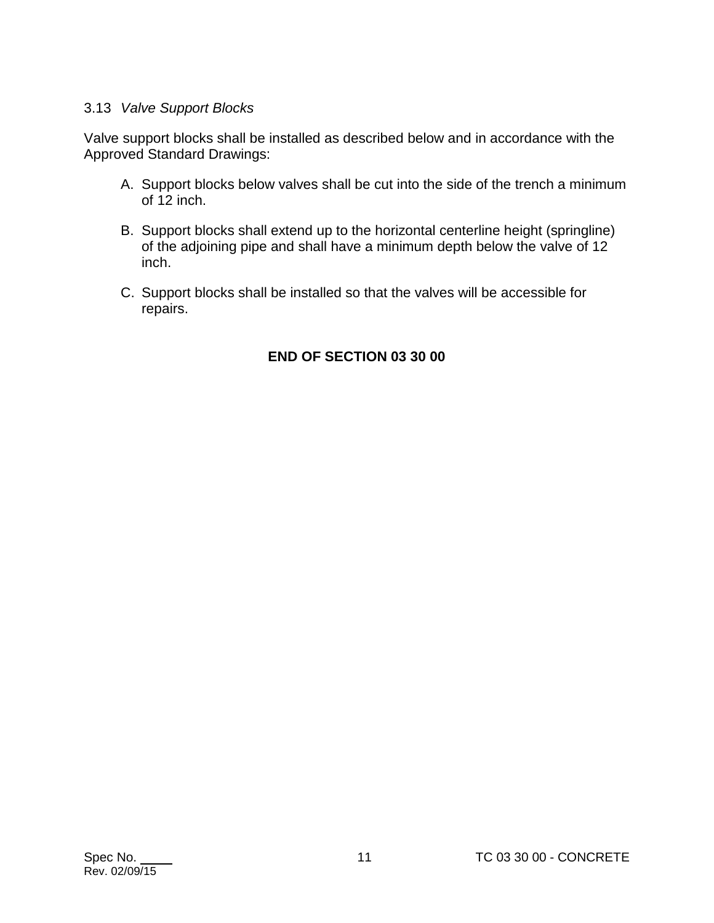# 3.13 *Valve Support Blocks*

Valve support blocks shall be installed as described below and in accordance with the Approved Standard Drawings:

- A. Support blocks below valves shall be cut into the side of the trench a minimum of 12 inch.
- B. Support blocks shall extend up to the horizontal centerline height (springline) of the adjoining pipe and shall have a minimum depth below the valve of 12 inch.
- C. Support blocks shall be installed so that the valves will be accessible for repairs.

# **END OF SECTION 03 30 00**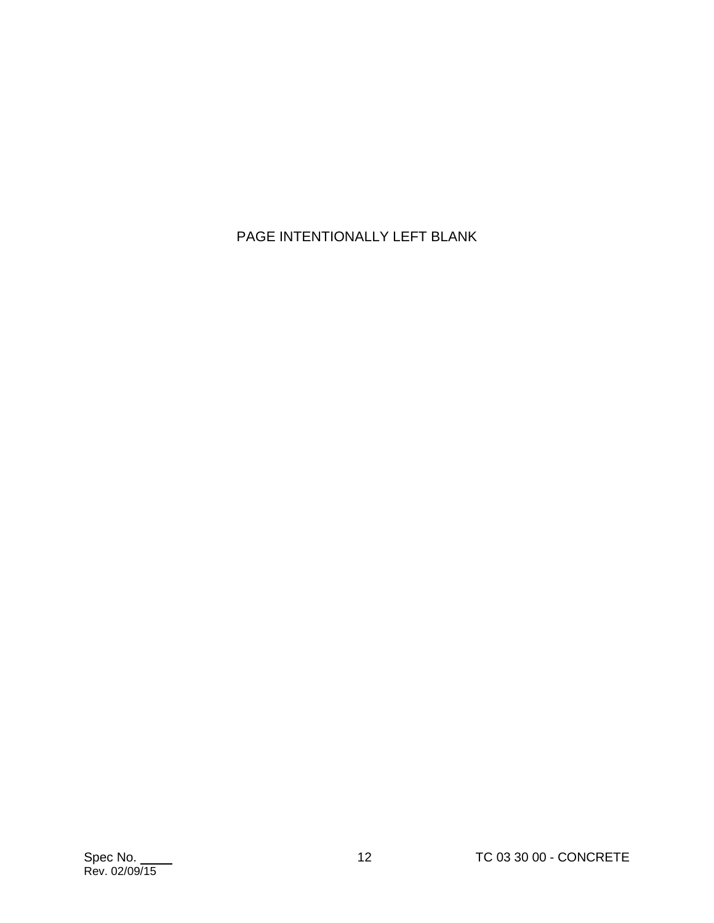PAGE INTENTIONALLY LEFT BLANK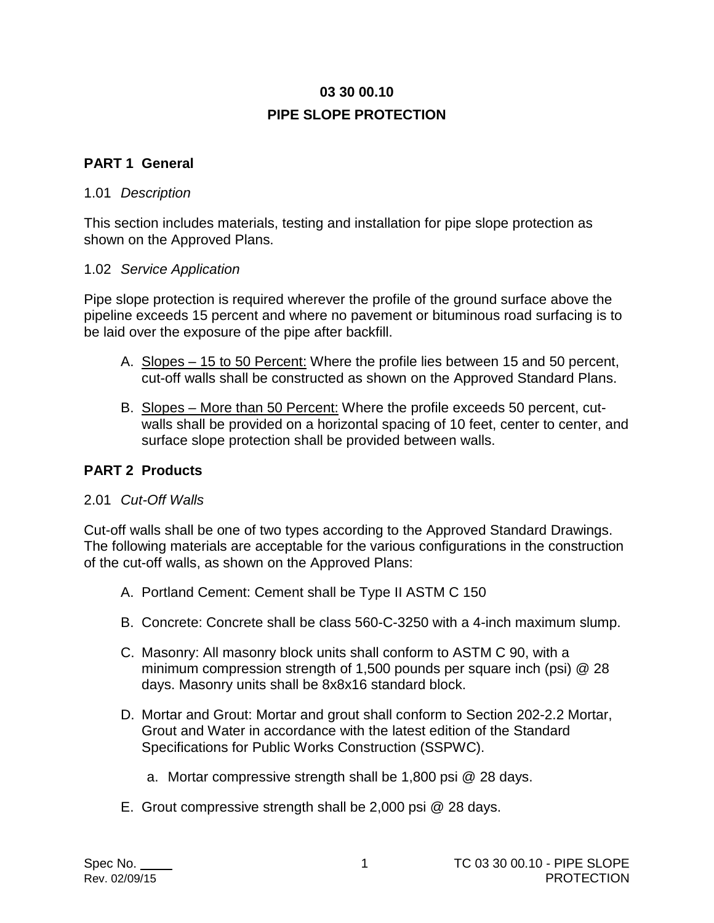# **03 30 00.10 PIPE SLOPE PROTECTION**

## **PART 1 General**

#### 1.01 *Description*

This section includes materials, testing and installation for pipe slope protection as shown on the Approved Plans.

#### 1.02 *Service Application*

Pipe slope protection is required wherever the profile of the ground surface above the pipeline exceeds 15 percent and where no pavement or bituminous road surfacing is to be laid over the exposure of the pipe after backfill.

- A. Slopes 15 to 50 Percent: Where the profile lies between 15 and 50 percent, cut-off walls shall be constructed as shown on the Approved Standard Plans.
- B. Slopes More than 50 Percent: Where the profile exceeds 50 percent, cutwalls shall be provided on a horizontal spacing of 10 feet, center to center, and surface slope protection shall be provided between walls.

## **PART 2 Products**

## 2.01 *Cut-Off Walls*

Cut-off walls shall be one of two types according to the Approved Standard Drawings. The following materials are acceptable for the various configurations in the construction of the cut-off walls, as shown on the Approved Plans:

- A. Portland Cement: Cement shall be Type II ASTM C 150
- B. Concrete: Concrete shall be class 560-C-3250 with a 4-inch maximum slump.
- C. Masonry: All masonry block units shall conform to ASTM C 90, with a minimum compression strength of 1,500 pounds per square inch (psi) @ 28 days. Masonry units shall be 8x8x16 standard block.
- D. Mortar and Grout: Mortar and grout shall conform to Section 202-2.2 Mortar, Grout and Water in accordance with the latest edition of the Standard Specifications for Public Works Construction (SSPWC).
	- a. Mortar compressive strength shall be 1,800 psi @ 28 days.
- E. Grout compressive strength shall be 2,000 psi @ 28 days.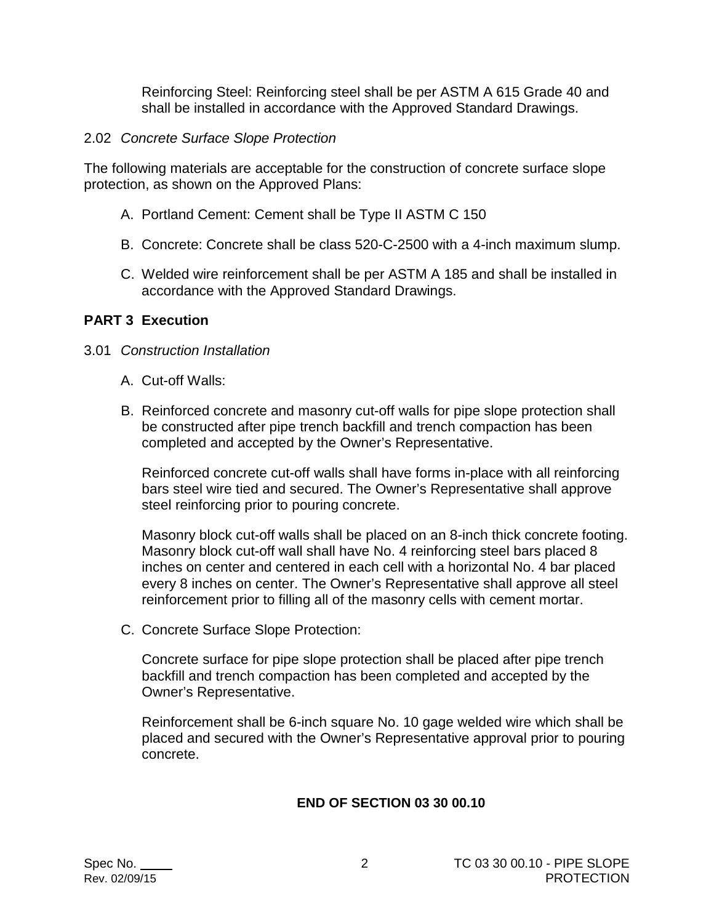Reinforcing Steel: Reinforcing steel shall be per ASTM A 615 Grade 40 and shall be installed in accordance with the Approved Standard Drawings.

## 2.02 *Concrete Surface Slope Protection*

The following materials are acceptable for the construction of concrete surface slope protection, as shown on the Approved Plans:

- A. Portland Cement: Cement shall be Type II ASTM C 150
- B. Concrete: Concrete shall be class 520-C-2500 with a 4-inch maximum slump.
- C. Welded wire reinforcement shall be per ASTM A 185 and shall be installed in accordance with the Approved Standard Drawings.

# **PART 3 Execution**

- 3.01 *Construction Installation*
	- A. Cut-off Walls:
	- B. Reinforced concrete and masonry cut-off walls for pipe slope protection shall be constructed after pipe trench backfill and trench compaction has been completed and accepted by the Owner's Representative.

Reinforced concrete cut-off walls shall have forms in-place with all reinforcing bars steel wire tied and secured. The Owner's Representative shall approve steel reinforcing prior to pouring concrete.

Masonry block cut-off walls shall be placed on an 8-inch thick concrete footing. Masonry block cut-off wall shall have No. 4 reinforcing steel bars placed 8 inches on center and centered in each cell with a horizontal No. 4 bar placed every 8 inches on center. The Owner's Representative shall approve all steel reinforcement prior to filling all of the masonry cells with cement mortar.

C. Concrete Surface Slope Protection:

Concrete surface for pipe slope protection shall be placed after pipe trench backfill and trench compaction has been completed and accepted by the Owner's Representative.

Reinforcement shall be 6-inch square No. 10 gage welded wire which shall be placed and secured with the Owner's Representative approval prior to pouring concrete.

#### **END OF SECTION 03 30 00.10**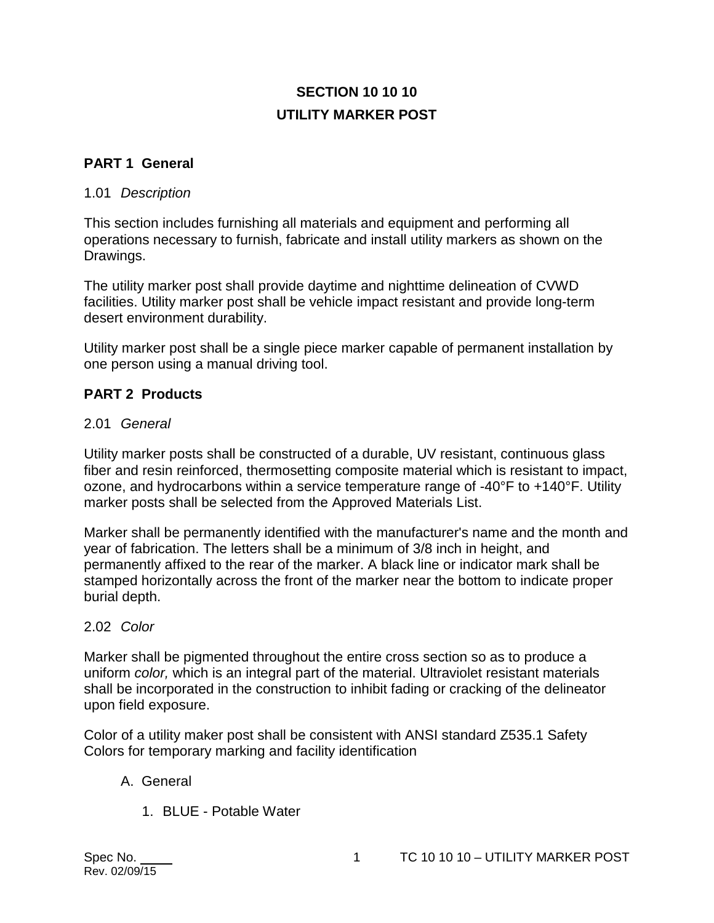# **SECTION 10 10 10 UTILITY MARKER POST**

## **PART 1 General**

#### 1.01 *Description*

This section includes furnishing all materials and equipment and performing all operations necessary to furnish, fabricate and install utility markers as shown on the Drawings.

The utility marker post shall provide daytime and nighttime delineation of CVWD facilities. Utility marker post shall be vehicle impact resistant and provide long-term desert environment durability.

Utility marker post shall be a single piece marker capable of permanent installation by one person using a manual driving tool.

## **PART 2 Products**

#### 2.01 *General*

Utility marker posts shall be constructed of a durable, UV resistant, continuous glass fiber and resin reinforced, thermosetting composite material which is resistant to impact, ozone, and hydrocarbons within a service temperature range of -40°F to +140°F. Utility marker posts shall be selected from the Approved Materials List.

Marker shall be permanently identified with the manufacturer's name and the month and year of fabrication. The letters shall be a minimum of 3/8 inch in height, and permanently affixed to the rear of the marker. A black line or indicator mark shall be stamped horizontally across the front of the marker near the bottom to indicate proper burial depth.

## 2.02 *Color*

Marker shall be pigmented throughout the entire cross section so as to produce a uniform *color,* which is an integral part of the material. Ultraviolet resistant materials shall be incorporated in the construction to inhibit fading or cracking of the delineator upon field exposure.

Color of a utility maker post shall be consistent with ANSI standard Z535.1 Safety Colors for temporary marking and facility identification

## A. General

1. BLUE - Potable Water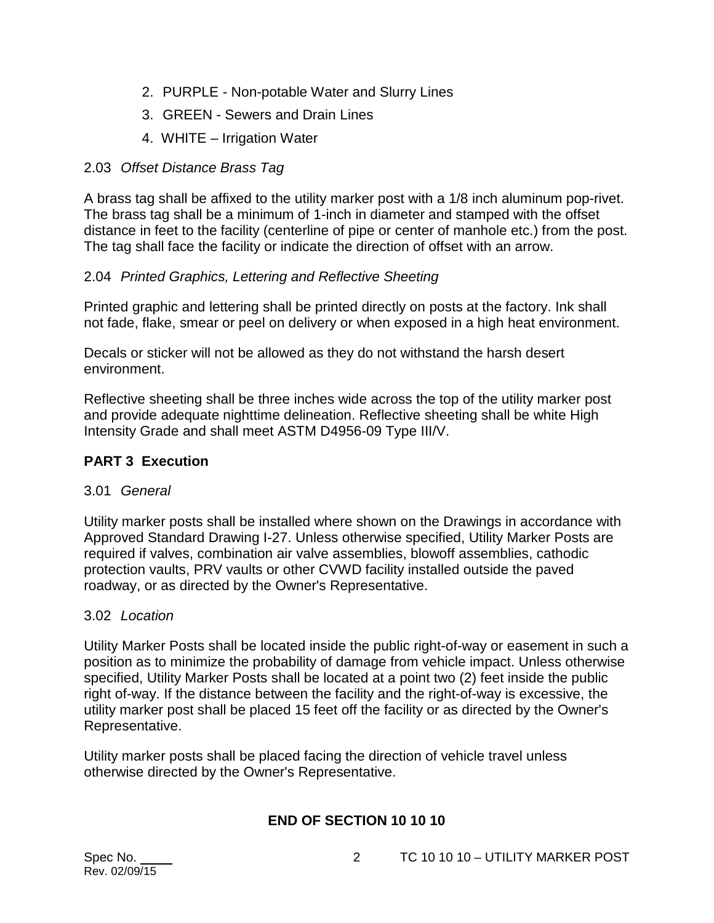- 2. PURPLE Non-potable Water and Slurry Lines
- 3. GREEN Sewers and Drain Lines
- 4. WHITE Irrigation Water

#### 2.03 *Offset Distance Brass Tag*

A brass tag shall be affixed to the utility marker post with a 1/8 inch aluminum pop-rivet. The brass tag shall be a minimum of 1-inch in diameter and stamped with the offset distance in feet to the facility (centerline of pipe or center of manhole etc.) from the post. The tag shall face the facility or indicate the direction of offset with an arrow.

#### 2.04 *Printed Graphics, Lettering and Reflective Sheeting*

Printed graphic and lettering shall be printed directly on posts at the factory. Ink shall not fade, flake, smear or peel on delivery or when exposed in a high heat environment.

Decals or sticker will not be allowed as they do not withstand the harsh desert environment.

Reflective sheeting shall be three inches wide across the top of the utility marker post and provide adequate nighttime delineation. Reflective sheeting shall be white High Intensity Grade and shall meet ASTM D4956-09 Type III/V.

## **PART 3 Execution**

#### 3.01 *General*

Utility marker posts shall be installed where shown on the Drawings in accordance with Approved Standard Drawing I-27. Unless otherwise specified, Utility Marker Posts are required if valves, combination air valve assemblies, blowoff assemblies, cathodic protection vaults, PRV vaults or other CVWD facility installed outside the paved roadway, or as directed by the Owner's Representative.

#### 3.02 *Location*

Utility Marker Posts shall be located inside the public right-of-way or easement in such a position as to minimize the probability of damage from vehicle impact. Unless otherwise specified, Utility Marker Posts shall be located at a point two (2) feet inside the public right of-way. If the distance between the facility and the right-of-way is excessive, the utility marker post shall be placed 15 feet off the facility or as directed by the Owner's Representative.

Utility marker posts shall be placed facing the direction of vehicle travel unless otherwise directed by the Owner's Representative.

## **END OF SECTION 10 10 10**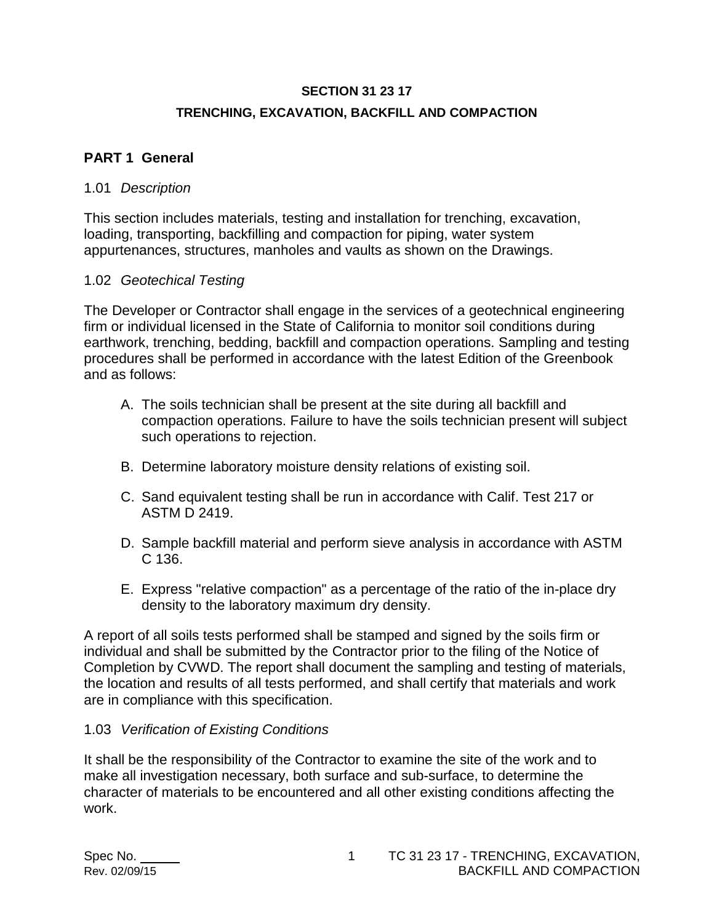#### **SECTION 31 23 17**

#### **TRENCHING, EXCAVATION, BACKFILL AND COMPACTION**

#### **PART 1 General**

#### 1.01 *Description*

This section includes materials, testing and installation for trenching, excavation, loading, transporting, backfilling and compaction for piping, water system appurtenances, structures, manholes and vaults as shown on the Drawings.

#### 1.02 *Geotechical Testing*

The Developer or Contractor shall engage in the services of a geotechnical engineering firm or individual licensed in the State of California to monitor soil conditions during earthwork, trenching, bedding, backfill and compaction operations. Sampling and testing procedures shall be performed in accordance with the latest Edition of the Greenbook and as follows:

- A. The soils technician shall be present at the site during all backfill and compaction operations. Failure to have the soils technician present will subject such operations to rejection.
- B. Determine laboratory moisture density relations of existing soil.
- C. Sand equivalent testing shall be run in accordance with Calif. Test 217 or ASTM D 2419.
- D. Sample backfill material and perform sieve analysis in accordance with ASTM C 136.
- E. Express "relative compaction" as a percentage of the ratio of the in-place dry density to the laboratory maximum dry density.

A report of all soils tests performed shall be stamped and signed by the soils firm or individual and shall be submitted by the Contractor prior to the filing of the Notice of Completion by CVWD. The report shall document the sampling and testing of materials, the location and results of all tests performed, and shall certify that materials and work are in compliance with this specification.

#### 1.03 *Verification of Existing Conditions*

It shall be the responsibility of the Contractor to examine the site of the work and to make all investigation necessary, both surface and sub-surface, to determine the character of materials to be encountered and all other existing conditions affecting the work.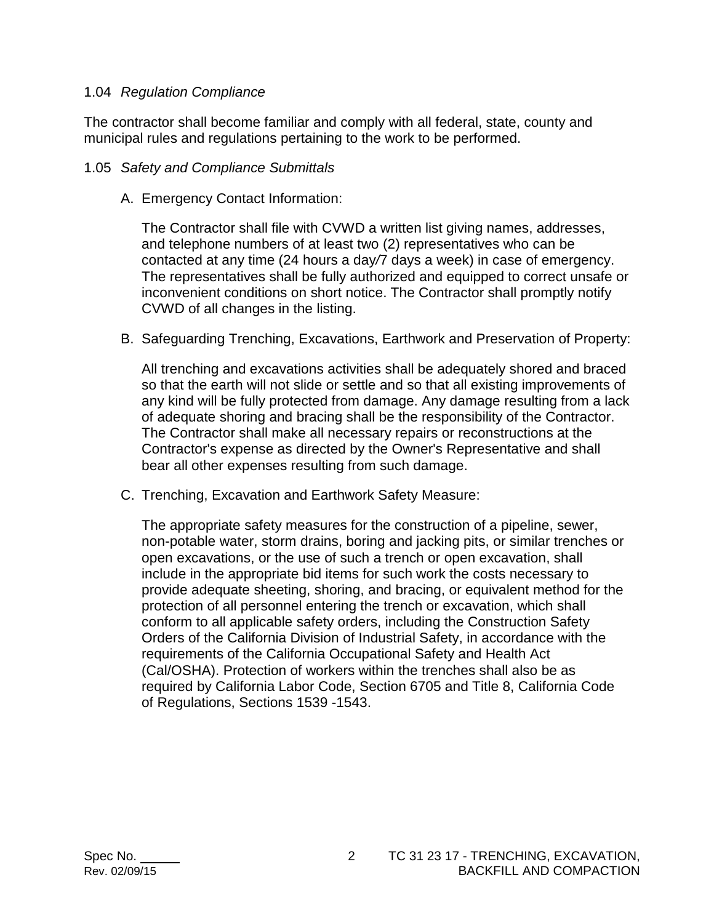#### 1.04 *Regulation Compliance*

The contractor shall become familiar and comply with all federal, state, county and municipal rules and regulations pertaining to the work to be performed.

#### 1.05 *Safety and Compliance Submittals*

A. Emergency Contact Information:

The Contractor shall file with CVWD a written list giving names, addresses, and telephone numbers of at least two (2) representatives who can be contacted at any time (24 hours a day*/*7 days a week) in case of emergency. The representatives shall be fully authorized and equipped to correct unsafe or inconvenient conditions on short notice. The Contractor shall promptly notify CVWD of all changes in the listing.

B. Safeguarding Trenching, Excavations, Earthwork and Preservation of Property:

All trenching and excavations activities shall be adequately shored and braced so that the earth will not slide or settle and so that all existing improvements of any kind will be fully protected from damage. Any damage resulting from a lack of adequate shoring and bracing shall be the responsibility of the Contractor. The Contractor shall make all necessary repairs or reconstructions at the Contractor's expense as directed by the Owner's Representative and shall bear all other expenses resulting from such damage.

C. Trenching, Excavation and Earthwork Safety Measure:

The appropriate safety measures for the construction of a pipeline, sewer, non-potable water, storm drains, boring and jacking pits, or similar trenches or open excavations, or the use of such a trench or open excavation, shall include in the appropriate bid items for such work the costs necessary to provide adequate sheeting, shoring, and bracing, or equivalent method for the protection of all personnel entering the trench or excavation, which shall conform to all applicable safety orders, including the Construction Safety Orders of the California Division of Industrial Safety, in accordance with the requirements of the California Occupational Safety and Health Act (Cal/OSHA). Protection of workers within the trenches shall also be as required by California Labor Code, Section 6705 and Title 8, California Code of Regulations, Sections 1539 -1543.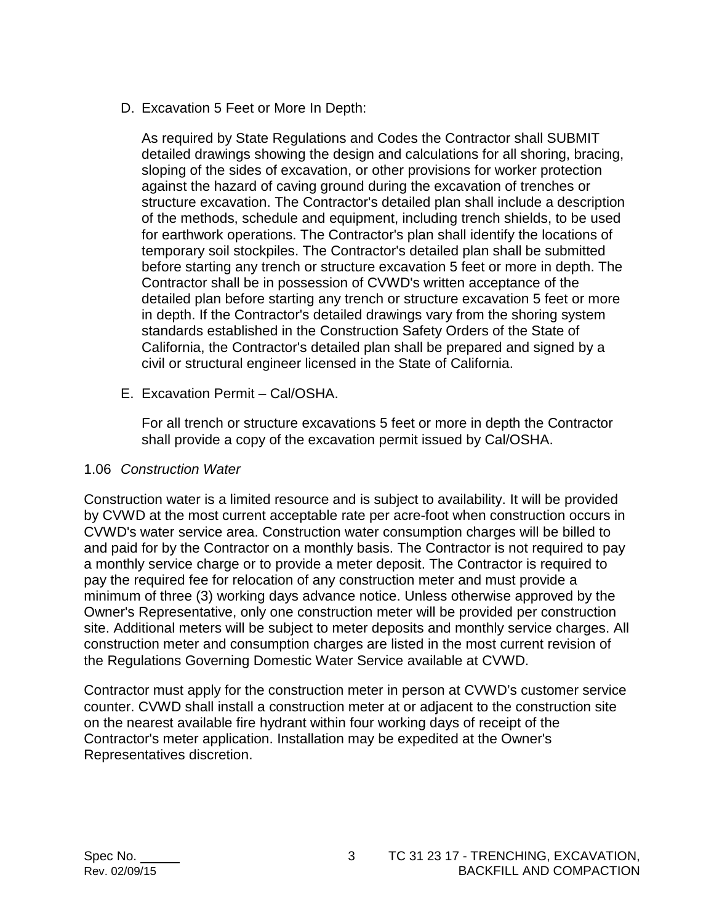D. Excavation 5 Feet or More In Depth:

As required by State Regulations and Codes the Contractor shall SUBMIT detailed drawings showing the design and calculations for all shoring, bracing, sloping of the sides of excavation, or other provisions for worker protection against the hazard of caving ground during the excavation of trenches or structure excavation. The Contractor's detailed plan shall include a description of the methods, schedule and equipment, including trench shields, to be used for earthwork operations. The Contractor's plan shall identify the locations of temporary soil stockpiles. The Contractor's detailed plan shall be submitted before starting any trench or structure excavation 5 feet or more in depth. The Contractor shall be in possession of CVWD's written acceptance of the detailed plan before starting any trench or structure excavation 5 feet or more in depth. If the Contractor's detailed drawings vary from the shoring system standards established in the Construction Safety Orders of the State of California, the Contractor's detailed plan shall be prepared and signed by a civil or structural engineer licensed in the State of California.

E. Excavation Permit – Cal/OSHA.

For all trench or structure excavations 5 feet or more in depth the Contractor shall provide a copy of the excavation permit issued by Cal/OSHA.

#### 1.06 *Construction Water*

Construction water is a limited resource and is subject to availability. It will be provided by CVWD at the most current acceptable rate per acre-foot when construction occurs in CVWD's water service area. Construction water consumption charges will be billed to and paid for by the Contractor on a monthly basis. The Contractor is not required to pay a monthly service charge or to provide a meter deposit. The Contractor is required to pay the required fee for relocation of any construction meter and must provide a minimum of three (3) working days advance notice. Unless otherwise approved by the Owner's Representative, only one construction meter will be provided per construction site. Additional meters will be subject to meter deposits and monthly service charges. All construction meter and consumption charges are listed in the most current revision of the Regulations Governing Domestic Water Service available at CVWD.

Contractor must apply for the construction meter in person at CVWD's customer service counter. CVWD shall install a construction meter at or adjacent to the construction site on the nearest available fire hydrant within four working days of receipt of the Contractor's meter application. Installation may be expedited at the Owner's Representatives discretion.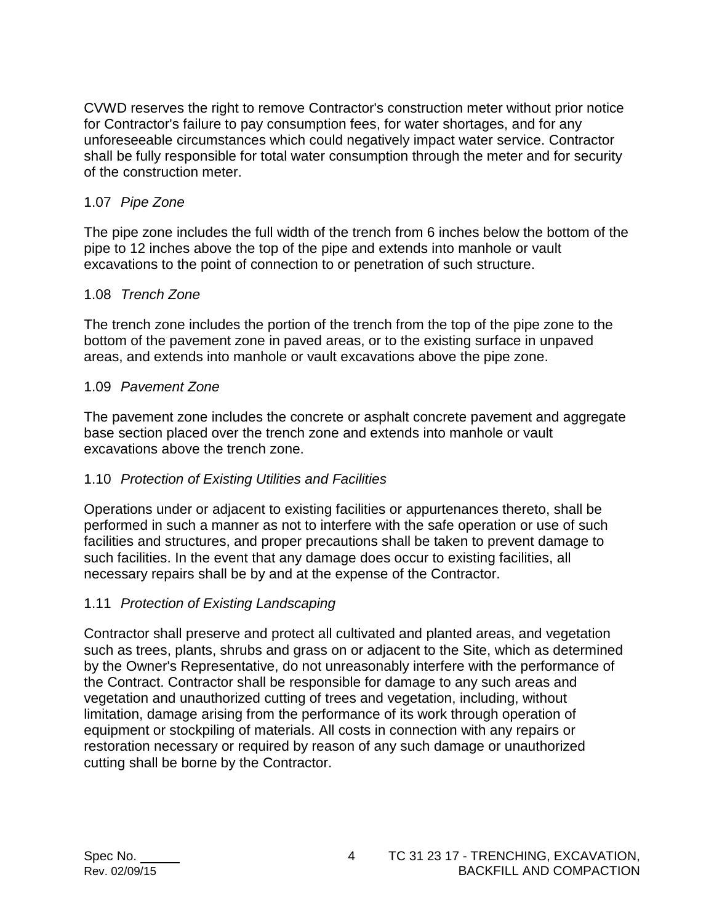CVWD reserves the right to remove Contractor's construction meter without prior notice for Contractor's failure to pay consumption fees, for water shortages, and for any unforeseeable circumstances which could negatively impact water service. Contractor shall be fully responsible for total water consumption through the meter and for security of the construction meter.

## 1.07 *Pipe Zone*

The pipe zone includes the full width of the trench from 6 inches below the bottom of the pipe to 12 inches above the top of the pipe and extends into manhole or vault excavations to the point of connection to or penetration of such structure.

## 1.08 *Trench Zone*

The trench zone includes the portion of the trench from the top of the pipe zone to the bottom of the pavement zone in paved areas, or to the existing surface in unpaved areas, and extends into manhole or vault excavations above the pipe zone.

## 1.09 *Pavement Zone*

The pavement zone includes the concrete or asphalt concrete pavement and aggregate base section placed over the trench zone and extends into manhole or vault excavations above the trench zone.

# 1.10 *Protection of Existing Utilities and Facilities*

Operations under or adjacent to existing facilities or appurtenances thereto, shall be performed in such a manner as not to interfere with the safe operation or use of such facilities and structures, and proper precautions shall be taken to prevent damage to such facilities. In the event that any damage does occur to existing facilities, all necessary repairs shall be by and at the expense of the Contractor.

# 1.11 *Protection of Existing Landscaping*

Contractor shall preserve and protect all cultivated and planted areas, and vegetation such as trees, plants, shrubs and grass on or adjacent to the Site, which as determined by the Owner's Representative, do not unreasonably interfere with the performance of the Contract. Contractor shall be responsible for damage to any such areas and vegetation and unauthorized cutting of trees and vegetation, including, without limitation, damage arising from the performance of its work through operation of equipment or stockpiling of materials. All costs in connection with any repairs or restoration necessary or required by reason of any such damage or unauthorized cutting shall be borne by the Contractor.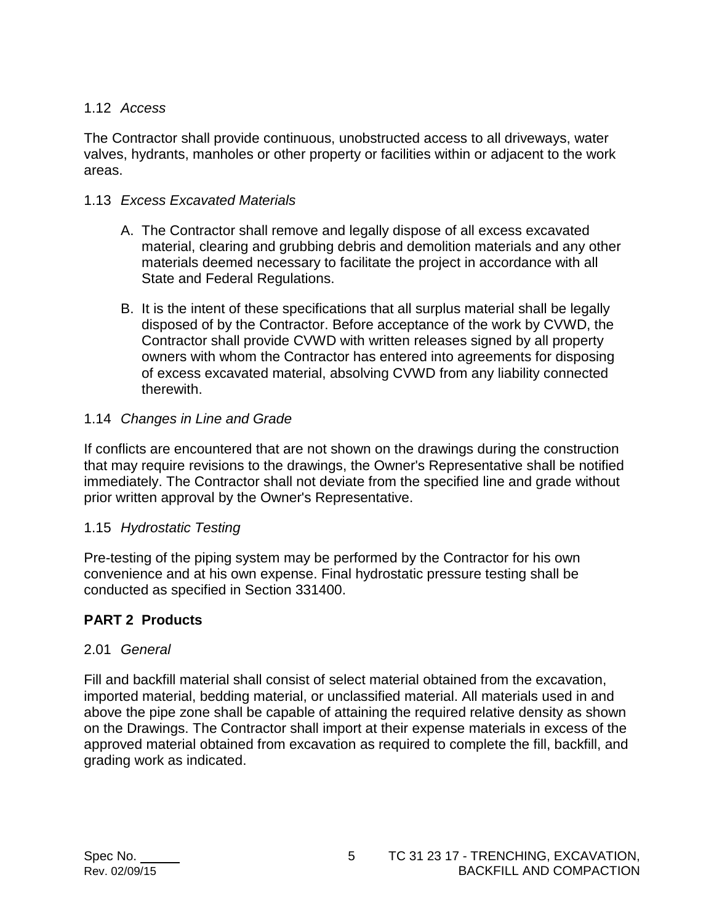## 1.12 *Access*

The Contractor shall provide continuous, unobstructed access to all driveways, water valves, hydrants, manholes or other property or facilities within or adjacent to the work areas.

## 1.13 *Excess Excavated Materials*

- A. The Contractor shall remove and legally dispose of all excess excavated material, clearing and grubbing debris and demolition materials and any other materials deemed necessary to facilitate the project in accordance with all State and Federal Regulations.
- B. It is the intent of these specifications that all surplus material shall be legally disposed of by the Contractor. Before acceptance of the work by CVWD, the Contractor shall provide CVWD with written releases signed by all property owners with whom the Contractor has entered into agreements for disposing of excess excavated material, absolving CVWD from any liability connected therewith.

## 1.14 *Changes in Line and Grade*

If conflicts are encountered that are not shown on the drawings during the construction that may require revisions to the drawings, the Owner's Representative shall be notified immediately. The Contractor shall not deviate from the specified line and grade without prior written approval by the Owner's Representative.

## 1.15 *Hydrostatic Testing*

Pre-testing of the piping system may be performed by the Contractor for his own convenience and at his own expense. Final hydrostatic pressure testing shall be conducted as specified in Section 331400.

# **PART 2 Products**

## 2.01 *General*

Fill and backfill material shall consist of select material obtained from the excavation, imported material, bedding material, or unclassified material. All materials used in and above the pipe zone shall be capable of attaining the required relative density as shown on the Drawings. The Contractor shall import at their expense materials in excess of the approved material obtained from excavation as required to complete the fill, backfill, and grading work as indicated.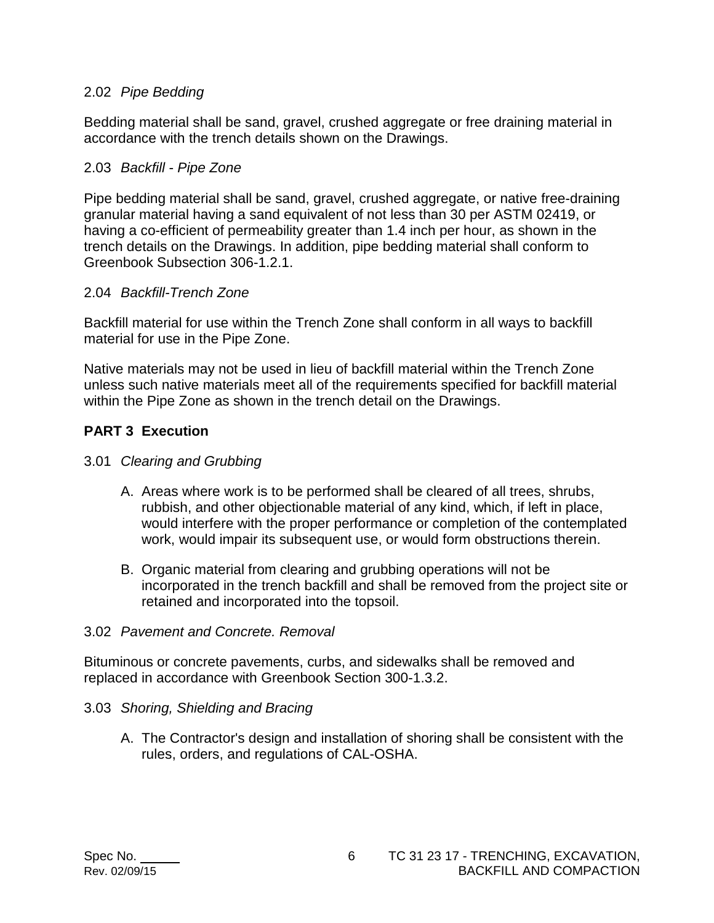## 2.02 *Pipe Bedding*

Bedding material shall be sand, gravel, crushed aggregate or free draining material in accordance with the trench details shown on the Drawings.

#### 2.03 *Backfill* - *Pipe Zone*

Pipe bedding material shall be sand, gravel, crushed aggregate, or native free-draining granular material having a sand equivalent of not less than 30 per ASTM 02419, or having a co-efficient of permeability greater than 1.4 inch per hour, as shown in the trench details on the Drawings. In addition, pipe bedding material shall conform to Greenbook Subsection 306-1.2.1.

#### 2.04 *Backfill-Trench Zone*

Backfill material for use within the Trench Zone shall conform in all ways to backfill material for use in the Pipe Zone.

Native materials may not be used in lieu of backfill material within the Trench Zone unless such native materials meet all of the requirements specified for backfill material within the Pipe Zone as shown in the trench detail on the Drawings.

## **PART 3 Execution**

#### 3.01 *Clearing and Grubbing*

- A. Areas where work is to be performed shall be cleared of all trees, shrubs, rubbish, and other objectionable material of any kind, which, if left in place, would interfere with the proper performance or completion of the contemplated work, would impair its subsequent use, or would form obstructions therein.
- B. Organic material from clearing and grubbing operations will not be incorporated in the trench backfill and shall be removed from the project site or retained and incorporated into the topsoil.
- 3.02 *Pavement and Concrete. Removal*

Bituminous or concrete pavements, curbs, and sidewalks shall be removed and replaced in accordance with Greenbook Section 300-1.3.2.

- 3.03 *Shoring, Shielding and Bracing*
	- A. The Contractor's design and installation of shoring shall be consistent with the rules, orders, and regulations of CAL-OSHA.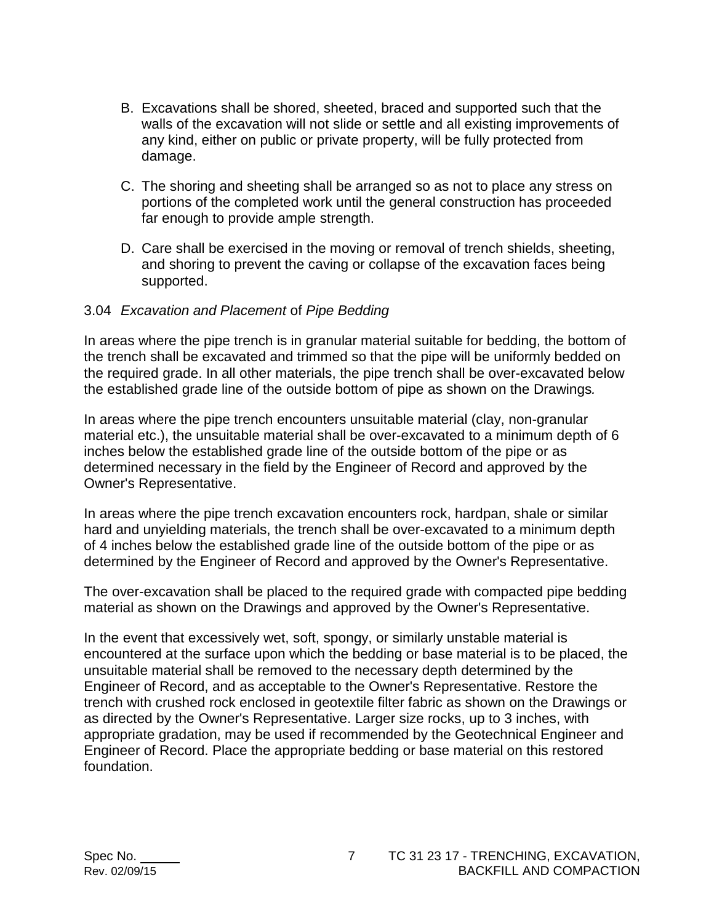- B. Excavations shall be shored, sheeted, braced and supported such that the walls of the excavation will not slide or settle and all existing improvements of any kind, either on public or private property, will be fully protected from damage.
- C. The shoring and sheeting shall be arranged so as not to place any stress on portions of the completed work until the general construction has proceeded far enough to provide ample strength.
- D. Care shall be exercised in the moving or removal of trench shields, sheeting, and shoring to prevent the caving or collapse of the excavation faces being supported.

#### 3.04 *Excavation and Placement* of *Pipe Bedding*

In areas where the pipe trench is in granular material suitable for bedding, the bottom of the trench shall be excavated and trimmed so that the pipe will be uniformly bedded on the required grade. In all other materials, the pipe trench shall be over-excavated below the established grade line of the outside bottom of pipe as shown on the Drawings*.*

In areas where the pipe trench encounters unsuitable material (clay, non-granular material etc.), the unsuitable material shall be over-excavated to a minimum depth of 6 inches below the established grade line of the outside bottom of the pipe or as determined necessary in the field by the Engineer of Record and approved by the Owner's Representative.

In areas where the pipe trench excavation encounters rock, hardpan, shale or similar hard and unyielding materials, the trench shall be over-excavated to a minimum depth of 4 inches below the established grade line of the outside bottom of the pipe or as determined by the Engineer of Record and approved by the Owner's Representative.

The over-excavation shall be placed to the required grade with compacted pipe bedding material as shown on the Drawings and approved by the Owner's Representative.

In the event that excessively wet, soft, spongy, or similarly unstable material is encountered at the surface upon which the bedding or base material is to be placed, the unsuitable material shall be removed to the necessary depth determined by the Engineer of Record, and as acceptable to the Owner's Representative. Restore the trench with crushed rock enclosed in geotextile filter fabric as shown on the Drawings or as directed by the Owner's Representative. Larger size rocks, up to 3 inches, with appropriate gradation, may be used if recommended by the Geotechnical Engineer and Engineer of Record. Place the appropriate bedding or base material on this restored foundation.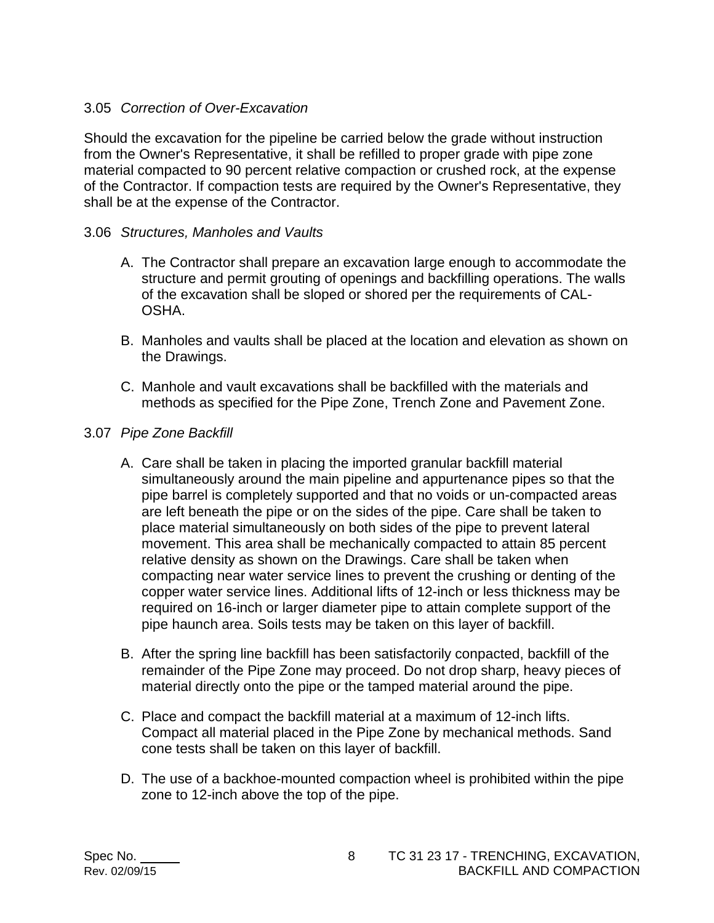## 3.05 *Correction of Over-Excavation*

Should the excavation for the pipeline be carried below the grade without instruction from the Owner's Representative, it shall be refilled to proper grade with pipe zone material compacted to 90 percent relative compaction or crushed rock, at the expense of the Contractor. If compaction tests are required by the Owner's Representative, they shall be at the expense of the Contractor.

#### 3.06 *Structures, Manholes and Vaults*

- A. The Contractor shall prepare an excavation large enough to accommodate the structure and permit grouting of openings and backfilling operations. The walls of the excavation shall be sloped or shored per the requirements of CAL-OSHA.
- B. Manholes and vaults shall be placed at the location and elevation as shown on the Drawings.
- C. Manhole and vault excavations shall be backfilled with the materials and methods as specified for the Pipe Zone, Trench Zone and Pavement Zone.

## 3.07 *Pipe Zone Backfill*

- A. Care shall be taken in placing the imported granular backfill material simultaneously around the main pipeline and appurtenance pipes so that the pipe barrel is completely supported and that no voids or un-compacted areas are left beneath the pipe or on the sides of the pipe. Care shall be taken to place material simultaneously on both sides of the pipe to prevent lateral movement. This area shall be mechanically compacted to attain 85 percent relative density as shown on the Drawings. Care shall be taken when compacting near water service lines to prevent the crushing or denting of the copper water service lines. Additional lifts of 12-inch or less thickness may be required on 16-inch or larger diameter pipe to attain complete support of the pipe haunch area. Soils tests may be taken on this layer of backfill.
- B. After the spring line backfill has been satisfactorily conpacted, backfill of the remainder of the Pipe Zone may proceed. Do not drop sharp, heavy pieces of material directly onto the pipe or the tamped material around the pipe.
- C. Place and compact the backfill material at a maximum of 12-inch lifts. Compact all material placed in the Pipe Zone by mechanical methods. Sand cone tests shall be taken on this layer of backfill.
- D. The use of a backhoe-mounted compaction wheel is prohibited within the pipe zone to 12-inch above the top of the pipe.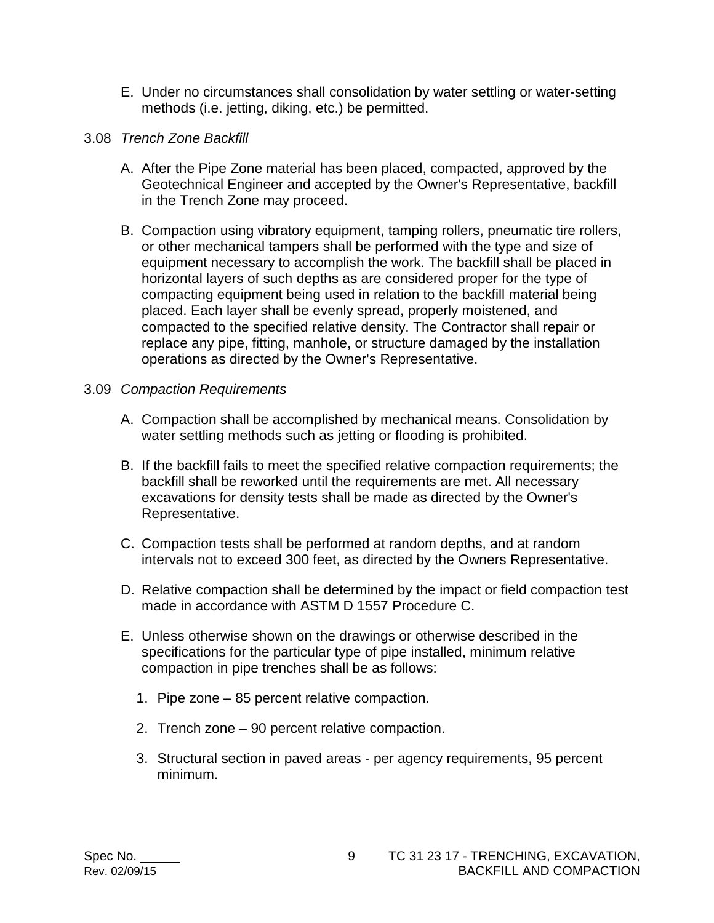- E. Under no circumstances shall consolidation by water settling or water-setting methods (i.e. jetting, diking, etc.) be permitted.
- 3.08 *Trench Zone Backfill*
	- A. After the Pipe Zone material has been placed, compacted, approved by the Geotechnical Engineer and accepted by the Owner's Representative, backfill in the Trench Zone may proceed.
	- B. Compaction using vibratory equipment, tamping rollers, pneumatic tire rollers, or other mechanical tampers shall be performed with the type and size of equipment necessary to accomplish the work. The backfill shall be placed in horizontal layers of such depths as are considered proper for the type of compacting equipment being used in relation to the backfill material being placed. Each layer shall be evenly spread, properly moistened, and compacted to the specified relative density. The Contractor shall repair or replace any pipe, fitting, manhole, or structure damaged by the installation operations as directed by the Owner's Representative.
- 3.09 *Compaction Requirements*
	- A. Compaction shall be accomplished by mechanical means. Consolidation by water settling methods such as jetting or flooding is prohibited.
	- B. If the backfill fails to meet the specified relative compaction requirements; the backfill shall be reworked until the requirements are met. All necessary excavations for density tests shall be made as directed by the Owner's Representative.
	- C. Compaction tests shall be performed at random depths, and at random intervals not to exceed 300 feet, as directed by the Owners Representative.
	- D. Relative compaction shall be determined by the impact or field compaction test made in accordance with ASTM D 1557 Procedure C.
	- E. Unless otherwise shown on the drawings or otherwise described in the specifications for the particular type of pipe installed, minimum relative compaction in pipe trenches shall be as follows:
		- 1. Pipe zone 85 percent relative compaction.
		- 2. Trench zone 90 percent relative compaction.
		- 3. Structural section in paved areas per agency requirements, 95 percent minimum.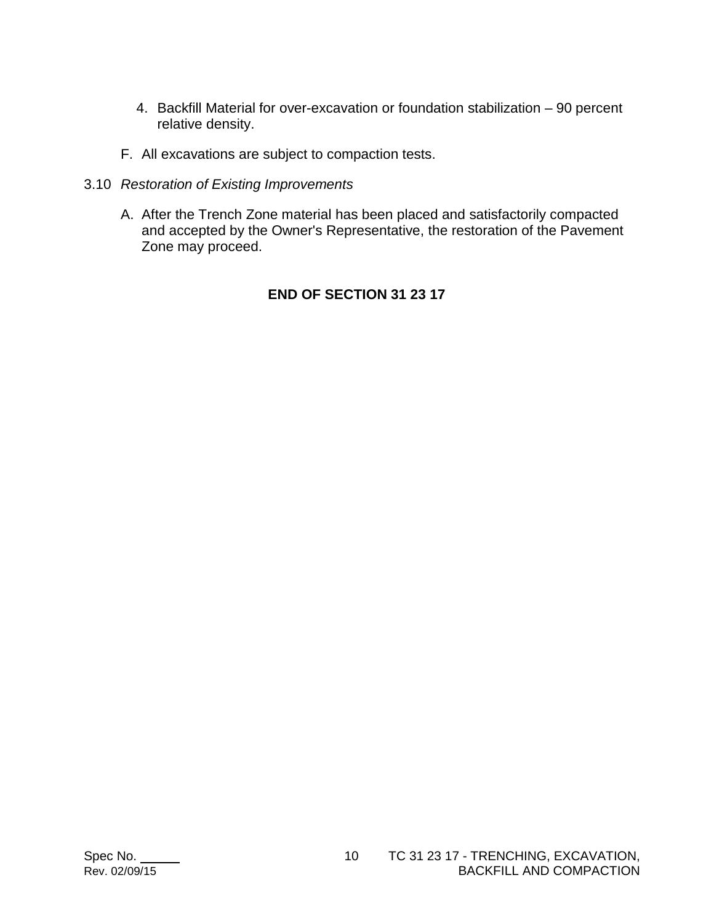- 4. Backfill Material for over-excavation or foundation stabilization 90 percent relative density.
- F. All excavations are subject to compaction tests.
- 3.10 *Restoration of Existing Improvements*
	- A. After the Trench Zone material has been placed and satisfactorily compacted and accepted by the Owner's Representative, the restoration of the Pavement Zone may proceed.

# **END OF SECTION 31 23 17**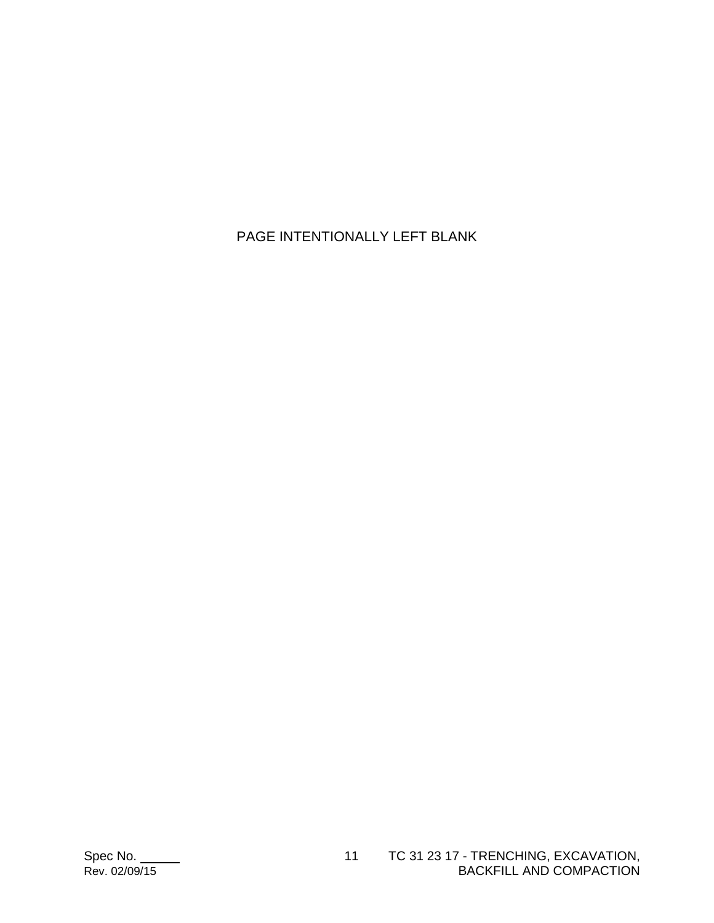PAGE INTENTIONALLY LEFT BLANK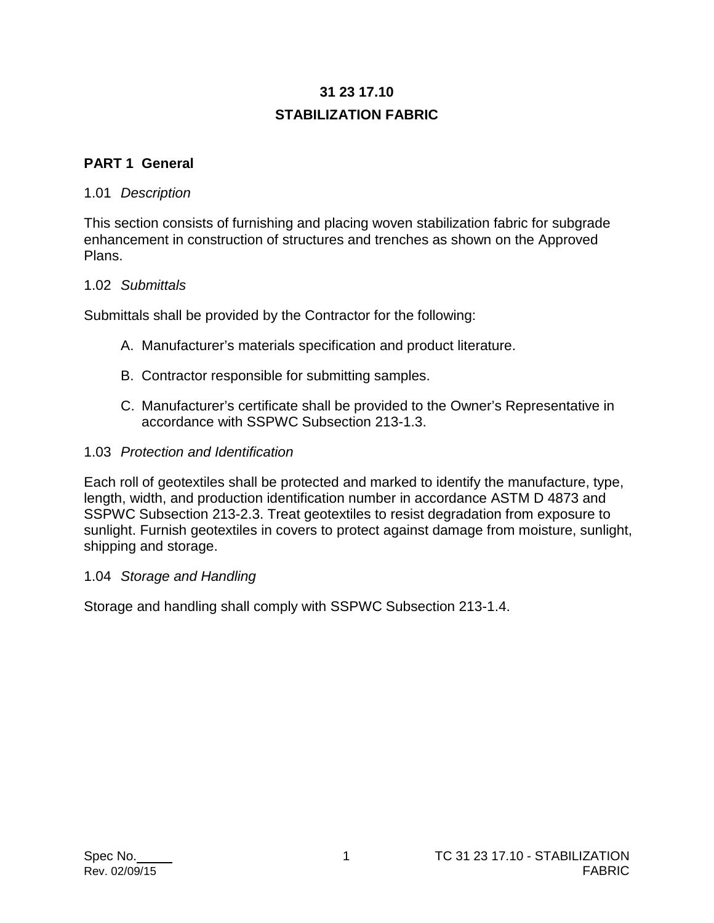# **31 23 17.10 STABILIZATION FABRIC**

## **PART 1 General**

#### 1.01 *Description*

This section consists of furnishing and placing woven stabilization fabric for subgrade enhancement in construction of structures and trenches as shown on the Approved Plans.

#### 1.02 *Submittals*

Submittals shall be provided by the Contractor for the following:

- A. Manufacturer's materials specification and product literature.
- B. Contractor responsible for submitting samples.
- C. Manufacturer's certificate shall be provided to the Owner's Representative in accordance with SSPWC Subsection 213-1.3.
- 1.03 *Protection and Identification*

Each roll of geotextiles shall be protected and marked to identify the manufacture, type, length, width, and production identification number in accordance ASTM D 4873 and SSPWC Subsection 213-2.3. Treat geotextiles to resist degradation from exposure to sunlight. Furnish geotextiles in covers to protect against damage from moisture, sunlight, shipping and storage.

#### 1.04 *Storage and Handling*

Storage and handling shall comply with SSPWC Subsection 213-1.4.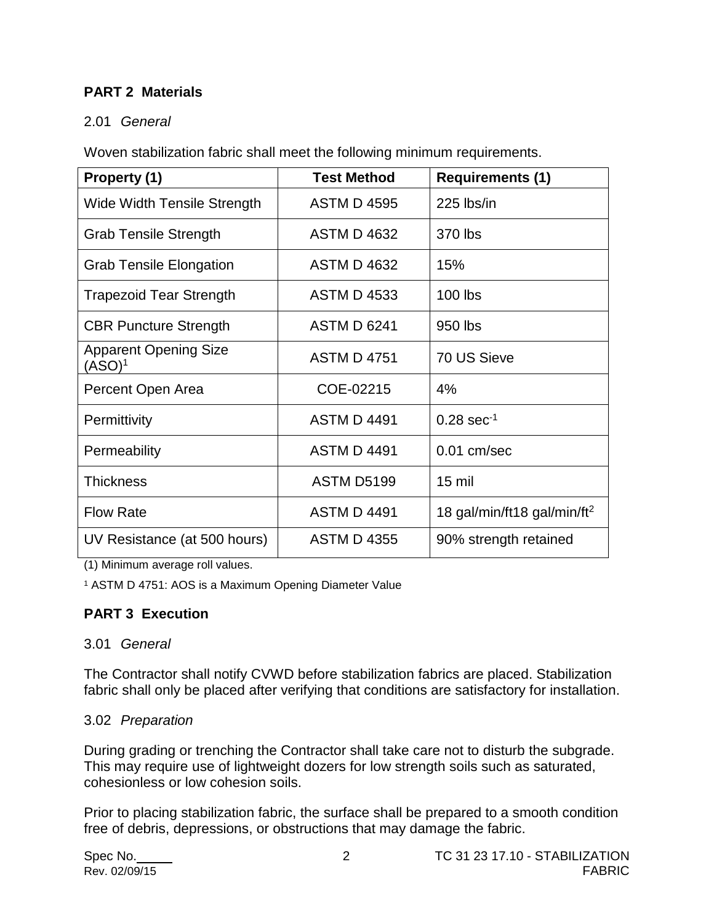# **PART 2 Materials**

## 2.01 *General*

Woven stabilization fabric shall meet the following minimum requirements.

| Property (1)                                       | <b>Test Method</b> | <b>Requirements (1)</b>         |
|----------------------------------------------------|--------------------|---------------------------------|
| Wide Width Tensile Strength                        | <b>ASTM D 4595</b> | 225 lbs/in                      |
| Grab Tensile Strength                              | <b>ASTM D 4632</b> | 370 lbs                         |
| <b>Grab Tensile Elongation</b>                     | <b>ASTM D 4632</b> | 15%                             |
| <b>Trapezoid Tear Strength</b>                     | <b>ASTM D 4533</b> | $100$ lbs                       |
| <b>CBR Puncture Strength</b>                       | <b>ASTM D 6241</b> | 950 lbs                         |
| <b>Apparent Opening Size</b><br>(ASO) <sup>1</sup> | <b>ASTM D 4751</b> | 70 US Sieve                     |
| Percent Open Area                                  | COE-02215          | 4%                              |
| Permittivity                                       | <b>ASTM D 4491</b> | $0.28 \text{ sec}^{-1}$         |
| Permeability                                       | <b>ASTM D 4491</b> | $0.01$ cm/sec                   |
| <b>Thickness</b>                                   | <b>ASTM D5199</b>  | $15 \text{ mil}$                |
| <b>Flow Rate</b>                                   | <b>ASTM D 4491</b> | 18 gal/min/ft18 gal/min/ft $^2$ |
| UV Resistance (at 500 hours)                       | <b>ASTM D 4355</b> | 90% strength retained           |

(1) Minimum average roll values.

<sup>1</sup> ASTM D 4751: AOS is a Maximum Opening Diameter Value

## **PART 3 Execution**

#### 3.01 *General*

The Contractor shall notify CVWD before stabilization fabrics are placed. Stabilization fabric shall only be placed after verifying that conditions are satisfactory for installation.

#### 3.02 *Preparation*

During grading or trenching the Contractor shall take care not to disturb the subgrade. This may require use of lightweight dozers for low strength soils such as saturated, cohesionless or low cohesion soils.

Prior to placing stabilization fabric, the surface shall be prepared to a smooth condition free of debris, depressions, or obstructions that may damage the fabric.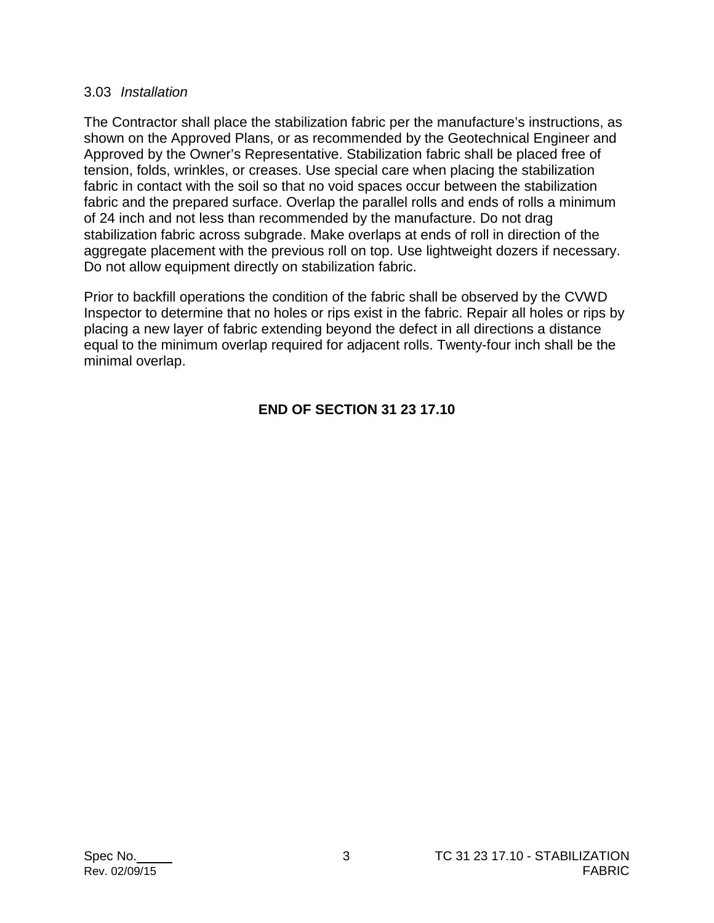#### 3.03 *Installation*

The Contractor shall place the stabilization fabric per the manufacture's instructions, as shown on the Approved Plans, or as recommended by the Geotechnical Engineer and Approved by the Owner's Representative. Stabilization fabric shall be placed free of tension, folds, wrinkles, or creases. Use special care when placing the stabilization fabric in contact with the soil so that no void spaces occur between the stabilization fabric and the prepared surface. Overlap the parallel rolls and ends of rolls a minimum of 24 inch and not less than recommended by the manufacture. Do not drag stabilization fabric across subgrade. Make overlaps at ends of roll in direction of the aggregate placement with the previous roll on top. Use lightweight dozers if necessary. Do not allow equipment directly on stabilization fabric.

Prior to backfill operations the condition of the fabric shall be observed by the CVWD Inspector to determine that no holes or rips exist in the fabric. Repair all holes or rips by placing a new layer of fabric extending beyond the defect in all directions a distance equal to the minimum overlap required for adjacent rolls. Twenty-four inch shall be the minimal overlap.

# **END OF SECTION 31 23 17.10**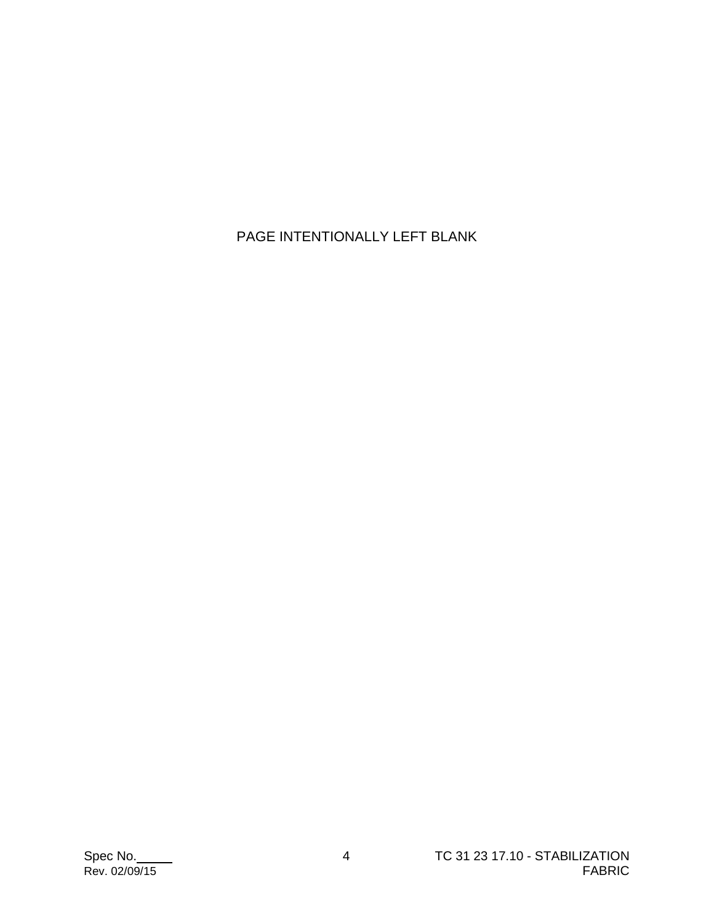PAGE INTENTIONALLY LEFT BLANK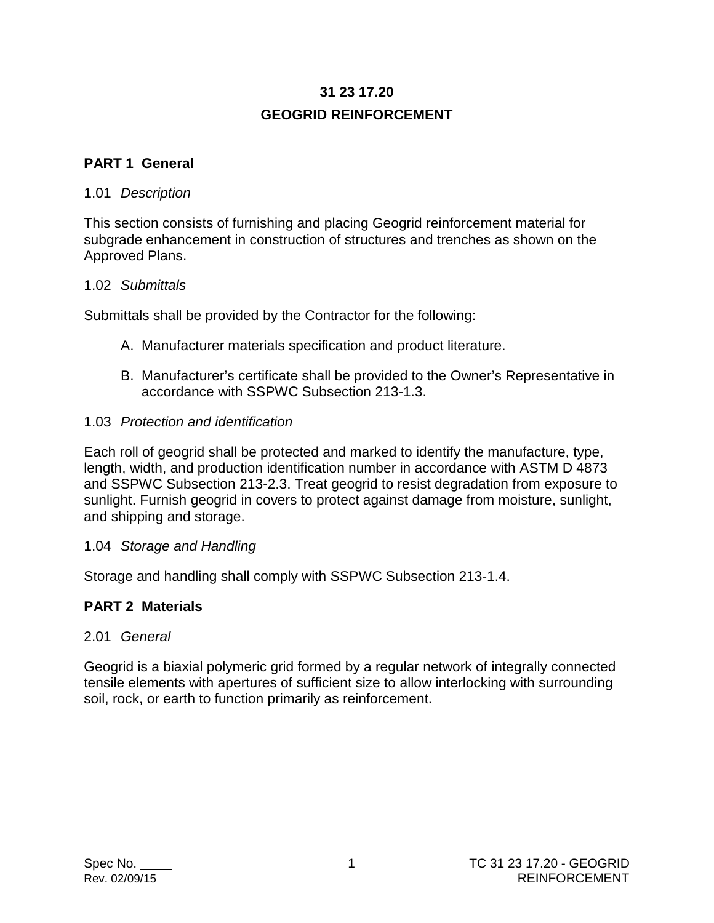# **31 23 17.20 GEOGRID REINFORCEMENT**

#### **PART 1 General**

#### 1.01 *Description*

This section consists of furnishing and placing Geogrid reinforcement material for subgrade enhancement in construction of structures and trenches as shown on the Approved Plans.

#### 1.02 *Submittals*

Submittals shall be provided by the Contractor for the following:

- A. Manufacturer materials specification and product literature.
- B. Manufacturer's certificate shall be provided to the Owner's Representative in accordance with SSPWC Subsection 213-1.3.

#### 1.03 *Protection and identification*

Each roll of geogrid shall be protected and marked to identify the manufacture, type, length, width, and production identification number in accordance with ASTM D 4873 and SSPWC Subsection 213-2.3. Treat geogrid to resist degradation from exposure to sunlight. Furnish geogrid in covers to protect against damage from moisture, sunlight, and shipping and storage.

## 1.04 *Storage and Handling*

Storage and handling shall comply with SSPWC Subsection 213-1.4.

## **PART 2 Materials**

## 2.01 *General*

Geogrid is a biaxial polymeric grid formed by a regular network of integrally connected tensile elements with apertures of sufficient size to allow interlocking with surrounding soil, rock, or earth to function primarily as reinforcement.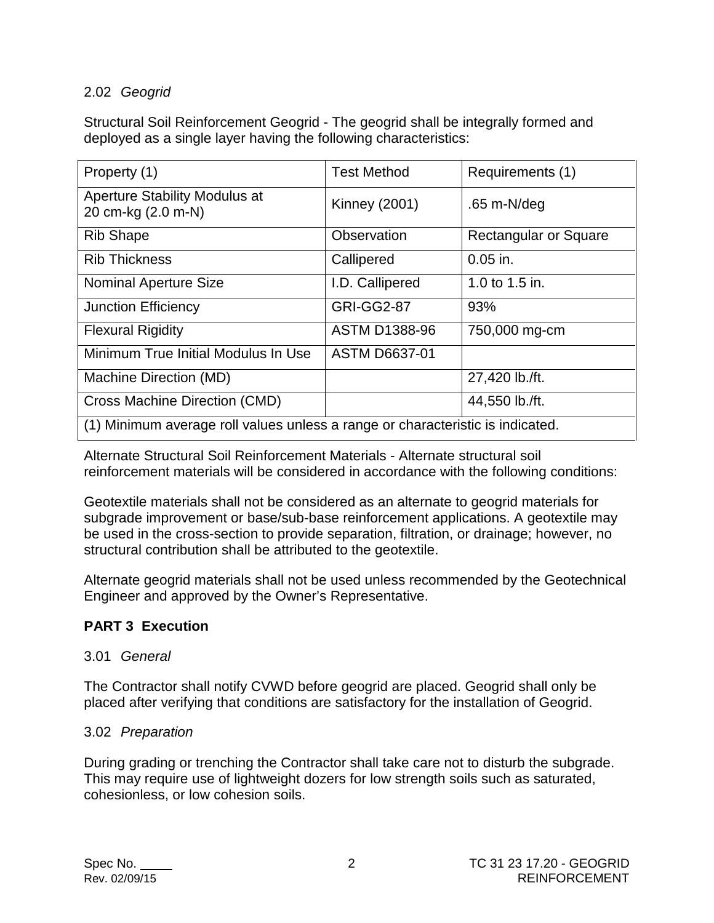## 2.02 *Geogrid*

Structural Soil Reinforcement Geogrid - The geogrid shall be integrally formed and deployed as a single layer having the following characteristics:

| Property (1)                                                                   | <b>Test Method</b>   | Requirements (1)             |  |
|--------------------------------------------------------------------------------|----------------------|------------------------------|--|
| <b>Aperture Stability Modulus at</b><br>20 cm-kg (2.0 m-N)                     | Kinney (2001)        | .65 $m-N/deg$                |  |
| <b>Rib Shape</b>                                                               | Observation          | <b>Rectangular or Square</b> |  |
| <b>Rib Thickness</b>                                                           | Callipered           | $0.05$ in.                   |  |
| <b>Nominal Aperture Size</b>                                                   | I.D. Callipered      | 1.0 to 1.5 in.               |  |
| <b>Junction Efficiency</b>                                                     | <b>GRI-GG2-87</b>    | 93%                          |  |
| <b>Flexural Rigidity</b>                                                       | <b>ASTM D1388-96</b> | 750,000 mg-cm                |  |
| Minimum True Initial Modulus In Use                                            | <b>ASTM D6637-01</b> |                              |  |
| Machine Direction (MD)                                                         |                      | 27,420 lb./ft.               |  |
| Cross Machine Direction (CMD)                                                  |                      | 44,550 lb./ft.               |  |
| (1) Minimum average roll values unless a range or characteristic is indicated. |                      |                              |  |

Alternate Structural Soil Reinforcement Materials - Alternate structural soil reinforcement materials will be considered in accordance with the following conditions:

Geotextile materials shall not be considered as an alternate to geogrid materials for subgrade improvement or base/sub-base reinforcement applications. A geotextile may be used in the cross-section to provide separation, filtration, or drainage; however, no structural contribution shall be attributed to the geotextile.

Alternate geogrid materials shall not be used unless recommended by the Geotechnical Engineer and approved by the Owner's Representative.

# **PART 3 Execution**

## 3.01 *General*

The Contractor shall notify CVWD before geogrid are placed. Geogrid shall only be placed after verifying that conditions are satisfactory for the installation of Geogrid.

## 3.02 *Preparation*

During grading or trenching the Contractor shall take care not to disturb the subgrade. This may require use of lightweight dozers for low strength soils such as saturated, cohesionless, or low cohesion soils.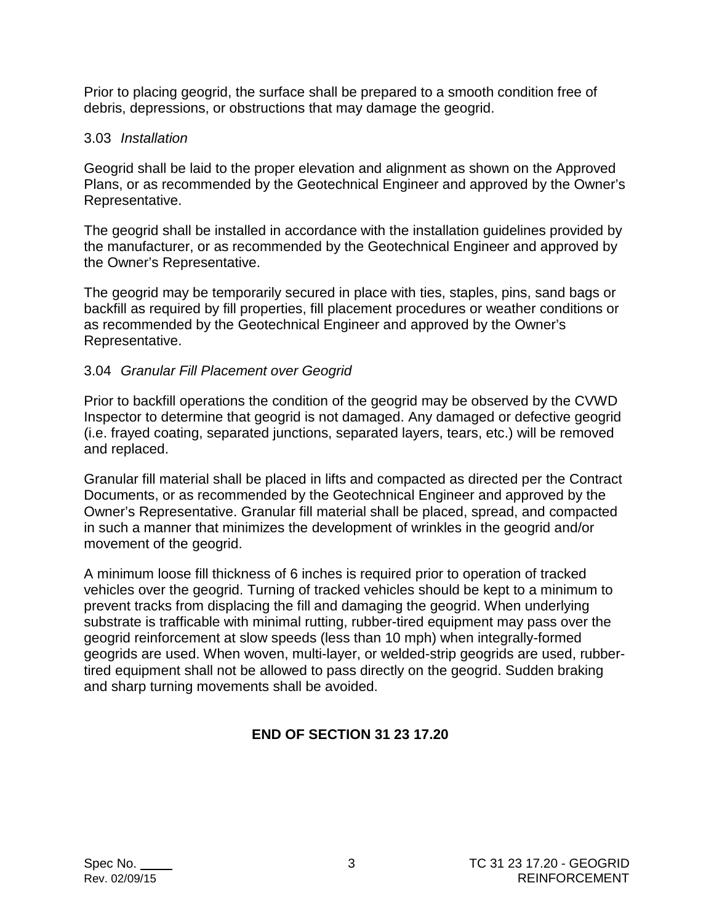Prior to placing geogrid, the surface shall be prepared to a smooth condition free of debris, depressions, or obstructions that may damage the geogrid.

# 3.03 *Installation*

Geogrid shall be laid to the proper elevation and alignment as shown on the Approved Plans, or as recommended by the Geotechnical Engineer and approved by the Owner's Representative.

The geogrid shall be installed in accordance with the installation guidelines provided by the manufacturer, or as recommended by the Geotechnical Engineer and approved by the Owner's Representative.

The geogrid may be temporarily secured in place with ties, staples, pins, sand bags or backfill as required by fill properties, fill placement procedures or weather conditions or as recommended by the Geotechnical Engineer and approved by the Owner's Representative.

## 3.04 *Granular Fill Placement over Geogrid*

Prior to backfill operations the condition of the geogrid may be observed by the CVWD Inspector to determine that geogrid is not damaged. Any damaged or defective geogrid (i.e. frayed coating, separated junctions, separated layers, tears, etc.) will be removed and replaced.

Granular fill material shall be placed in lifts and compacted as directed per the Contract Documents, or as recommended by the Geotechnical Engineer and approved by the Owner's Representative. Granular fill material shall be placed, spread, and compacted in such a manner that minimizes the development of wrinkles in the geogrid and/or movement of the geogrid.

A minimum loose fill thickness of 6 inches is required prior to operation of tracked vehicles over the geogrid. Turning of tracked vehicles should be kept to a minimum to prevent tracks from displacing the fill and damaging the geogrid. When underlying substrate is trafficable with minimal rutting, rubber-tired equipment may pass over the geogrid reinforcement at slow speeds (less than 10 mph) when integrally-formed geogrids are used. When woven, multi-layer, or welded-strip geogrids are used, rubbertired equipment shall not be allowed to pass directly on the geogrid. Sudden braking and sharp turning movements shall be avoided.

# **END OF SECTION 31 23 17.20**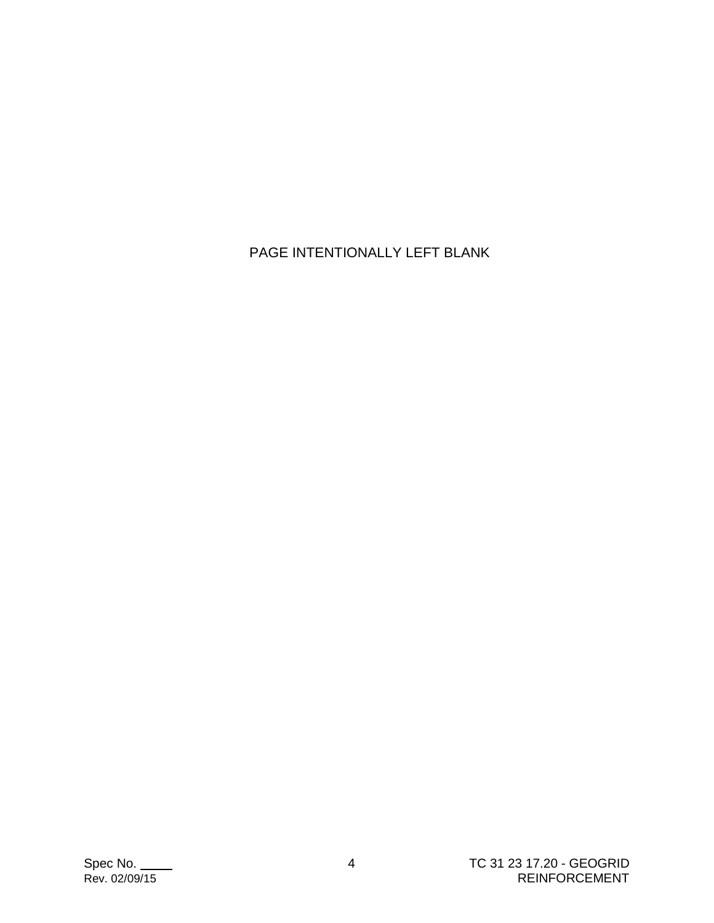PAGE INTENTIONALLY LEFT BLANK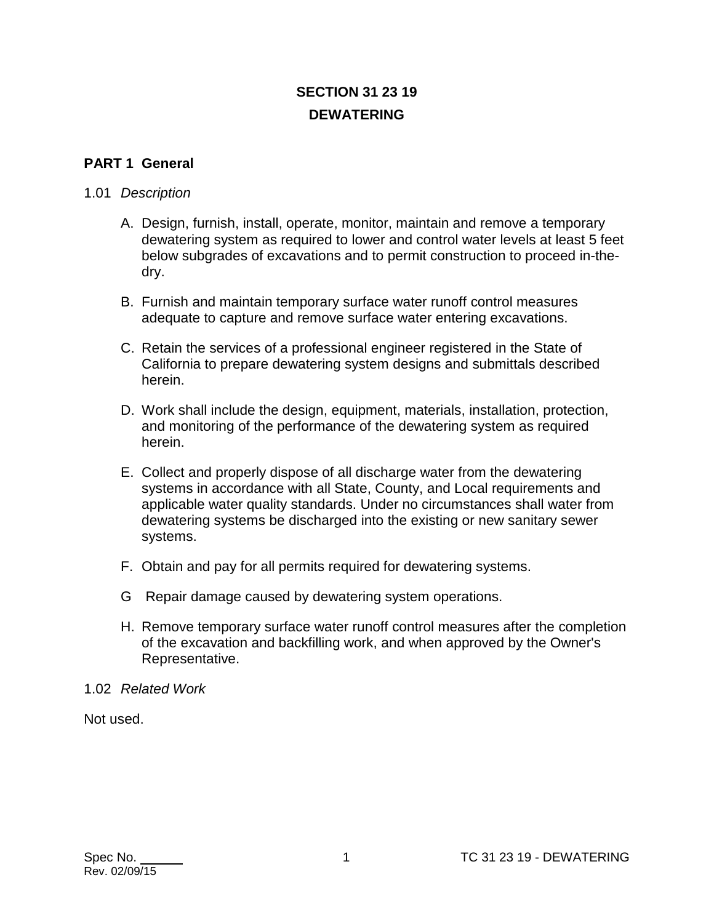# **SECTION 31 23 19 DEWATERING**

#### **PART 1 General**

#### 1.01 *Description*

- A. Design, furnish, install, operate, monitor, maintain and remove a temporary dewatering system as required to lower and control water levels at least 5 feet below subgrades of excavations and to permit construction to proceed in-thedry.
- B. Furnish and maintain temporary surface water runoff control measures adequate to capture and remove surface water entering excavations.
- C. Retain the services of a professional engineer registered in the State of California to prepare dewatering system designs and submittals described herein.
- D. Work shall include the design, equipment, materials, installation, protection, and monitoring of the performance of the dewatering system as required herein.
- E. Collect and properly dispose of all discharge water from the dewatering systems in accordance with all State, County, and Local requirements and applicable water quality standards. Under no circumstances shall water from dewatering systems be discharged into the existing or new sanitary sewer systems.
- F. Obtain and pay for all permits required for dewatering systems.
- G Repair damage caused by dewatering system operations.
- H. Remove temporary surface water runoff control measures after the completion of the excavation and backfilling work, and when approved by the Owner's Representative.
- 1.02 *Related Work*

Not used.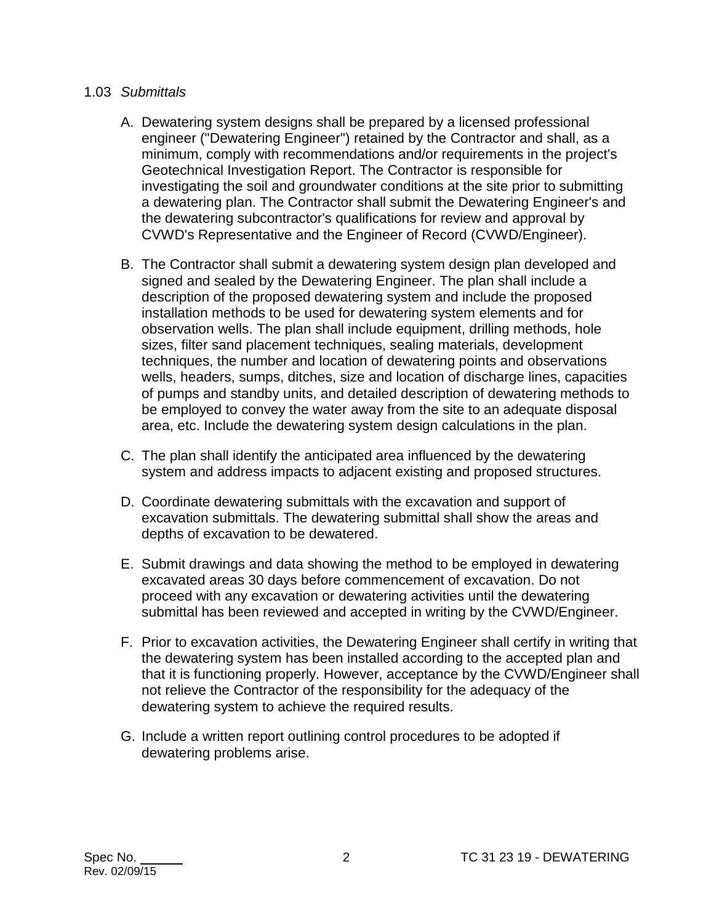#### 1.03 *Submittals*

- A. Dewatering system designs shall be prepared by a licensed professional engineer ("Dewatering Engineer") retained by the Contractor and shall, as a minimum, comply with recommendations and/or requirements in the project's Geotechnical Investigation Report. The Contractor is responsible for investigating the soil and groundwater conditions at the site prior to submitting a dewatering plan. The Contractor shall submit the Dewatering Engineer's and the dewatering subcontractor's qualifications for review and approval by CVWD's Representative and the Engineer of Record (CVWD/Engineer).
- B. The Contractor shall submit a dewatering system design plan developed and signed and sealed by the Dewatering Engineer. The plan shall include a description of the proposed dewatering system and include the proposed installation methods to be used for dewatering system elements and for observation wells. The plan shall include equipment, drilling methods, hole sizes, filter sand placement techniques, sealing materials, development techniques, the number and location of dewatering points and observations wells, headers, sumps, ditches, size and location of discharge lines, capacities of pumps and standby units, and detailed description of dewatering methods to be employed to convey the water away from the site to an adequate disposal area, etc. Include the dewatering system design calculations in the plan.
- C. The plan shall identify the anticipated area influenced by the dewatering system and address impacts to adjacent existing and proposed structures.
- D. Coordinate dewatering submittals with the excavation and support of excavation submittals. The dewatering submittal shall show the areas and depths of excavation to be dewatered.
- E. Submit drawings and data showing the method to be employed in dewatering excavated areas 30 days before commencement of excavation. Do not proceed with any excavation or dewatering activities until the dewatering submittal has been reviewed and accepted in writing by the CVWD/Engineer.
- F. Prior to excavation activities, the Dewatering Engineer shall certify in writing that the dewatering system has been installed according to the accepted plan and that it is functioning properly. However, acceptance by the CVWD/Engineer shall not relieve the Contractor of the responsibility for the adequacy of the dewatering system to achieve the required results.
- G. Include a written report outlining control procedures to be adopted if dewatering problems arise.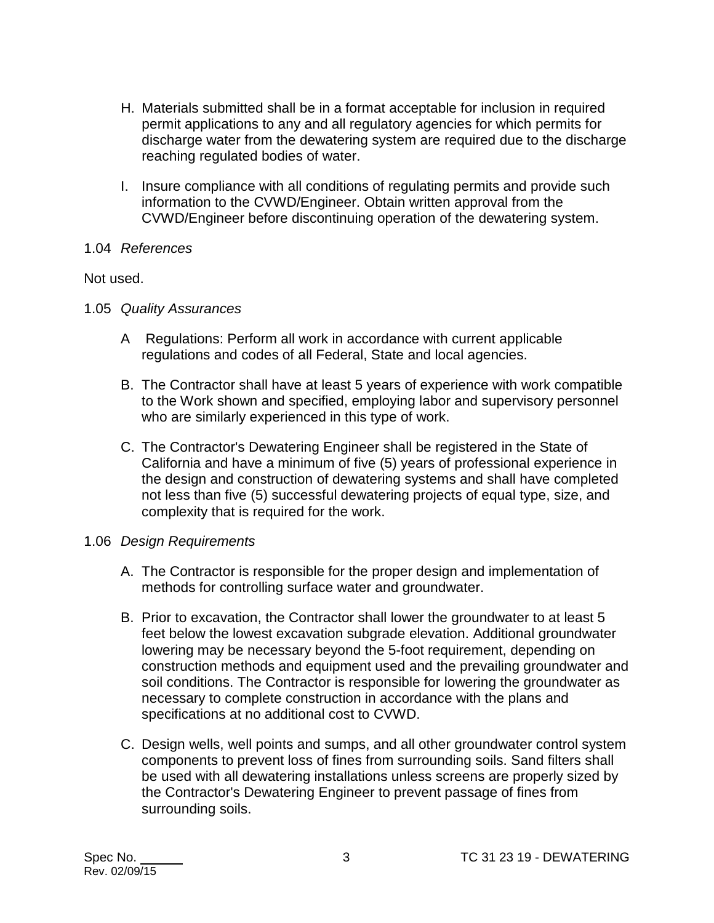- H. Materials submitted shall be in a format acceptable for inclusion in required permit applications to any and all regulatory agencies for which permits for discharge water from the dewatering system are required due to the discharge reaching regulated bodies of water.
- I. Insure compliance with all conditions of regulating permits and provide such information to the CVWD/Engineer. Obtain written approval from the CVWD/Engineer before discontinuing operation of the dewatering system.

#### 1.04 *References*

## Not used.

- 1.05 *Quality Assurances*
	- A Regulations: Perform all work in accordance with current applicable regulations and codes of all Federal, State and local agencies.
	- B. The Contractor shall have at least 5 years of experience with work compatible to the Work shown and specified, employing labor and supervisory personnel who are similarly experienced in this type of work.
	- C. The Contractor's Dewatering Engineer shall be registered in the State of California and have a minimum of five (5) years of professional experience in the design and construction of dewatering systems and shall have completed not less than five (5) successful dewatering projects of equal type, size, and complexity that is required for the work.
- 1.06 *Design Requirements*
	- A. The Contractor is responsible for the proper design and implementation of methods for controlling surface water and groundwater.
	- B. Prior to excavation, the Contractor shall lower the groundwater to at least 5 feet below the lowest excavation subgrade elevation. Additional groundwater lowering may be necessary beyond the 5-foot requirement, depending on construction methods and equipment used and the prevailing groundwater and soil conditions. The Contractor is responsible for lowering the groundwater as necessary to complete construction in accordance with the plans and specifications at no additional cost to CVWD.
	- C. Design wells, well points and sumps, and all other groundwater control system components to prevent loss of fines from surrounding soils. Sand filters shall be used with all dewatering installations unless screens are properly sized by the Contractor's Dewatering Engineer to prevent passage of fines from surrounding soils.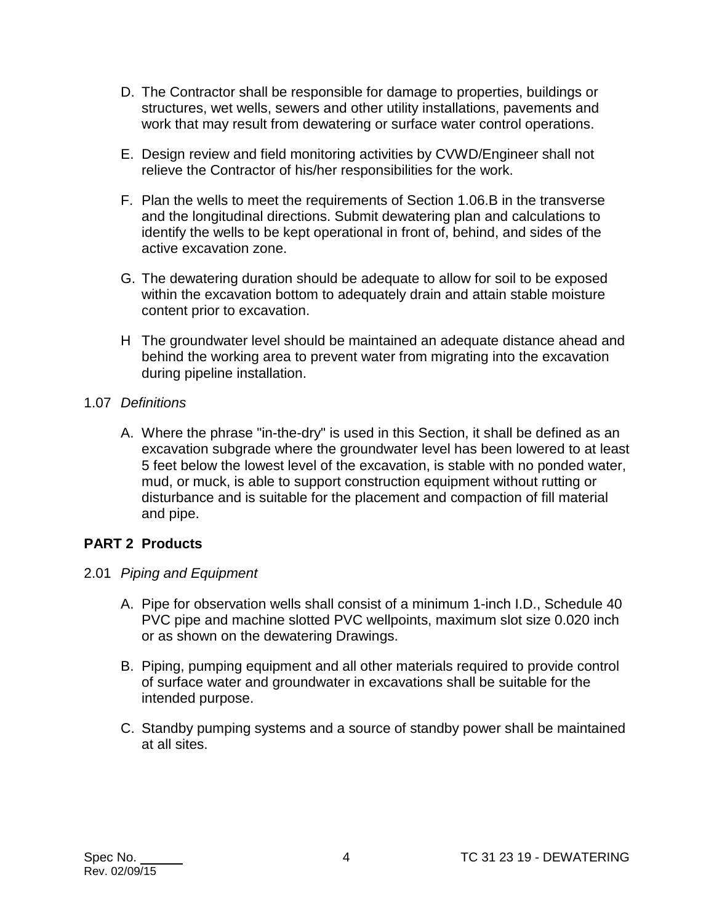- D. The Contractor shall be responsible for damage to properties, buildings or structures, wet wells, sewers and other utility installations, pavements and work that may result from dewatering or surface water control operations.
- E. Design review and field monitoring activities by CVWD/Engineer shall not relieve the Contractor of his/her responsibilities for the work.
- F. Plan the wells to meet the requirements of Section 1.06.B in the transverse and the longitudinal directions. Submit dewatering plan and calculations to identify the wells to be kept operational in front of, behind, and sides of the active excavation zone.
- G. The dewatering duration should be adequate to allow for soil to be exposed within the excavation bottom to adequately drain and attain stable moisture content prior to excavation.
- H The groundwater level should be maintained an adequate distance ahead and behind the working area to prevent water from migrating into the excavation during pipeline installation.
- 1.07 *Definitions*
	- A. Where the phrase "in-the-dry" is used in this Section, it shall be defined as an excavation subgrade where the groundwater level has been lowered to at least 5 feet below the lowest level of the excavation, is stable with no ponded water, mud, or muck, is able to support construction equipment without rutting or disturbance and is suitable for the placement and compaction of fill material and pipe.

# **PART 2 Products**

- 2.01 *Piping and Equipment*
	- A. Pipe for observation wells shall consist of a minimum 1-inch I.D., Schedule 40 PVC pipe and machine slotted PVC wellpoints, maximum slot size 0.020 inch or as shown on the dewatering Drawings.
	- B. Piping, pumping equipment and all other materials required to provide control of surface water and groundwater in excavations shall be suitable for the intended purpose.
	- C. Standby pumping systems and a source of standby power shall be maintained at all sites.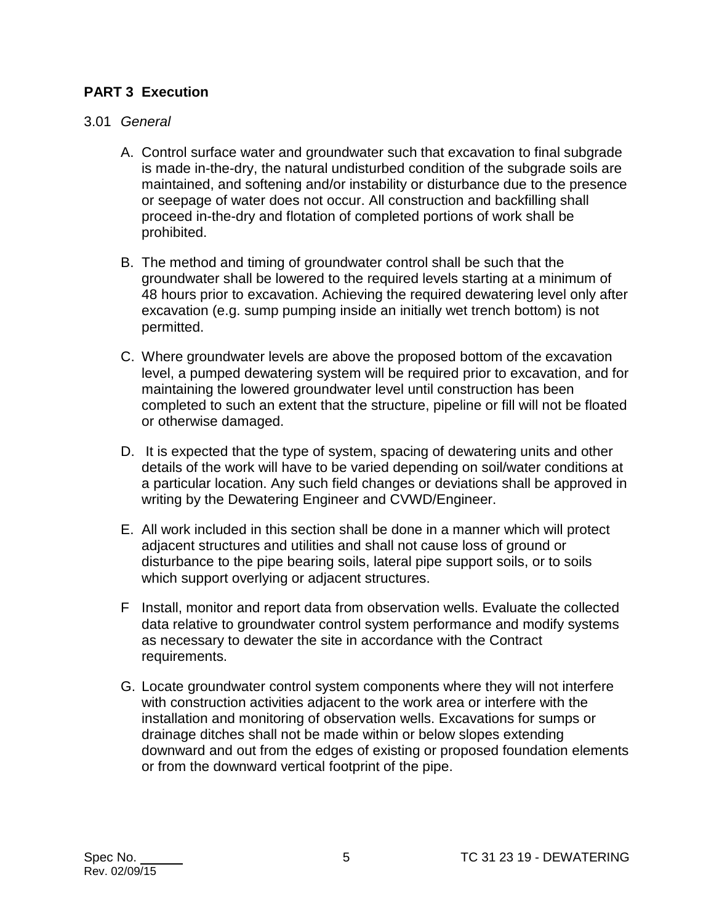## **PART 3 Execution**

#### 3.01 *General*

- A. Control surface water and groundwater such that excavation to final subgrade is made in-the-dry, the natural undisturbed condition of the subgrade soils are maintained, and softening and/or instability or disturbance due to the presence or seepage of water does not occur. All construction and backfilling shall proceed in-the-dry and flotation of completed portions of work shall be prohibited.
- B. The method and timing of groundwater control shall be such that the groundwater shall be lowered to the required levels starting at a minimum of 48 hours prior to excavation. Achieving the required dewatering level only after excavation (e.g. sump pumping inside an initially wet trench bottom) is not permitted.
- C. Where groundwater levels are above the proposed bottom of the excavation level, a pumped dewatering system will be required prior to excavation, and for maintaining the lowered groundwater level until construction has been completed to such an extent that the structure, pipeline or fill will not be floated or otherwise damaged.
- D. It is expected that the type of system, spacing of dewatering units and other details of the work will have to be varied depending on soil/water conditions at a particular location. Any such field changes or deviations shall be approved in writing by the Dewatering Engineer and CVWD/Engineer.
- E. All work included in this section shall be done in a manner which will protect adjacent structures and utilities and shall not cause loss of ground or disturbance to the pipe bearing soils, lateral pipe support soils, or to soils which support overlying or adjacent structures.
- F Install, monitor and report data from observation wells. Evaluate the collected data relative to groundwater control system performance and modify systems as necessary to dewater the site in accordance with the Contract requirements.
- G. Locate groundwater control system components where they will not interfere with construction activities adjacent to the work area or interfere with the installation and monitoring of observation wells. Excavations for sumps or drainage ditches shall not be made within or below slopes extending downward and out from the edges of existing or proposed foundation elements or from the downward vertical footprint of the pipe.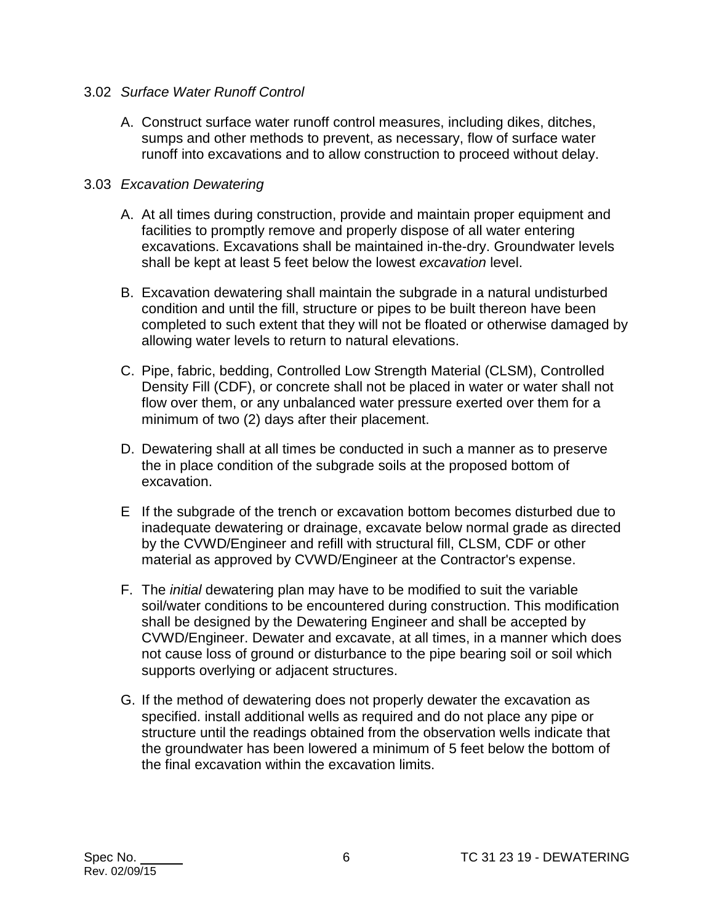#### 3.02 *Surface Water Runoff Control*

A. Construct surface water runoff control measures, including dikes, ditches, sumps and other methods to prevent, as necessary, flow of surface water runoff into excavations and to allow construction to proceed without delay.

#### 3.03 *Excavation Dewatering*

- A. At all times during construction, provide and maintain proper equipment and facilities to promptly remove and properly dispose of all water entering excavations. Excavations shall be maintained in-the-dry. Groundwater levels shall be kept at least 5 feet below the lowest *excavation* level.
- B. Excavation dewatering shall maintain the subgrade in a natural undisturbed condition and until the fill, structure or pipes to be built thereon have been completed to such extent that they will not be floated or otherwise damaged by allowing water levels to return to natural elevations.
- C. Pipe, fabric, bedding, Controlled Low Strength Material (CLSM), Controlled Density Fill (CDF), or concrete shall not be placed in water or water shall not flow over them, or any unbalanced water pressure exerted over them for a minimum of two (2) days after their placement.
- D. Dewatering shall at all times be conducted in such a manner as to preserve the in place condition of the subgrade soils at the proposed bottom of excavation.
- E If the subgrade of the trench or excavation bottom becomes disturbed due to inadequate dewatering or drainage, excavate below normal grade as directed by the CVWD/Engineer and refill with structural fill, CLSM, CDF or other material as approved by CVWD/Engineer at the Contractor's expense.
- F. The *initial* dewatering plan may have to be modified to suit the variable soil/water conditions to be encountered during construction. This modification shall be designed by the Dewatering Engineer and shall be accepted by CVWD/Engineer. Dewater and excavate, at all times, in a manner which does not cause loss of ground or disturbance to the pipe bearing soil or soil which supports overlying or adjacent structures.
- G. If the method of dewatering does not properly dewater the excavation as specified. install additional wells as required and do not place any pipe or structure until the readings obtained from the observation wells indicate that the groundwater has been lowered a minimum of 5 feet below the bottom of the final excavation within the excavation limits.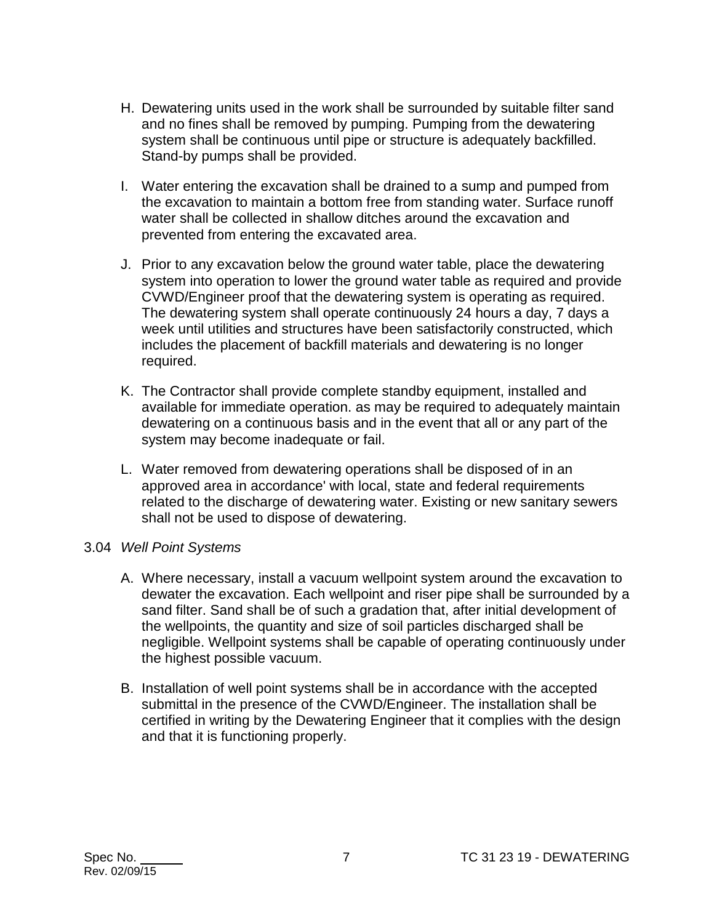- H. Dewatering units used in the work shall be surrounded by suitable filter sand and no fines shall be removed by pumping. Pumping from the dewatering system shall be continuous until pipe or structure is adequately backfilled. Stand-by pumps shall be provided.
- I. Water entering the excavation shall be drained to a sump and pumped from the excavation to maintain a bottom free from standing water. Surface runoff water shall be collected in shallow ditches around the excavation and prevented from entering the excavated area.
- J. Prior to any excavation below the ground water table, place the dewatering system into operation to lower the ground water table as required and provide CVWD/Engineer proof that the dewatering system is operating as required. The dewatering system shall operate continuously 24 hours a day, 7 days a week until utilities and structures have been satisfactorily constructed, which includes the placement of backfill materials and dewatering is no longer required.
- K. The Contractor shall provide complete standby equipment, installed and available for immediate operation. as may be required to adequately maintain dewatering on a continuous basis and in the event that all or any part of the system may become inadequate or fail.
- L. Water removed from dewatering operations shall be disposed of in an approved area in accordance' with local, state and federal requirements related to the discharge of dewatering water. Existing or new sanitary sewers shall not be used to dispose of dewatering.
- 3.04 *Well Point Systems*
	- A. Where necessary, install a vacuum wellpoint system around the excavation to dewater the excavation. Each wellpoint and riser pipe shall be surrounded by a sand filter. Sand shall be of such a gradation that, after initial development of the wellpoints, the quantity and size of soil particles discharged shall be negligible. Wellpoint systems shall be capable of operating continuously under the highest possible vacuum.
	- B. Installation of well point systems shall be in accordance with the accepted submittal in the presence of the CVWD/Engineer. The installation shall be certified in writing by the Dewatering Engineer that it complies with the design and that it is functioning properly.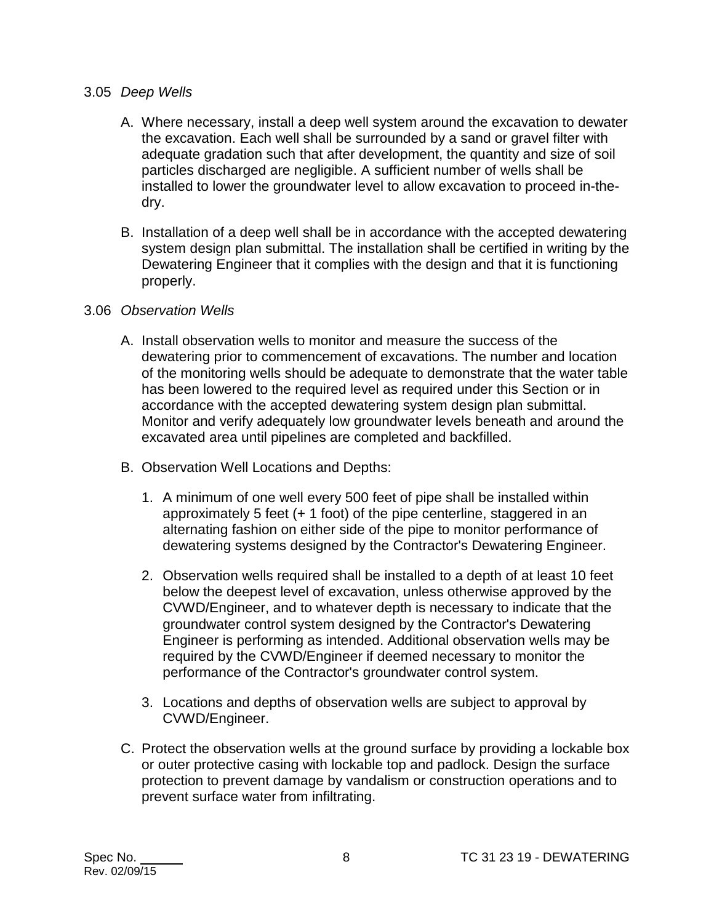#### 3.05 *Deep Wells*

- A. Where necessary, install a deep well system around the excavation to dewater the excavation. Each well shall be surrounded by a sand or gravel filter with adequate gradation such that after development, the quantity and size of soil particles discharged are negligible. A sufficient number of wells shall be installed to lower the groundwater level to allow excavation to proceed in-thedry.
- B. Installation of a deep well shall be in accordance with the accepted dewatering system design plan submittal. The installation shall be certified in writing by the Dewatering Engineer that it complies with the design and that it is functioning properly.

## 3.06 *Observation Wells*

- A. Install observation wells to monitor and measure the success of the dewatering prior to commencement of excavations. The number and location of the monitoring wells should be adequate to demonstrate that the water table has been lowered to the required level as required under this Section or in accordance with the accepted dewatering system design plan submittal. Monitor and verify adequately low groundwater levels beneath and around the excavated area until pipelines are completed and backfilled.
- B. Observation Well Locations and Depths:
	- 1. A minimum of one well every 500 feet of pipe shall be installed within approximately 5 feet (+ 1 foot) of the pipe centerline, staggered in an alternating fashion on either side of the pipe to monitor performance of dewatering systems designed by the Contractor's Dewatering Engineer.
	- 2. Observation wells required shall be installed to a depth of at least 10 feet below the deepest level of excavation, unless otherwise approved by the CVWD/Engineer, and to whatever depth is necessary to indicate that the groundwater control system designed by the Contractor's Dewatering Engineer is performing as intended. Additional observation wells may be required by the CVWD/Engineer if deemed necessary to monitor the performance of the Contractor's groundwater control system.
	- 3. Locations and depths of observation wells are subject to approval by CVWD/Engineer.
- C. Protect the observation wells at the ground surface by providing a lockable box or outer protective casing with lockable top and padlock. Design the surface protection to prevent damage by vandalism or construction operations and to prevent surface water from infiltrating.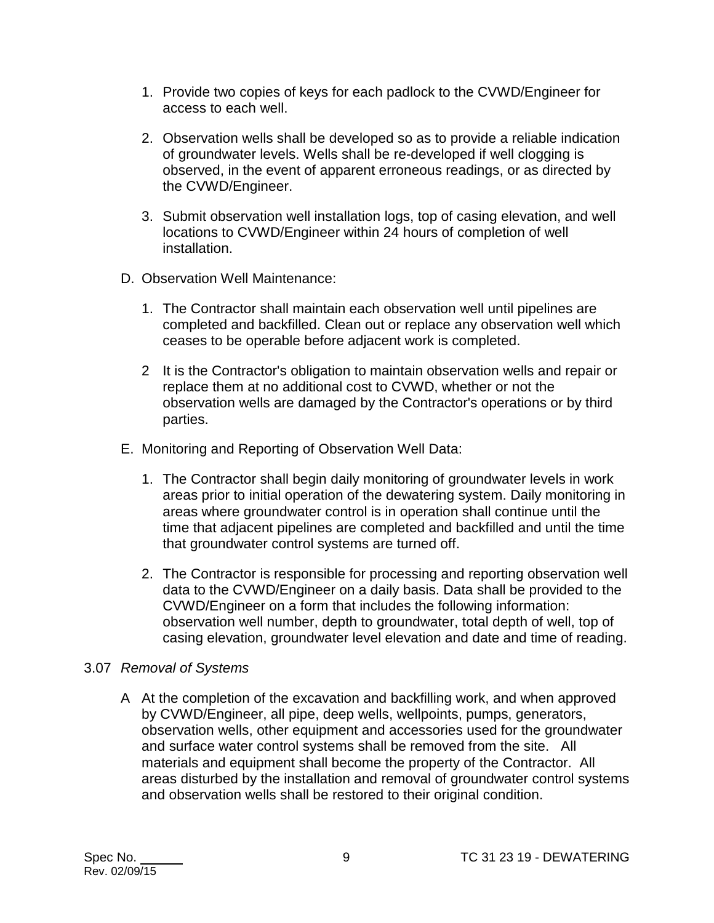- 1. Provide two copies of keys for each padlock to the CVWD/Engineer for access to each well.
- 2. Observation wells shall be developed so as to provide a reliable indication of groundwater levels. Wells shall be re-developed if well clogging is observed, in the event of apparent erroneous readings, or as directed by the CVWD/Engineer.
- 3. Submit observation well installation logs, top of casing elevation, and well locations to CVWD/Engineer within 24 hours of completion of well installation.
- D. Observation Well Maintenance:
	- 1. The Contractor shall maintain each observation well until pipelines are completed and backfilled. Clean out or replace any observation well which ceases to be operable before adjacent work is completed.
	- 2 It is the Contractor's obligation to maintain observation wells and repair or replace them at no additional cost to CVWD, whether or not the observation wells are damaged by the Contractor's operations or by third parties.
- E. Monitoring and Reporting of Observation Well Data:
	- 1. The Contractor shall begin daily monitoring of groundwater levels in work areas prior to initial operation of the dewatering system. Daily monitoring in areas where groundwater control is in operation shall continue until the time that adjacent pipelines are completed and backfilled and until the time that groundwater control systems are turned off.
	- 2. The Contractor is responsible for processing and reporting observation well data to the CVWD/Engineer on a daily basis. Data shall be provided to the CVWD/Engineer on a form that includes the following information: observation well number, depth to groundwater, total depth of well, top of casing elevation, groundwater level elevation and date and time of reading.

# 3.07 *Removal of Systems*

A At the completion of the excavation and backfilling work, and when approved by CVWD/Engineer, all pipe, deep wells, wellpoints, pumps, generators, observation wells, other equipment and accessories used for the groundwater and surface water control systems shall be removed from the site. All materials and equipment shall become the property of the Contractor. All areas disturbed by the installation and removal of groundwater control systems and observation wells shall be restored to their original condition.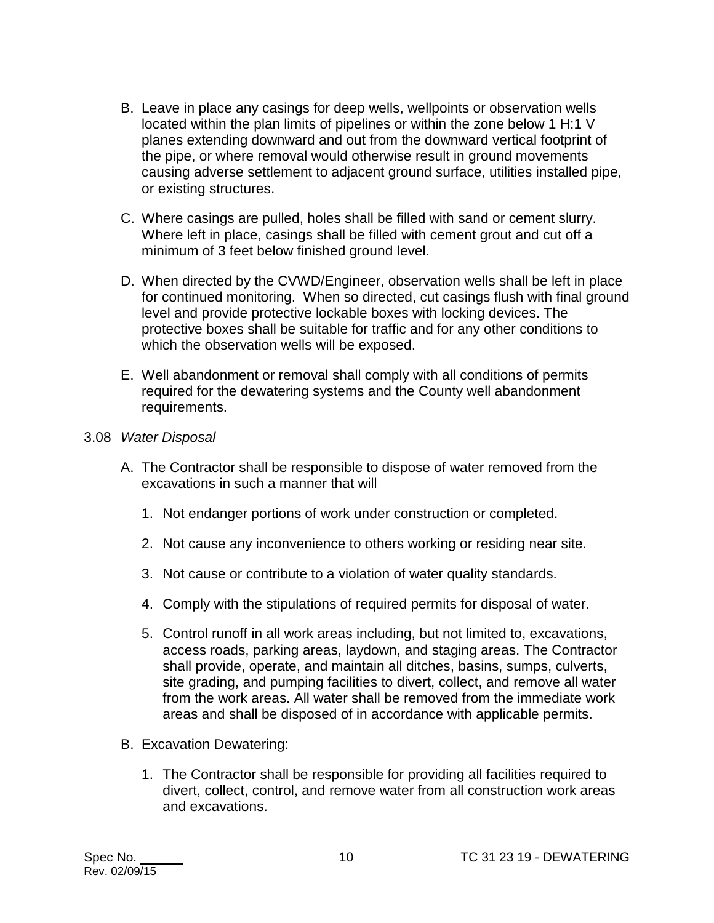- B. Leave in place any casings for deep wells, wellpoints or observation wells located within the plan limits of pipelines or within the zone below 1 H:1 V planes extending downward and out from the downward vertical footprint of the pipe, or where removal would otherwise result in ground movements causing adverse settlement to adjacent ground surface, utilities installed pipe, or existing structures.
- C. Where casings are pulled, holes shall be filled with sand or cement slurry. Where left in place, casings shall be filled with cement grout and cut off a minimum of 3 feet below finished ground level.
- D. When directed by the CVWD/Engineer, observation wells shall be left in place for continued monitoring. When so directed, cut casings flush with final ground level and provide protective lockable boxes with locking devices. The protective boxes shall be suitable for traffic and for any other conditions to which the observation wells will be exposed.
- E. Well abandonment or removal shall comply with all conditions of permits required for the dewatering systems and the County well abandonment requirements.
- 3.08 *Water Disposal*
	- A. The Contractor shall be responsible to dispose of water removed from the excavations in such a manner that will
		- 1. Not endanger portions of work under construction or completed.
		- 2. Not cause any inconvenience to others working or residing near site.
		- 3. Not cause or contribute to a violation of water quality standards.
		- 4. Comply with the stipulations of required permits for disposal of water.
		- 5. Control runoff in all work areas including, but not limited to, excavations, access roads, parking areas, laydown, and staging areas. The Contractor shall provide, operate, and maintain all ditches, basins, sumps, culverts, site grading, and pumping facilities to divert, collect, and remove all water from the work areas. All water shall be removed from the immediate work areas and shall be disposed of in accordance with applicable permits.
	- B. Excavation Dewatering:
		- 1. The Contractor shall be responsible for providing all facilities required to divert, collect, control, and remove water from all construction work areas and excavations.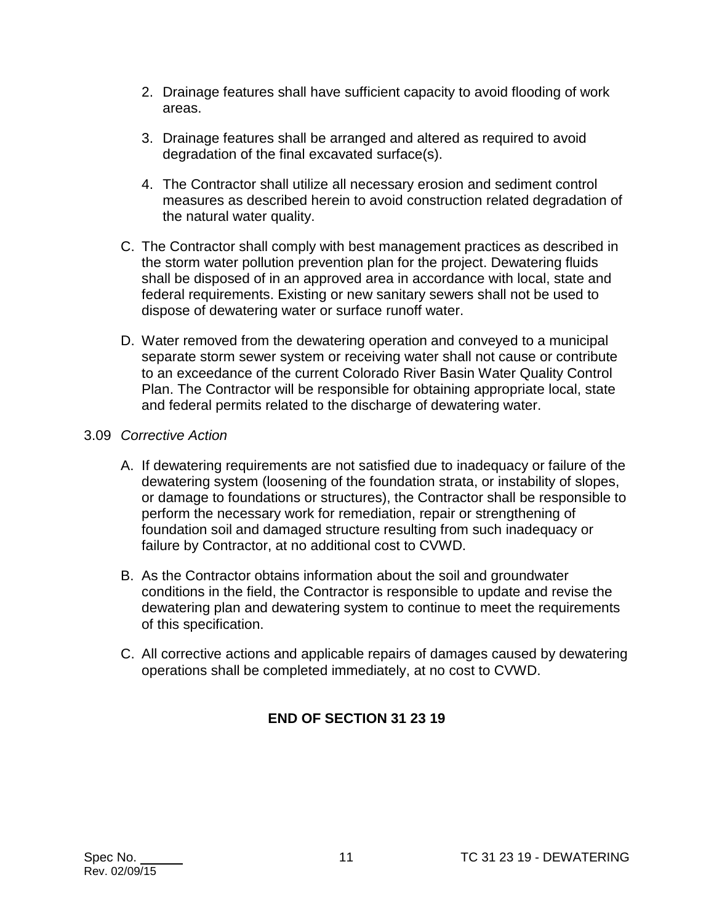- 2. Drainage features shall have sufficient capacity to avoid flooding of work areas.
- 3. Drainage features shall be arranged and altered as required to avoid degradation of the final excavated surface(s).
- 4. The Contractor shall utilize all necessary erosion and sediment control measures as described herein to avoid construction related degradation of the natural water quality.
- C. The Contractor shall comply with best management practices as described in the storm water pollution prevention plan for the project. Dewatering fluids shall be disposed of in an approved area in accordance with local, state and federal requirements. Existing or new sanitary sewers shall not be used to dispose of dewatering water or surface runoff water.
- D. Water removed from the dewatering operation and conveyed to a municipal separate storm sewer system or receiving water shall not cause or contribute to an exceedance of the current Colorado River Basin Water Quality Control Plan. The Contractor will be responsible for obtaining appropriate local, state and federal permits related to the discharge of dewatering water.

## 3.09 *Corrective Action*

- A. If dewatering requirements are not satisfied due to inadequacy or failure of the dewatering system (loosening of the foundation strata, or instability of slopes, or damage to foundations or structures), the Contractor shall be responsible to perform the necessary work for remediation, repair or strengthening of foundation soil and damaged structure resulting from such inadequacy or failure by Contractor, at no additional cost to CVWD.
- B. As the Contractor obtains information about the soil and groundwater conditions in the field, the Contractor is responsible to update and revise the dewatering plan and dewatering system to continue to meet the requirements of this specification.
- C. All corrective actions and applicable repairs of damages caused by dewatering operations shall be completed immediately, at no cost to CVWD.

# **END OF SECTION 31 23 19**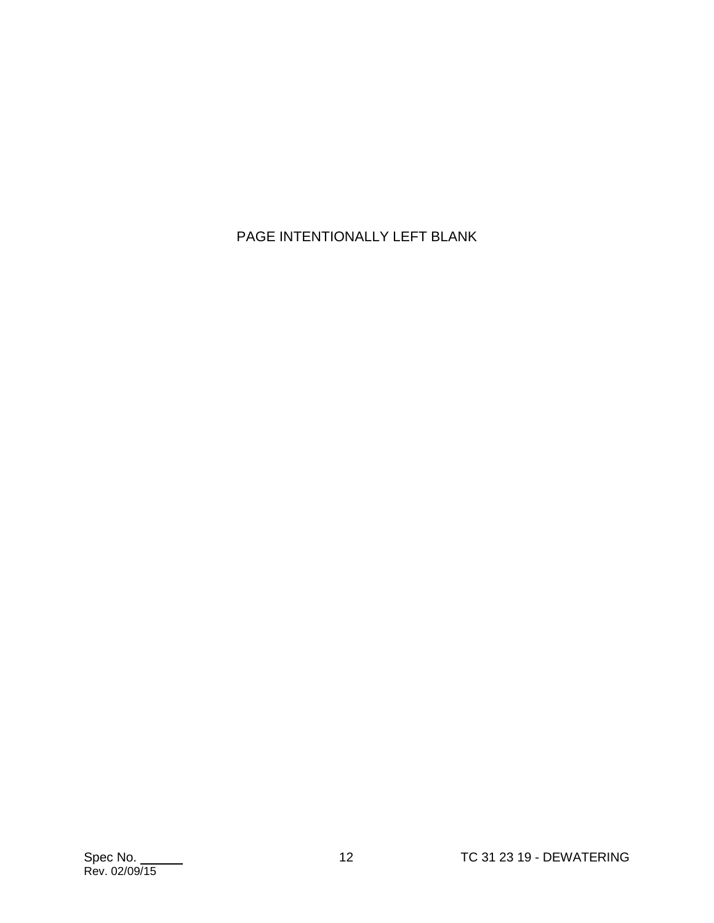PAGE INTENTIONALLY LEFT BLANK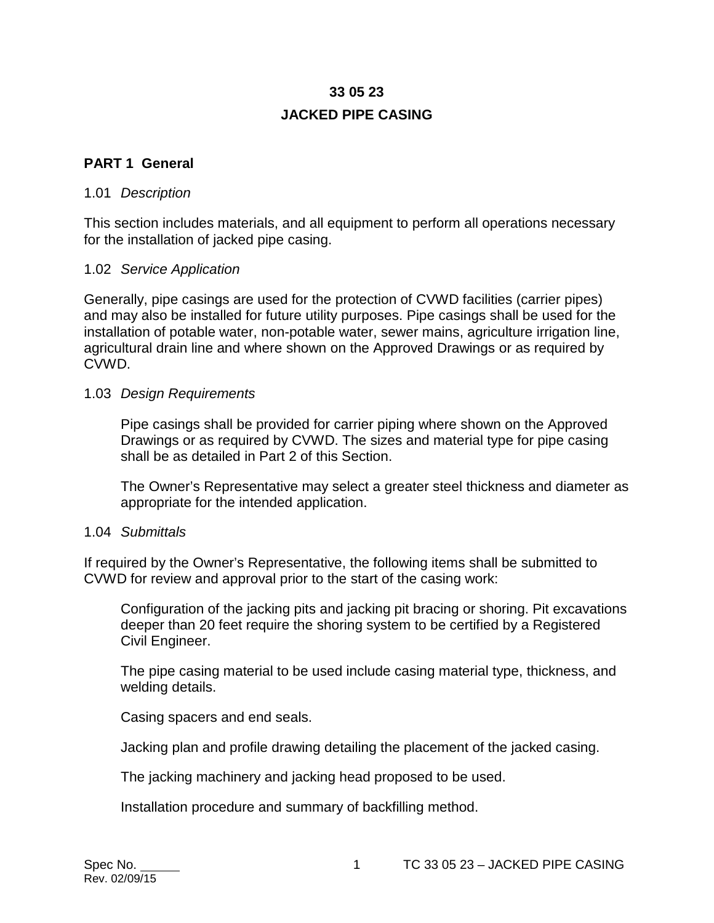# **33 05 23**

# **JACKED PIPE CASING**

# **PART 1 General**

#### 1.01 *Description*

This section includes materials, and all equipment to perform all operations necessary for the installation of jacked pipe casing.

## 1.02 *Service Application*

Generally, pipe casings are used for the protection of CVWD facilities (carrier pipes) and may also be installed for future utility purposes. Pipe casings shall be used for the installation of potable water, non-potable water, sewer mains, agriculture irrigation line, agricultural drain line and where shown on the Approved Drawings or as required by CVWD.

#### 1.03 *Design Requirements*

Pipe casings shall be provided for carrier piping where shown on the Approved Drawings or as required by CVWD. The sizes and material type for pipe casing shall be as detailed in Part 2 of this Section.

The Owner's Representative may select a greater steel thickness and diameter as appropriate for the intended application.

## 1.04 *Submittals*

If required by the Owner's Representative, the following items shall be submitted to CVWD for review and approval prior to the start of the casing work:

Configuration of the jacking pits and jacking pit bracing or shoring. Pit excavations deeper than 20 feet require the shoring system to be certified by a Registered Civil Engineer.

The pipe casing material to be used include casing material type, thickness, and welding details.

Casing spacers and end seals.

Jacking plan and profile drawing detailing the placement of the jacked casing.

The jacking machinery and jacking head proposed to be used.

Installation procedure and summary of backfilling method.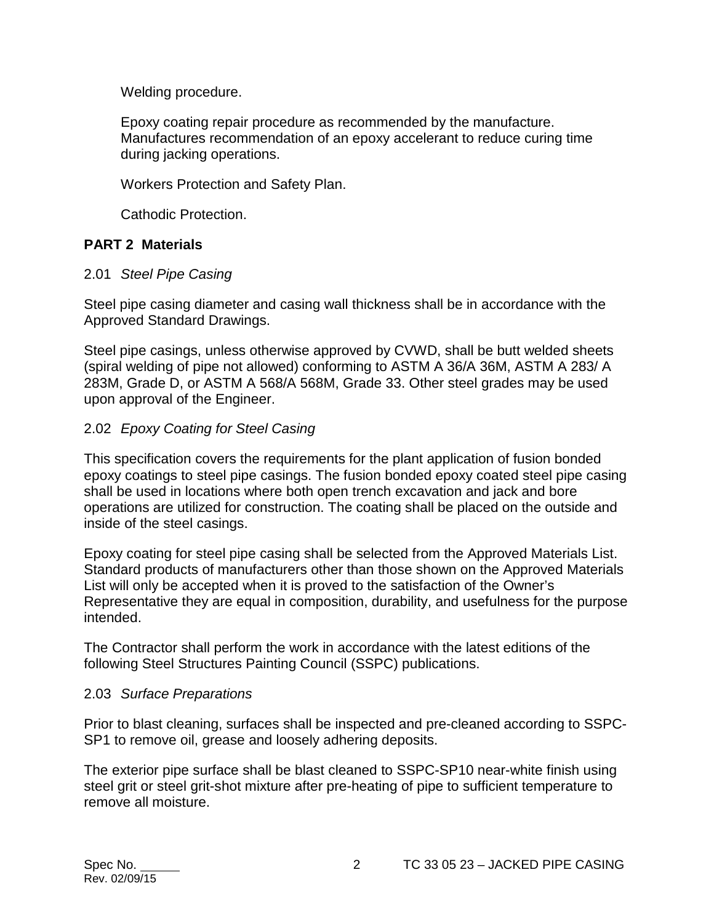Welding procedure.

Epoxy coating repair procedure as recommended by the manufacture. Manufactures recommendation of an epoxy accelerant to reduce curing time during jacking operations.

Workers Protection and Safety Plan.

Cathodic Protection.

## **PART 2 Materials**

#### 2.01 *Steel Pipe Casing*

Steel pipe casing diameter and casing wall thickness shall be in accordance with the Approved Standard Drawings.

Steel pipe casings, unless otherwise approved by CVWD, shall be butt welded sheets (spiral welding of pipe not allowed) conforming to ASTM A 36/A 36M, ASTM A 283/ A 283M, Grade D, or ASTM A 568/A 568M, Grade 33. Other steel grades may be used upon approval of the Engineer.

## 2.02 *Epoxy Coating for Steel Casing*

This specification covers the requirements for the plant application of fusion bonded epoxy coatings to steel pipe casings. The fusion bonded epoxy coated steel pipe casing shall be used in locations where both open trench excavation and jack and bore operations are utilized for construction. The coating shall be placed on the outside and inside of the steel casings.

Epoxy coating for steel pipe casing shall be selected from the Approved Materials List. Standard products of manufacturers other than those shown on the Approved Materials List will only be accepted when it is proved to the satisfaction of the Owner's Representative they are equal in composition, durability, and usefulness for the purpose intended.

The Contractor shall perform the work in accordance with the latest editions of the following Steel Structures Painting Council (SSPC) publications.

## 2.03 *Surface Preparations*

Prior to blast cleaning, surfaces shall be inspected and pre-cleaned according to SSPC-SP1 to remove oil, grease and loosely adhering deposits.

The exterior pipe surface shall be blast cleaned to SSPC-SP10 near-white finish using steel grit or steel grit-shot mixture after pre-heating of pipe to sufficient temperature to remove all moisture.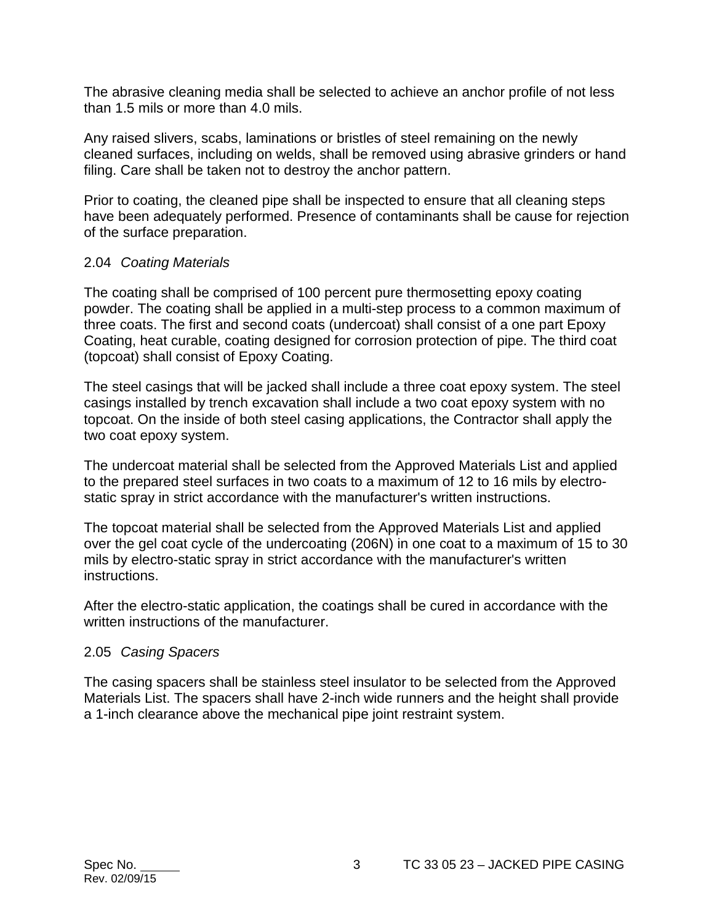The abrasive cleaning media shall be selected to achieve an anchor profile of not less than 1.5 mils or more than 4.0 mils.

Any raised slivers, scabs, laminations or bristles of steel remaining on the newly cleaned surfaces, including on welds, shall be removed using abrasive grinders or hand filing. Care shall be taken not to destroy the anchor pattern.

Prior to coating, the cleaned pipe shall be inspected to ensure that all cleaning steps have been adequately performed. Presence of contaminants shall be cause for rejection of the surface preparation.

#### 2.04 *Coating Materials*

The coating shall be comprised of 100 percent pure thermosetting epoxy coating powder. The coating shall be applied in a multi-step process to a common maximum of three coats. The first and second coats (undercoat) shall consist of a one part Epoxy Coating, heat curable, coating designed for corrosion protection of pipe. The third coat (topcoat) shall consist of Epoxy Coating.

The steel casings that will be jacked shall include a three coat epoxy system. The steel casings installed by trench excavation shall include a two coat epoxy system with no topcoat. On the inside of both steel casing applications, the Contractor shall apply the two coat epoxy system.

The undercoat material shall be selected from the Approved Materials List and applied to the prepared steel surfaces in two coats to a maximum of 12 to 16 mils by electrostatic spray in strict accordance with the manufacturer's written instructions.

The topcoat material shall be selected from the Approved Materials List and applied over the gel coat cycle of the undercoating (206N) in one coat to a maximum of 15 to 30 mils by electro-static spray in strict accordance with the manufacturer's written instructions.

After the electro-static application, the coatings shall be cured in accordance with the written instructions of the manufacturer.

## 2.05 *Casing Spacers*

The casing spacers shall be stainless steel insulator to be selected from the Approved Materials List. The spacers shall have 2-inch wide runners and the height shall provide a 1-inch clearance above the mechanical pipe joint restraint system.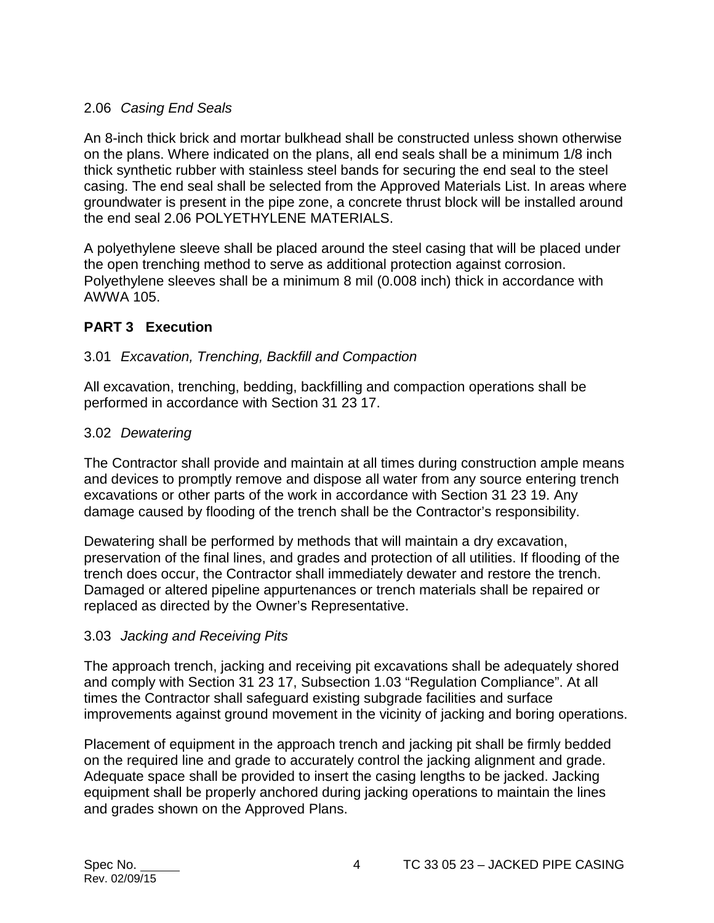# 2.06 *Casing End Seals*

An 8-inch thick brick and mortar bulkhead shall be constructed unless shown otherwise on the plans. Where indicated on the plans, all end seals shall be a minimum 1/8 inch thick synthetic rubber with stainless steel bands for securing the end seal to the steel casing. The end seal shall be selected from the Approved Materials List. In areas where groundwater is present in the pipe zone, a concrete thrust block will be installed around the end seal 2.06 POLYETHYLENE MATERIALS.

A polyethylene sleeve shall be placed around the steel casing that will be placed under the open trenching method to serve as additional protection against corrosion. Polyethylene sleeves shall be a minimum 8 mil (0.008 inch) thick in accordance with AWWA 105.

# **PART 3 Execution**

## 3.01 *Excavation, Trenching, Backfill and Compaction*

All excavation, trenching, bedding, backfilling and compaction operations shall be performed in accordance with Section 31 23 17.

#### 3.02 *Dewatering*

The Contractor shall provide and maintain at all times during construction ample means and devices to promptly remove and dispose all water from any source entering trench excavations or other parts of the work in accordance with Section 31 23 19. Any damage caused by flooding of the trench shall be the Contractor's responsibility.

Dewatering shall be performed by methods that will maintain a dry excavation, preservation of the final lines, and grades and protection of all utilities. If flooding of the trench does occur, the Contractor shall immediately dewater and restore the trench. Damaged or altered pipeline appurtenances or trench materials shall be repaired or replaced as directed by the Owner's Representative.

## 3.03 *Jacking and Receiving Pits*

The approach trench, jacking and receiving pit excavations shall be adequately shored and comply with Section 31 23 17, Subsection 1.03 "Regulation Compliance". At all times the Contractor shall safeguard existing subgrade facilities and surface improvements against ground movement in the vicinity of jacking and boring operations.

Placement of equipment in the approach trench and jacking pit shall be firmly bedded on the required line and grade to accurately control the jacking alignment and grade. Adequate space shall be provided to insert the casing lengths to be jacked. Jacking equipment shall be properly anchored during jacking operations to maintain the lines and grades shown on the Approved Plans.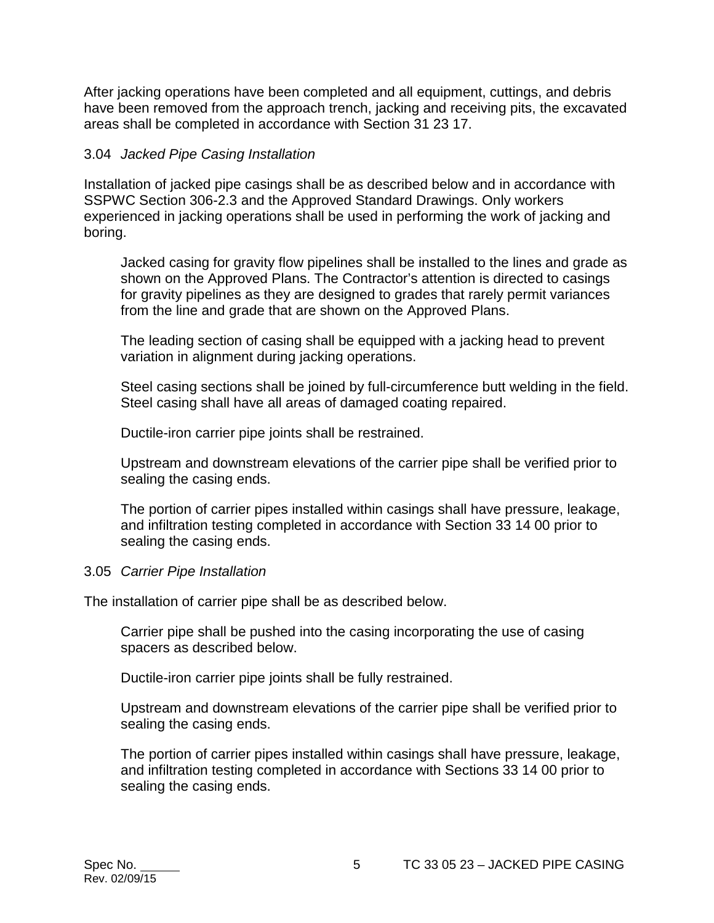After jacking operations have been completed and all equipment, cuttings, and debris have been removed from the approach trench, jacking and receiving pits, the excavated areas shall be completed in accordance with Section 31 23 17.

#### 3.04 *Jacked Pipe Casing Installation*

Installation of jacked pipe casings shall be as described below and in accordance with SSPWC Section 306-2.3 and the Approved Standard Drawings. Only workers experienced in jacking operations shall be used in performing the work of jacking and boring.

Jacked casing for gravity flow pipelines shall be installed to the lines and grade as shown on the Approved Plans. The Contractor's attention is directed to casings for gravity pipelines as they are designed to grades that rarely permit variances from the line and grade that are shown on the Approved Plans.

The leading section of casing shall be equipped with a jacking head to prevent variation in alignment during jacking operations.

Steel casing sections shall be joined by full-circumference butt welding in the field. Steel casing shall have all areas of damaged coating repaired.

Ductile-iron carrier pipe joints shall be restrained.

Upstream and downstream elevations of the carrier pipe shall be verified prior to sealing the casing ends.

The portion of carrier pipes installed within casings shall have pressure, leakage, and infiltration testing completed in accordance with Section 33 14 00 prior to sealing the casing ends.

#### 3.05 *Carrier Pipe Installation*

The installation of carrier pipe shall be as described below.

Carrier pipe shall be pushed into the casing incorporating the use of casing spacers as described below.

Ductile-iron carrier pipe joints shall be fully restrained.

Upstream and downstream elevations of the carrier pipe shall be verified prior to sealing the casing ends.

The portion of carrier pipes installed within casings shall have pressure, leakage, and infiltration testing completed in accordance with Sections 33 14 00 prior to sealing the casing ends.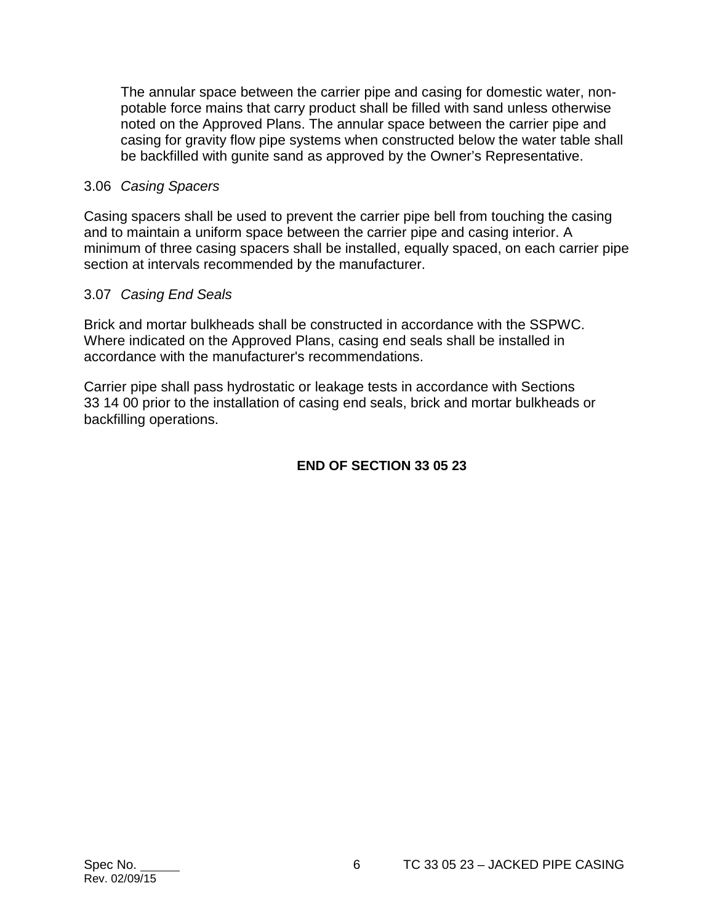The annular space between the carrier pipe and casing for domestic water, nonpotable force mains that carry product shall be filled with sand unless otherwise noted on the Approved Plans. The annular space between the carrier pipe and casing for gravity flow pipe systems when constructed below the water table shall be backfilled with gunite sand as approved by the Owner's Representative.

#### 3.06 *Casing Spacers*

Casing spacers shall be used to prevent the carrier pipe bell from touching the casing and to maintain a uniform space between the carrier pipe and casing interior. A minimum of three casing spacers shall be installed, equally spaced, on each carrier pipe section at intervals recommended by the manufacturer.

#### 3.07 *Casing End Seals*

Brick and mortar bulkheads shall be constructed in accordance with the SSPWC. Where indicated on the Approved Plans, casing end seals shall be installed in accordance with the manufacturer's recommendations.

Carrier pipe shall pass hydrostatic or leakage tests in accordance with Sections 33 14 00 prior to the installation of casing end seals, brick and mortar bulkheads or backfilling operations.

## **END OF SECTION 33 05 23**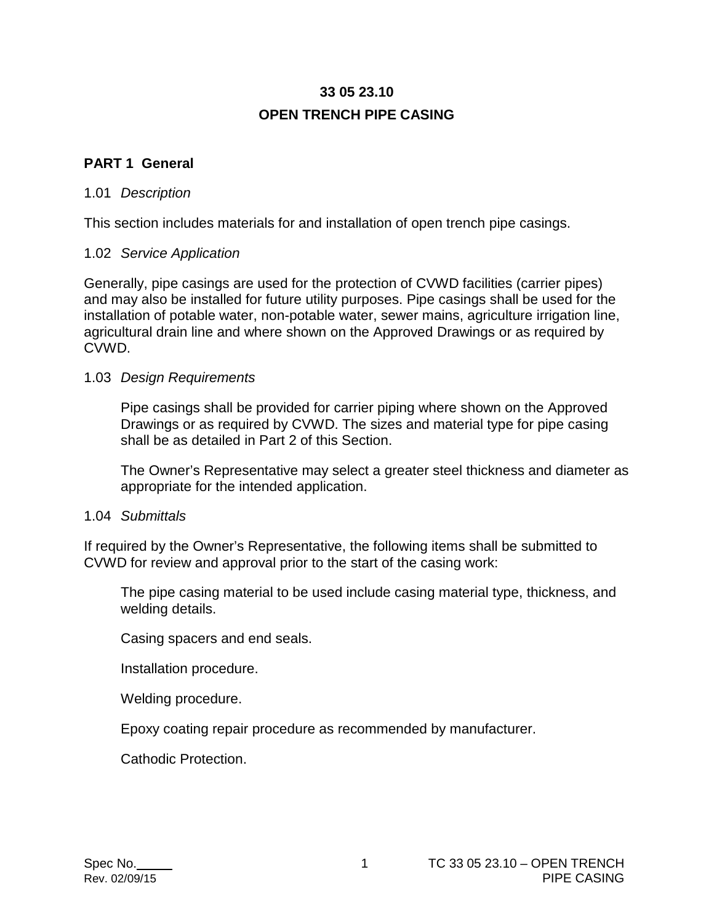# **33 05 23.10 OPEN TRENCH PIPE CASING**

#### **PART 1 General**

#### 1.01 *Description*

This section includes materials for and installation of open trench pipe casings.

#### 1.02 *Service Application*

Generally, pipe casings are used for the protection of CVWD facilities (carrier pipes) and may also be installed for future utility purposes. Pipe casings shall be used for the installation of potable water, non-potable water, sewer mains, agriculture irrigation line, agricultural drain line and where shown on the Approved Drawings or as required by CVWD.

#### 1.03 *Design Requirements*

Pipe casings shall be provided for carrier piping where shown on the Approved Drawings or as required by CVWD. The sizes and material type for pipe casing shall be as detailed in Part 2 of this Section.

The Owner's Representative may select a greater steel thickness and diameter as appropriate for the intended application.

#### 1.04 *Submittals*

If required by the Owner's Representative, the following items shall be submitted to CVWD for review and approval prior to the start of the casing work:

The pipe casing material to be used include casing material type, thickness, and welding details.

Casing spacers and end seals.

Installation procedure.

Welding procedure.

Epoxy coating repair procedure as recommended by manufacturer.

Cathodic Protection.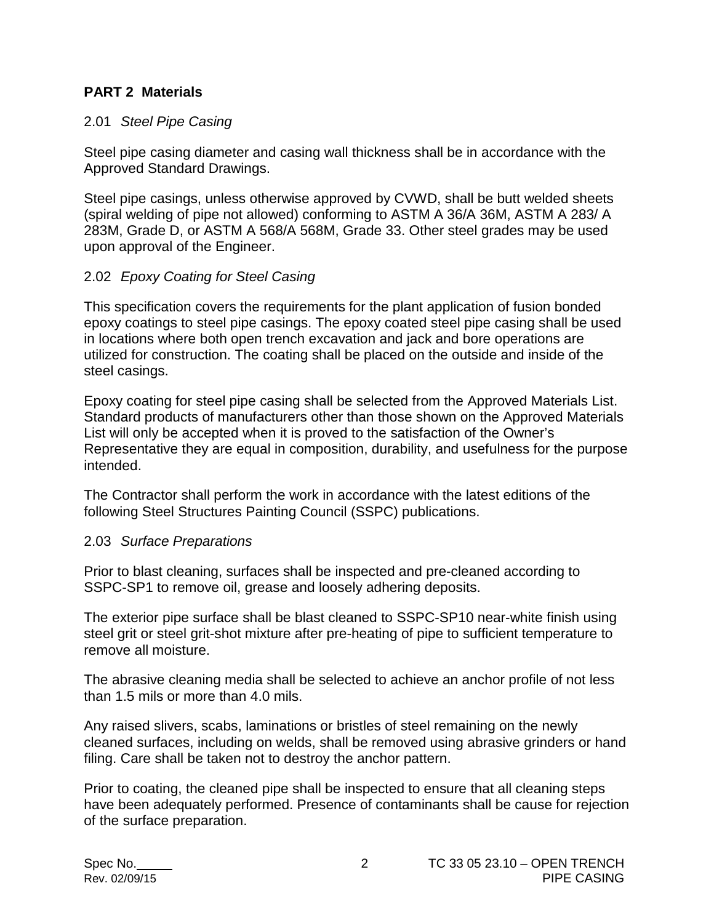## **PART 2 Materials**

#### 2.01 *Steel Pipe Casing*

Steel pipe casing diameter and casing wall thickness shall be in accordance with the Approved Standard Drawings.

Steel pipe casings, unless otherwise approved by CVWD, shall be butt welded sheets (spiral welding of pipe not allowed) conforming to ASTM A 36/A 36M, ASTM A 283/ A 283M, Grade D, or ASTM A 568/A 568M, Grade 33. Other steel grades may be used upon approval of the Engineer.

#### 2.02 *Epoxy Coating for Steel Casing*

This specification covers the requirements for the plant application of fusion bonded epoxy coatings to steel pipe casings. The epoxy coated steel pipe casing shall be used in locations where both open trench excavation and jack and bore operations are utilized for construction. The coating shall be placed on the outside and inside of the steel casings.

Epoxy coating for steel pipe casing shall be selected from the Approved Materials List. Standard products of manufacturers other than those shown on the Approved Materials List will only be accepted when it is proved to the satisfaction of the Owner's Representative they are equal in composition, durability, and usefulness for the purpose intended.

The Contractor shall perform the work in accordance with the latest editions of the following Steel Structures Painting Council (SSPC) publications.

#### 2.03 *Surface Preparations*

Prior to blast cleaning, surfaces shall be inspected and pre-cleaned according to SSPC-SP1 to remove oil, grease and loosely adhering deposits.

The exterior pipe surface shall be blast cleaned to SSPC-SP10 near-white finish using steel grit or steel grit-shot mixture after pre-heating of pipe to sufficient temperature to remove all moisture.

The abrasive cleaning media shall be selected to achieve an anchor profile of not less than 1.5 mils or more than 4.0 mils.

Any raised slivers, scabs, laminations or bristles of steel remaining on the newly cleaned surfaces, including on welds, shall be removed using abrasive grinders or hand filing. Care shall be taken not to destroy the anchor pattern.

Prior to coating, the cleaned pipe shall be inspected to ensure that all cleaning steps have been adequately performed. Presence of contaminants shall be cause for rejection of the surface preparation.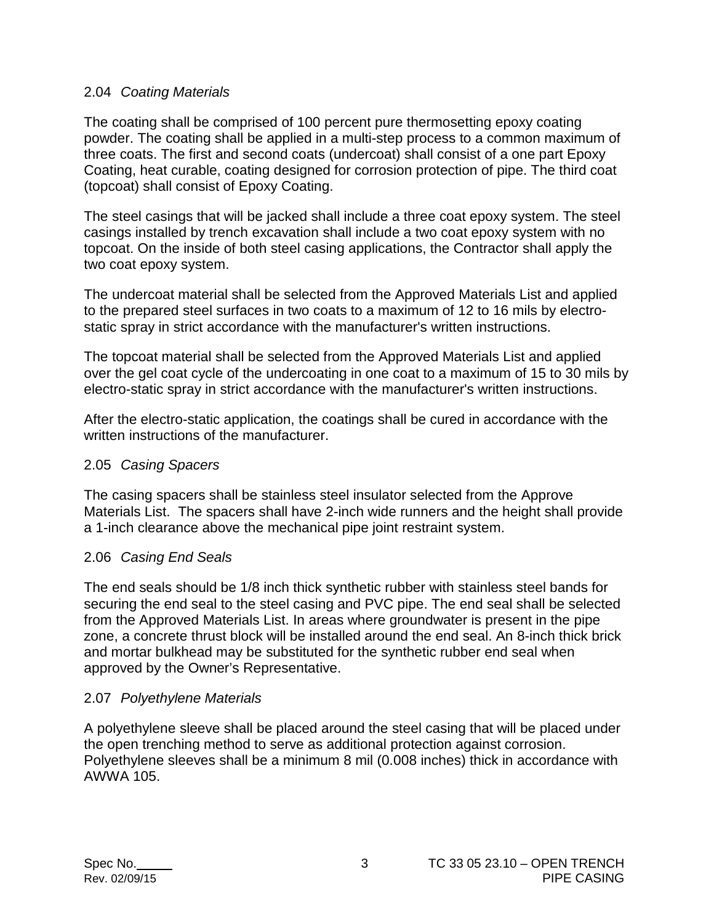## 2.04 *Coating Materials*

The coating shall be comprised of 100 percent pure thermosetting epoxy coating powder. The coating shall be applied in a multi-step process to a common maximum of three coats. The first and second coats (undercoat) shall consist of a one part Epoxy Coating, heat curable, coating designed for corrosion protection of pipe. The third coat (topcoat) shall consist of Epoxy Coating.

The steel casings that will be jacked shall include a three coat epoxy system. The steel casings installed by trench excavation shall include a two coat epoxy system with no topcoat. On the inside of both steel casing applications, the Contractor shall apply the two coat epoxy system.

The undercoat material shall be selected from the Approved Materials List and applied to the prepared steel surfaces in two coats to a maximum of 12 to 16 mils by electrostatic spray in strict accordance with the manufacturer's written instructions.

The topcoat material shall be selected from the Approved Materials List and applied over the gel coat cycle of the undercoating in one coat to a maximum of 15 to 30 mils by electro-static spray in strict accordance with the manufacturer's written instructions.

After the electro-static application, the coatings shall be cured in accordance with the written instructions of the manufacturer.

#### 2.05 *Casing Spacers*

The casing spacers shall be stainless steel insulator selected from the Approve Materials List. The spacers shall have 2-inch wide runners and the height shall provide a 1-inch clearance above the mechanical pipe joint restraint system.

## 2.06 *Casing End Seals*

The end seals should be 1/8 inch thick synthetic rubber with stainless steel bands for securing the end seal to the steel casing and PVC pipe. The end seal shall be selected from the Approved Materials List. In areas where groundwater is present in the pipe zone, a concrete thrust block will be installed around the end seal. An 8-inch thick brick and mortar bulkhead may be substituted for the synthetic rubber end seal when approved by the Owner's Representative.

## 2.07 *Polyethylene Materials*

A polyethylene sleeve shall be placed around the steel casing that will be placed under the open trenching method to serve as additional protection against corrosion. Polyethylene sleeves shall be a minimum 8 mil (0.008 inches) thick in accordance with AWWA 105.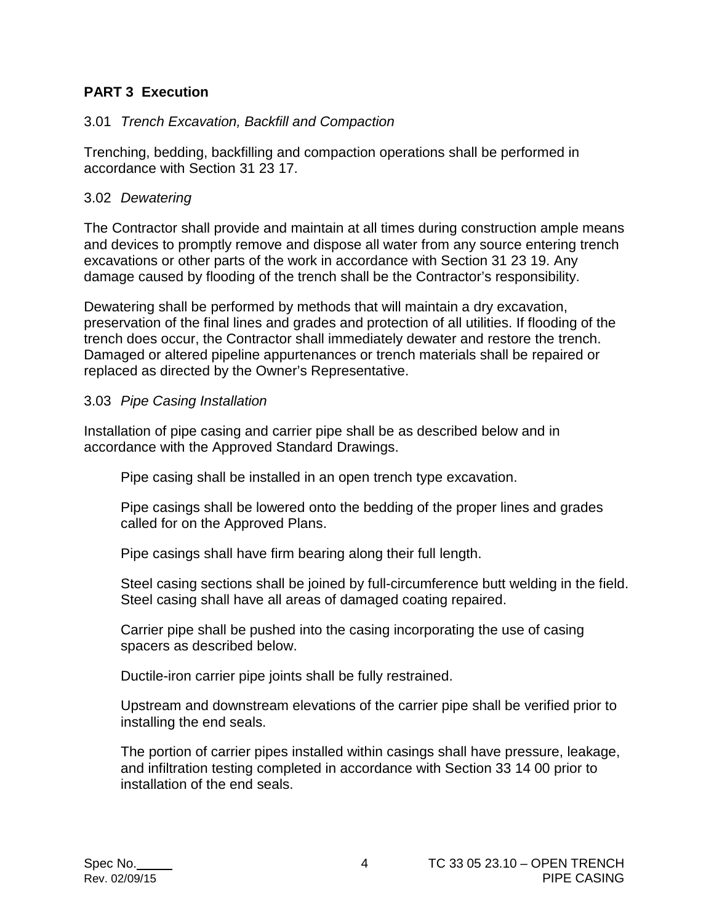# **PART 3 Execution**

## 3.01 *Trench Excavation, Backfill and Compaction*

Trenching, bedding, backfilling and compaction operations shall be performed in accordance with Section 31 23 17.

#### 3.02 *Dewatering*

The Contractor shall provide and maintain at all times during construction ample means and devices to promptly remove and dispose all water from any source entering trench excavations or other parts of the work in accordance with Section 31 23 19. Any damage caused by flooding of the trench shall be the Contractor's responsibility.

Dewatering shall be performed by methods that will maintain a dry excavation, preservation of the final lines and grades and protection of all utilities. If flooding of the trench does occur, the Contractor shall immediately dewater and restore the trench. Damaged or altered pipeline appurtenances or trench materials shall be repaired or replaced as directed by the Owner's Representative.

#### 3.03 *Pipe Casing Installation*

Installation of pipe casing and carrier pipe shall be as described below and in accordance with the Approved Standard Drawings.

Pipe casing shall be installed in an open trench type excavation.

Pipe casings shall be lowered onto the bedding of the proper lines and grades called for on the Approved Plans.

Pipe casings shall have firm bearing along their full length.

Steel casing sections shall be joined by full-circumference butt welding in the field. Steel casing shall have all areas of damaged coating repaired.

Carrier pipe shall be pushed into the casing incorporating the use of casing spacers as described below.

Ductile-iron carrier pipe joints shall be fully restrained.

Upstream and downstream elevations of the carrier pipe shall be verified prior to installing the end seals.

The portion of carrier pipes installed within casings shall have pressure, leakage, and infiltration testing completed in accordance with Section 33 14 00 prior to installation of the end seals.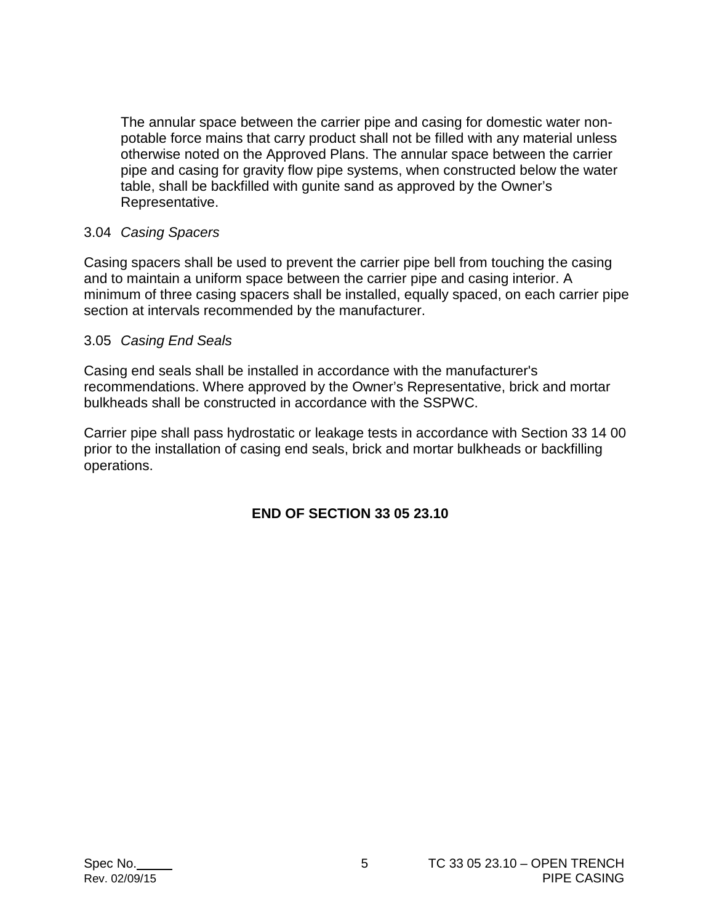The annular space between the carrier pipe and casing for domestic water nonpotable force mains that carry product shall not be filled with any material unless otherwise noted on the Approved Plans. The annular space between the carrier pipe and casing for gravity flow pipe systems, when constructed below the water table, shall be backfilled with gunite sand as approved by the Owner's Representative.

#### 3.04 *Casing Spacers*

Casing spacers shall be used to prevent the carrier pipe bell from touching the casing and to maintain a uniform space between the carrier pipe and casing interior. A minimum of three casing spacers shall be installed, equally spaced, on each carrier pipe section at intervals recommended by the manufacturer.

#### 3.05 *Casing End Seals*

Casing end seals shall be installed in accordance with the manufacturer's recommendations. Where approved by the Owner's Representative, brick and mortar bulkheads shall be constructed in accordance with the SSPWC.

Carrier pipe shall pass hydrostatic or leakage tests in accordance with Section 33 14 00 prior to the installation of casing end seals, brick and mortar bulkheads or backfilling operations.

## **END OF SECTION 33 05 23.10**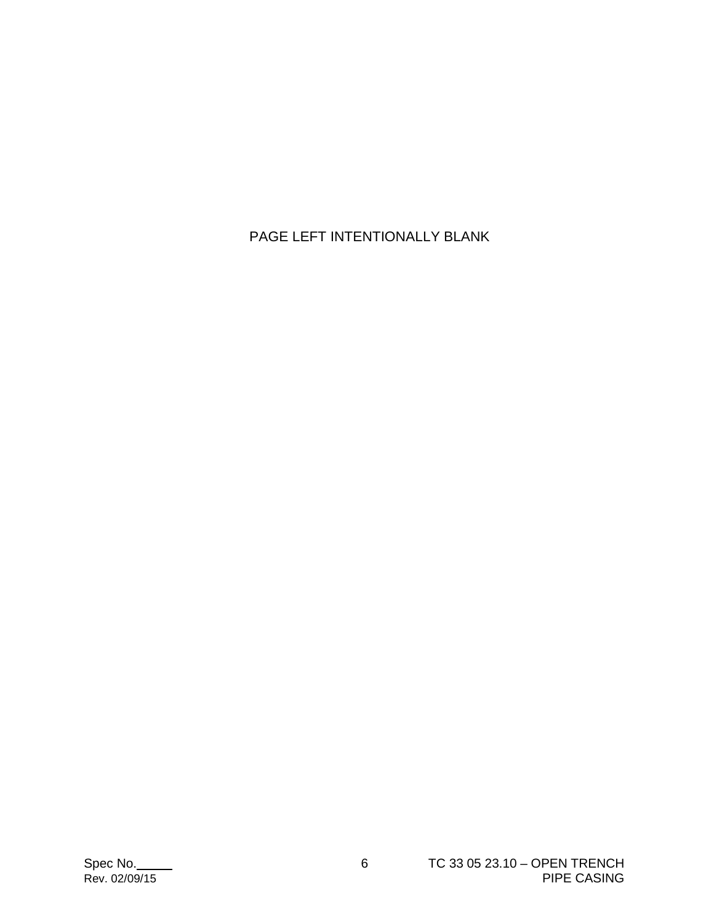PAGE LEFT INTENTIONALLY BLANK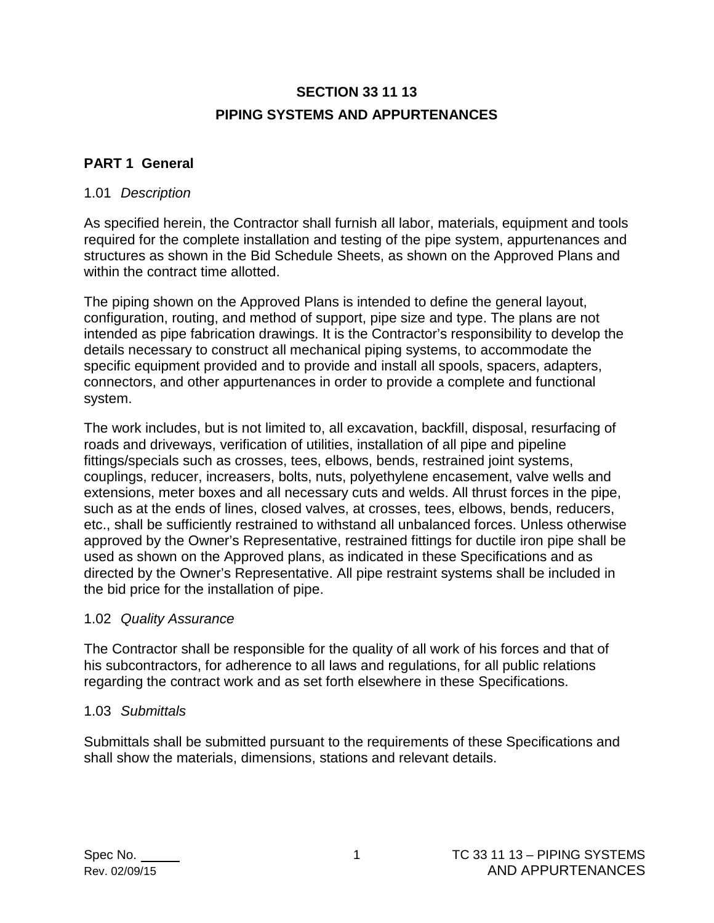# **SECTION 33 11 13 PIPING SYSTEMS AND APPURTENANCES**

# **PART 1 General**

## 1.01 *Description*

As specified herein, the Contractor shall furnish all labor, materials, equipment and tools required for the complete installation and testing of the pipe system, appurtenances and structures as shown in the Bid Schedule Sheets, as shown on the Approved Plans and within the contract time allotted.

The piping shown on the Approved Plans is intended to define the general layout, configuration, routing, and method of support, pipe size and type. The plans are not intended as pipe fabrication drawings. It is the Contractor's responsibility to develop the details necessary to construct all mechanical piping systems, to accommodate the specific equipment provided and to provide and install all spools, spacers, adapters, connectors, and other appurtenances in order to provide a complete and functional system.

The work includes, but is not limited to, all excavation, backfill, disposal, resurfacing of roads and driveways, verification of utilities, installation of all pipe and pipeline fittings/specials such as crosses, tees, elbows, bends, restrained joint systems, couplings, reducer, increasers, bolts, nuts, polyethylene encasement, valve wells and extensions, meter boxes and all necessary cuts and welds. All thrust forces in the pipe, such as at the ends of lines, closed valves, at crosses, tees, elbows, bends, reducers, etc., shall be sufficiently restrained to withstand all unbalanced forces. Unless otherwise approved by the Owner's Representative, restrained fittings for ductile iron pipe shall be used as shown on the Approved plans, as indicated in these Specifications and as directed by the Owner's Representative. All pipe restraint systems shall be included in the bid price for the installation of pipe.

## 1.02 *Quality Assurance*

The Contractor shall be responsible for the quality of all work of his forces and that of his subcontractors, for adherence to all laws and regulations, for all public relations regarding the contract work and as set forth elsewhere in these Specifications.

## 1.03 *Submittals*

Submittals shall be submitted pursuant to the requirements of these Specifications and shall show the materials, dimensions, stations and relevant details.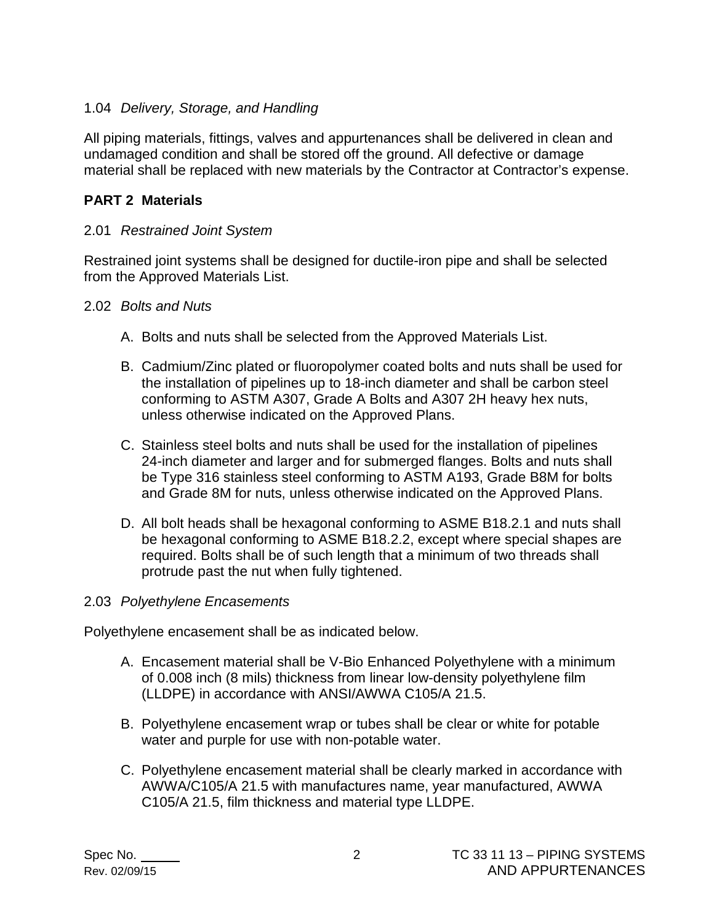# 1.04 *Delivery, Storage, and Handling*

All piping materials, fittings, valves and appurtenances shall be delivered in clean and undamaged condition and shall be stored off the ground. All defective or damage material shall be replaced with new materials by the Contractor at Contractor's expense.

# **PART 2 Materials**

#### 2.01 *Restrained Joint System*

Restrained joint systems shall be designed for ductile-iron pipe and shall be selected from the Approved Materials List.

- 2.02 *Bolts and Nuts*
	- A. Bolts and nuts shall be selected from the Approved Materials List.
	- B. Cadmium/Zinc plated or fluoropolymer coated bolts and nuts shall be used for the installation of pipelines up to 18-inch diameter and shall be carbon steel conforming to ASTM A307, Grade A Bolts and A307 2H heavy hex nuts, unless otherwise indicated on the Approved Plans.
	- C. Stainless steel bolts and nuts shall be used for the installation of pipelines 24-inch diameter and larger and for submerged flanges. Bolts and nuts shall be Type 316 stainless steel conforming to ASTM A193, Grade B8M for bolts and Grade 8M for nuts, unless otherwise indicated on the Approved Plans.
	- D. All bolt heads shall be hexagonal conforming to ASME B18.2.1 and nuts shall be hexagonal conforming to ASME B18.2.2, except where special shapes are required. Bolts shall be of such length that a minimum of two threads shall protrude past the nut when fully tightened.

## 2.03 *Polyethylene Encasements*

Polyethylene encasement shall be as indicated below.

- A. Encasement material shall be V-Bio Enhanced Polyethylene with a minimum of 0.008 inch (8 mils) thickness from linear low-density polyethylene film (LLDPE) in accordance with ANSI/AWWA C105/A 21.5.
- B. Polyethylene encasement wrap or tubes shall be clear or white for potable water and purple for use with non-potable water.
- C. Polyethylene encasement material shall be clearly marked in accordance with AWWA/C105/A 21.5 with manufactures name, year manufactured, AWWA C105/A 21.5, film thickness and material type LLDPE.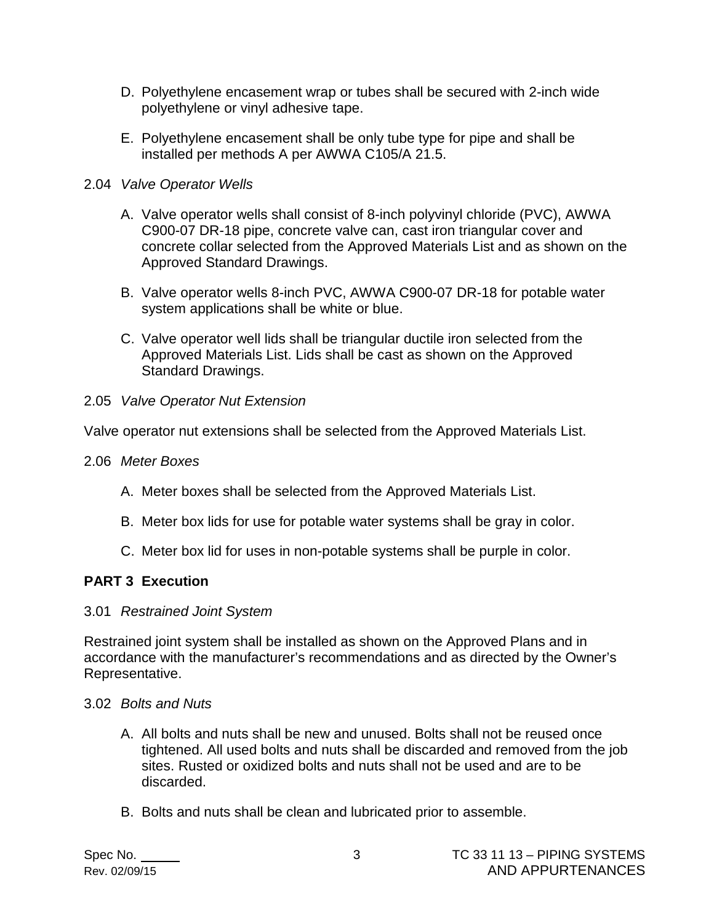- D. Polyethylene encasement wrap or tubes shall be secured with 2-inch wide polyethylene or vinyl adhesive tape.
- E. Polyethylene encasement shall be only tube type for pipe and shall be installed per methods A per AWWA C105/A 21.5.
- 2.04 *Valve Operator Wells*
	- A. Valve operator wells shall consist of 8-inch polyvinyl chloride (PVC), AWWA C900-07 DR-18 pipe, concrete valve can, cast iron triangular cover and concrete collar selected from the Approved Materials List and as shown on the Approved Standard Drawings.
	- B. Valve operator wells 8-inch PVC, AWWA C900-07 DR-18 for potable water system applications shall be white or blue.
	- C. Valve operator well lids shall be triangular ductile iron selected from the Approved Materials List. Lids shall be cast as shown on the Approved Standard Drawings.
- 2.05 *Valve Operator Nut Extension*

Valve operator nut extensions shall be selected from the Approved Materials List.

- 2.06 *Meter Boxes*
	- A. Meter boxes shall be selected from the Approved Materials List.
	- B. Meter box lids for use for potable water systems shall be gray in color.
	- C. Meter box lid for uses in non-potable systems shall be purple in color.

# **PART 3 Execution**

## 3.01 *Restrained Joint System*

Restrained joint system shall be installed as shown on the Approved Plans and in accordance with the manufacturer's recommendations and as directed by the Owner's Representative.

## 3.02 *Bolts and Nuts*

- A. All bolts and nuts shall be new and unused. Bolts shall not be reused once tightened. All used bolts and nuts shall be discarded and removed from the job sites. Rusted or oxidized bolts and nuts shall not be used and are to be discarded.
- B. Bolts and nuts shall be clean and lubricated prior to assemble.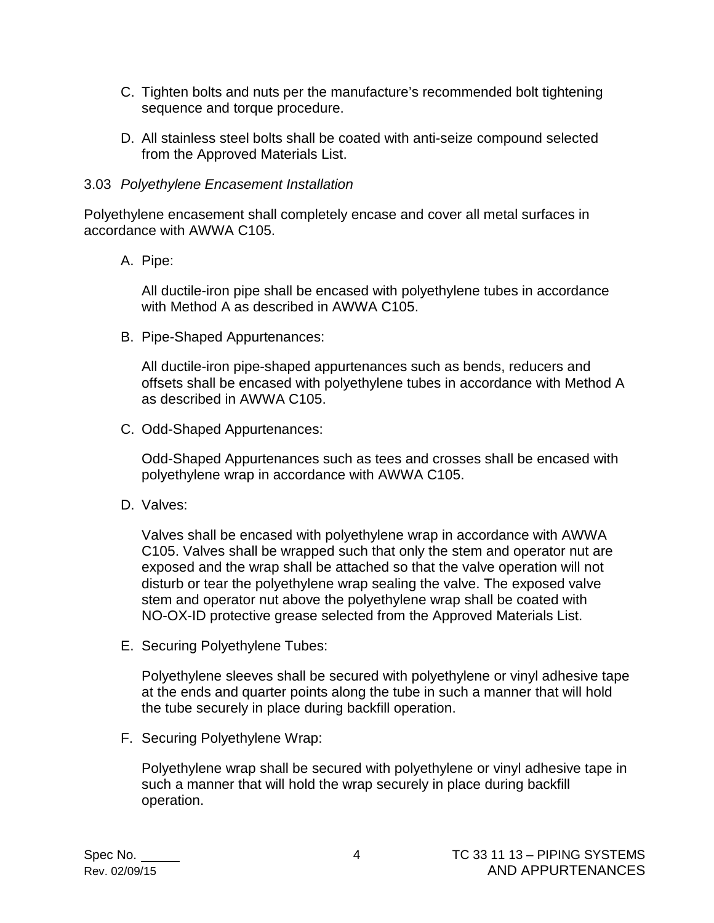- C. Tighten bolts and nuts per the manufacture's recommended bolt tightening sequence and torque procedure.
- D. All stainless steel bolts shall be coated with anti-seize compound selected from the Approved Materials List.

## 3.03 *Polyethylene Encasement Installation*

Polyethylene encasement shall completely encase and cover all metal surfaces in accordance with AWWA C105.

A. Pipe:

All ductile-iron pipe shall be encased with polyethylene tubes in accordance with Method A as described in AWWA C105.

B. Pipe-Shaped Appurtenances:

All ductile-iron pipe-shaped appurtenances such as bends, reducers and offsets shall be encased with polyethylene tubes in accordance with Method A as described in AWWA C105.

C. Odd-Shaped Appurtenances:

Odd-Shaped Appurtenances such as tees and crosses shall be encased with polyethylene wrap in accordance with AWWA C105.

D. Valves:

Valves shall be encased with polyethylene wrap in accordance with AWWA C105. Valves shall be wrapped such that only the stem and operator nut are exposed and the wrap shall be attached so that the valve operation will not disturb or tear the polyethylene wrap sealing the valve. The exposed valve stem and operator nut above the polyethylene wrap shall be coated with NO-OX-ID protective grease selected from the Approved Materials List.

E. Securing Polyethylene Tubes:

Polyethylene sleeves shall be secured with polyethylene or vinyl adhesive tape at the ends and quarter points along the tube in such a manner that will hold the tube securely in place during backfill operation.

F. Securing Polyethylene Wrap:

Polyethylene wrap shall be secured with polyethylene or vinyl adhesive tape in such a manner that will hold the wrap securely in place during backfill operation.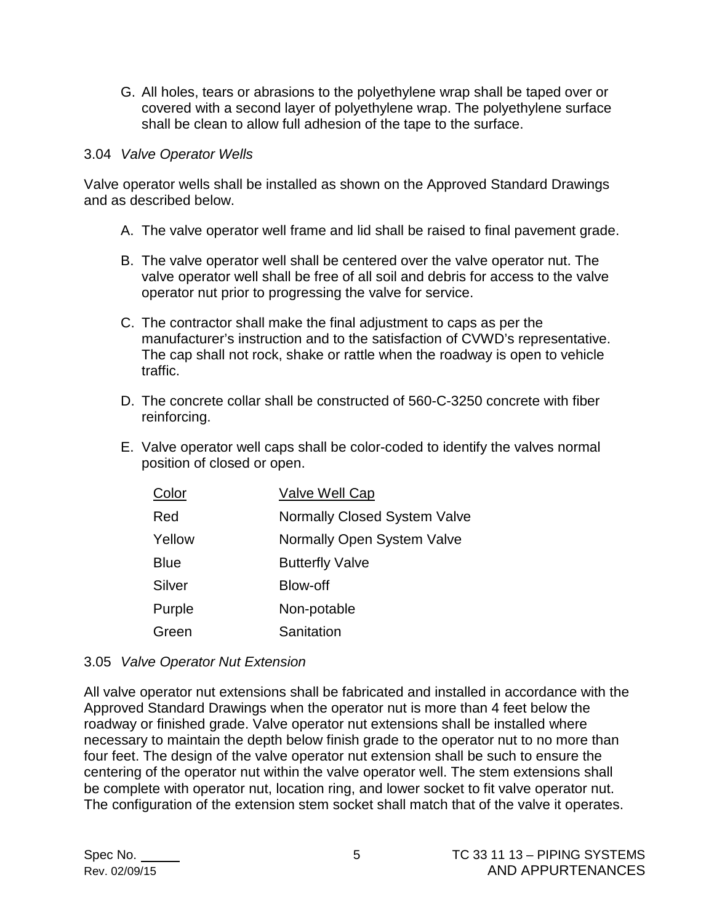G. All holes, tears or abrasions to the polyethylene wrap shall be taped over or covered with a second layer of polyethylene wrap. The polyethylene surface shall be clean to allow full adhesion of the tape to the surface.

#### 3.04 *Valve Operator Wells*

Valve operator wells shall be installed as shown on the Approved Standard Drawings and as described below.

- A. The valve operator well frame and lid shall be raised to final pavement grade.
- B. The valve operator well shall be centered over the valve operator nut. The valve operator well shall be free of all soil and debris for access to the valve operator nut prior to progressing the valve for service.
- C. The contractor shall make the final adjustment to caps as per the manufacturer's instruction and to the satisfaction of CVWD's representative. The cap shall not rock, shake or rattle when the roadway is open to vehicle traffic.
- D. The concrete collar shall be constructed of 560-C-3250 concrete with fiber reinforcing.
- E. Valve operator well caps shall be color-coded to identify the valves normal position of closed or open.

| Color       | Valve Well Cap                      |
|-------------|-------------------------------------|
| Red         | <b>Normally Closed System Valve</b> |
| Yellow      | Normally Open System Valve          |
| <b>Blue</b> | <b>Butterfly Valve</b>              |
| Silver      | Blow-off                            |
| Purple      | Non-potable                         |
| Green       | Sanitation                          |

## 3.05 *Valve Operator Nut Extension*

All valve operator nut extensions shall be fabricated and installed in accordance with the Approved Standard Drawings when the operator nut is more than 4 feet below the roadway or finished grade. Valve operator nut extensions shall be installed where necessary to maintain the depth below finish grade to the operator nut to no more than four feet. The design of the valve operator nut extension shall be such to ensure the centering of the operator nut within the valve operator well. The stem extensions shall be complete with operator nut, location ring, and lower socket to fit valve operator nut. The configuration of the extension stem socket shall match that of the valve it operates.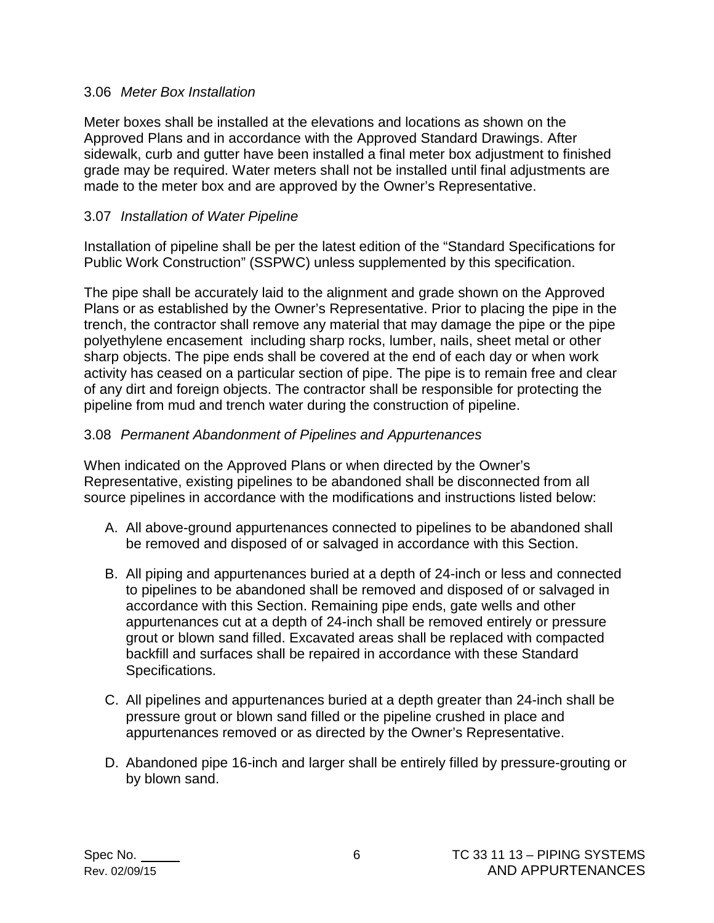## 3.06 *Meter Box Installation*

Meter boxes shall be installed at the elevations and locations as shown on the Approved Plans and in accordance with the Approved Standard Drawings. After sidewalk, curb and gutter have been installed a final meter box adjustment to finished grade may be required. Water meters shall not be installed until final adjustments are made to the meter box and are approved by the Owner's Representative.

# 3.07 *Installation of Water Pipeline*

Installation of pipeline shall be per the latest edition of the "Standard Specifications for Public Work Construction" (SSPWC) unless supplemented by this specification.

The pipe shall be accurately laid to the alignment and grade shown on the Approved Plans or as established by the Owner's Representative. Prior to placing the pipe in the trench, the contractor shall remove any material that may damage the pipe or the pipe polyethylene encasement including sharp rocks, lumber, nails, sheet metal or other sharp objects. The pipe ends shall be covered at the end of each day or when work activity has ceased on a particular section of pipe. The pipe is to remain free and clear of any dirt and foreign objects. The contractor shall be responsible for protecting the pipeline from mud and trench water during the construction of pipeline.

# 3.08 *Permanent Abandonment of Pipelines and Appurtenances*

When indicated on the Approved Plans or when directed by the Owner's Representative, existing pipelines to be abandoned shall be disconnected from all source pipelines in accordance with the modifications and instructions listed below:

- A. All above-ground appurtenances connected to pipelines to be abandoned shall be removed and disposed of or salvaged in accordance with this Section.
- B. All piping and appurtenances buried at a depth of 24-inch or less and connected to pipelines to be abandoned shall be removed and disposed of or salvaged in accordance with this Section. Remaining pipe ends, gate wells and other appurtenances cut at a depth of 24-inch shall be removed entirely or pressure grout or blown sand filled. Excavated areas shall be replaced with compacted backfill and surfaces shall be repaired in accordance with these Standard Specifications.
- C. All pipelines and appurtenances buried at a depth greater than 24-inch shall be pressure grout or blown sand filled or the pipeline crushed in place and appurtenances removed or as directed by the Owner's Representative.
- D. Abandoned pipe 16-inch and larger shall be entirely filled by pressure-grouting or by blown sand.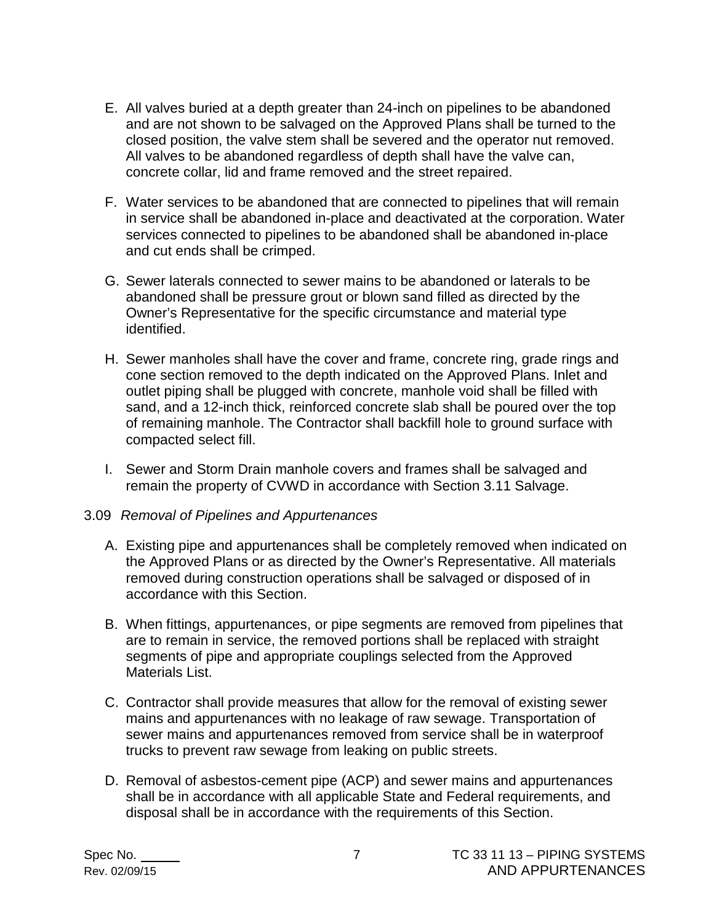- E. All valves buried at a depth greater than 24-inch on pipelines to be abandoned and are not shown to be salvaged on the Approved Plans shall be turned to the closed position, the valve stem shall be severed and the operator nut removed. All valves to be abandoned regardless of depth shall have the valve can, concrete collar, lid and frame removed and the street repaired.
- F. Water services to be abandoned that are connected to pipelines that will remain in service shall be abandoned in-place and deactivated at the corporation. Water services connected to pipelines to be abandoned shall be abandoned in-place and cut ends shall be crimped.
- G. Sewer laterals connected to sewer mains to be abandoned or laterals to be abandoned shall be pressure grout or blown sand filled as directed by the Owner's Representative for the specific circumstance and material type identified.
- H. Sewer manholes shall have the cover and frame, concrete ring, grade rings and cone section removed to the depth indicated on the Approved Plans. Inlet and outlet piping shall be plugged with concrete, manhole void shall be filled with sand, and a 12-inch thick, reinforced concrete slab shall be poured over the top of remaining manhole. The Contractor shall backfill hole to ground surface with compacted select fill.
- I. Sewer and Storm Drain manhole covers and frames shall be salvaged and remain the property of CVWD in accordance with Section 3.11 Salvage.

#### 3.09 *Removal of Pipelines and Appurtenances*

- A. Existing pipe and appurtenances shall be completely removed when indicated on the Approved Plans or as directed by the Owner's Representative. All materials removed during construction operations shall be salvaged or disposed of in accordance with this Section.
- B. When fittings, appurtenances, or pipe segments are removed from pipelines that are to remain in service, the removed portions shall be replaced with straight segments of pipe and appropriate couplings selected from the Approved Materials List.
- C. Contractor shall provide measures that allow for the removal of existing sewer mains and appurtenances with no leakage of raw sewage. Transportation of sewer mains and appurtenances removed from service shall be in waterproof trucks to prevent raw sewage from leaking on public streets.
- D. Removal of asbestos-cement pipe (ACP) and sewer mains and appurtenances shall be in accordance with all applicable State and Federal requirements, and disposal shall be in accordance with the requirements of this Section.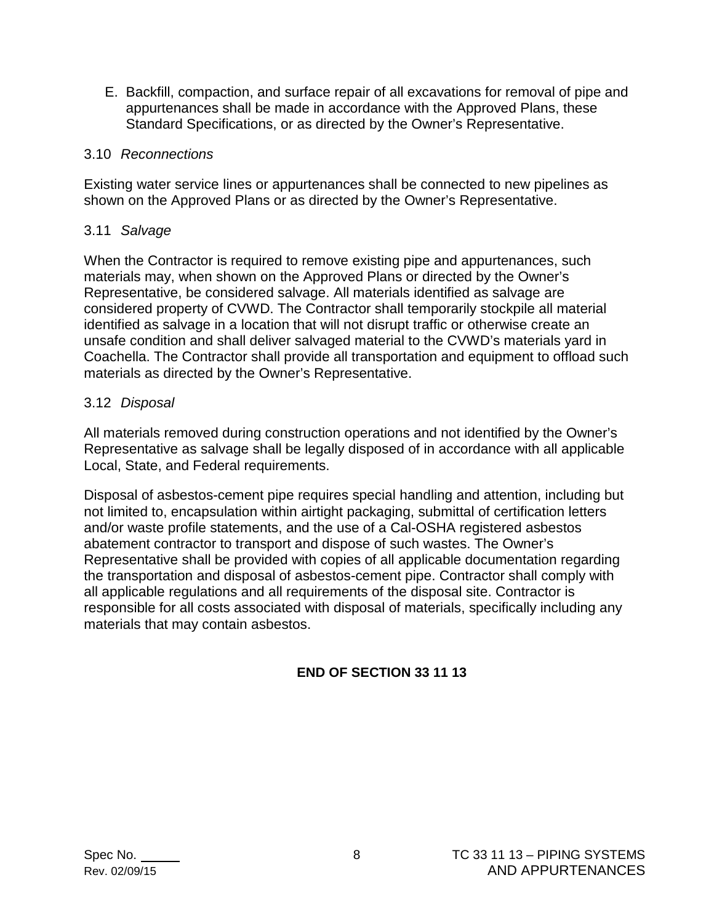E. Backfill, compaction, and surface repair of all excavations for removal of pipe and appurtenances shall be made in accordance with the Approved Plans, these Standard Specifications, or as directed by the Owner's Representative.

## 3.10 *Reconnections*

Existing water service lines or appurtenances shall be connected to new pipelines as shown on the Approved Plans or as directed by the Owner's Representative.

# 3.11 *Salvage*

When the Contractor is required to remove existing pipe and appurtenances, such materials may, when shown on the Approved Plans or directed by the Owner's Representative, be considered salvage. All materials identified as salvage are considered property of CVWD. The Contractor shall temporarily stockpile all material identified as salvage in a location that will not disrupt traffic or otherwise create an unsafe condition and shall deliver salvaged material to the CVWD's materials yard in Coachella. The Contractor shall provide all transportation and equipment to offload such materials as directed by the Owner's Representative.

# 3.12 *Disposal*

All materials removed during construction operations and not identified by the Owner's Representative as salvage shall be legally disposed of in accordance with all applicable Local, State, and Federal requirements.

Disposal of asbestos-cement pipe requires special handling and attention, including but not limited to, encapsulation within airtight packaging, submittal of certification letters and/or waste profile statements, and the use of a Cal-OSHA registered asbestos abatement contractor to transport and dispose of such wastes. The Owner's Representative shall be provided with copies of all applicable documentation regarding the transportation and disposal of asbestos-cement pipe. Contractor shall comply with all applicable regulations and all requirements of the disposal site. Contractor is responsible for all costs associated with disposal of materials, specifically including any materials that may contain asbestos.

# **END OF SECTION 33 11 13**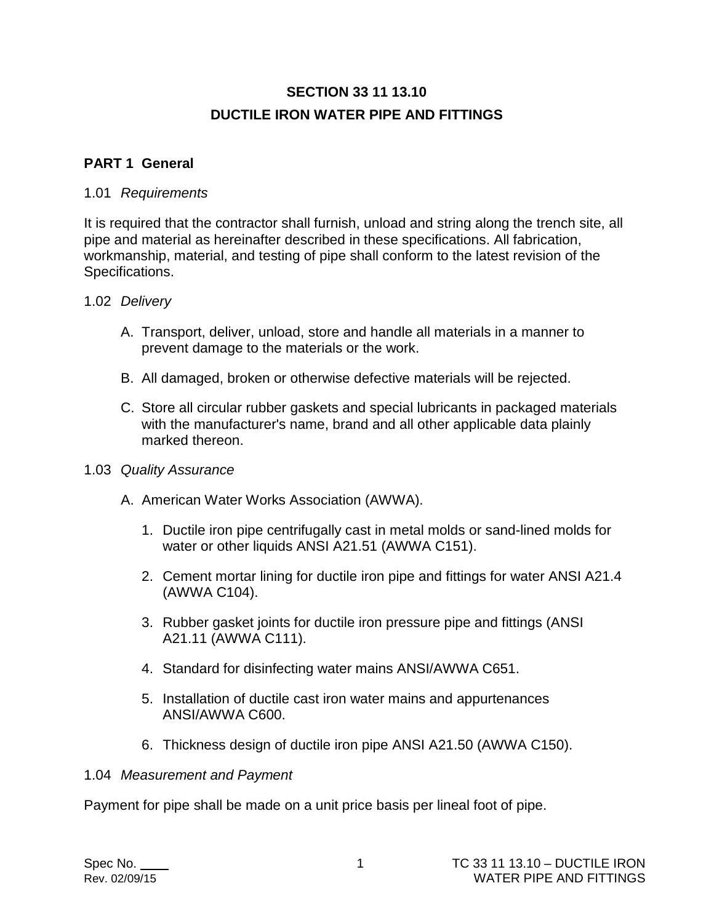# **SECTION 33 11 13.10 DUCTILE IRON WATER PIPE AND FITTINGS**

# **PART 1 General**

## 1.01 *Requirements*

It is required that the contractor shall furnish, unload and string along the trench site, all pipe and material as hereinafter described in these specifications. All fabrication, workmanship, material, and testing of pipe shall conform to the latest revision of the Specifications.

#### 1.02 *Delivery*

- A. Transport, deliver, unload, store and handle all materials in a manner to prevent damage to the materials or the work.
- B. All damaged, broken or otherwise defective materials will be rejected.
- C. Store all circular rubber gaskets and special lubricants in packaged materials with the manufacturer's name, brand and all other applicable data plainly marked thereon.
- 1.03 *Quality Assurance*
	- A. American Water Works Association (AWWA).
		- 1. Ductile iron pipe centrifugally cast in metal molds or sand-lined molds for water or other liquids ANSI A21.51 (AWWA C151).
		- 2. Cement mortar lining for ductile iron pipe and fittings for water ANSI A21.4 (AWWA C104).
		- 3. Rubber gasket joints for ductile iron pressure pipe and fittings (ANSI A21.11 (AWWA C111).
		- 4. Standard for disinfecting water mains ANSI/AWWA C651.
		- 5. Installation of ductile cast iron water mains and appurtenances ANSI/AWWA C600.
		- 6. Thickness design of ductile iron pipe ANSI A21.50 (AWWA C150).

#### 1.04 *Measurement and Payment*

Payment for pipe shall be made on a unit price basis per lineal foot of pipe.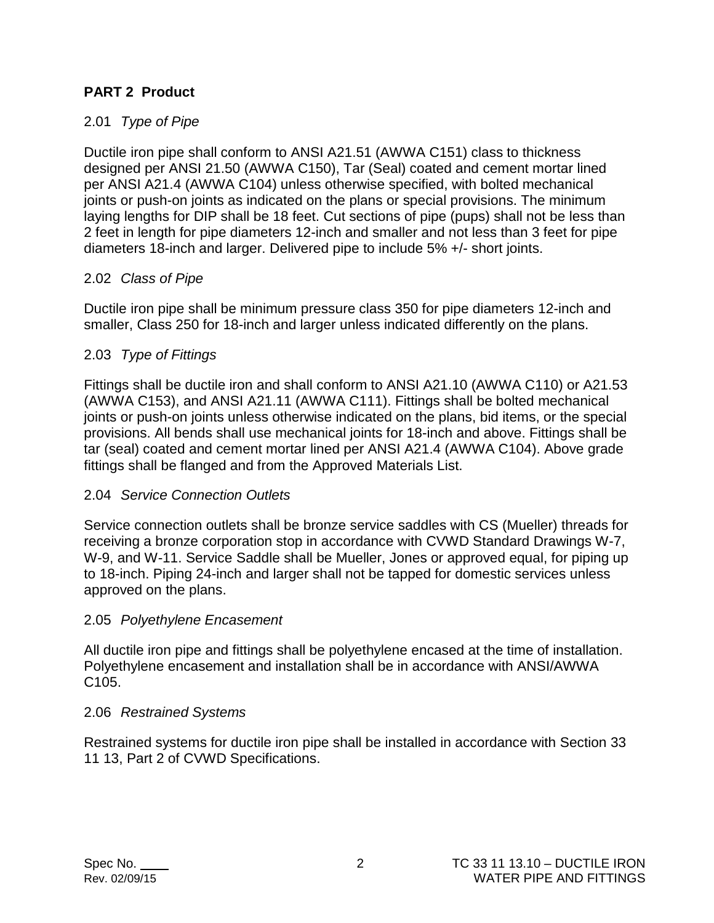# **PART 2 Product**

## 2.01 *Type of Pipe*

Ductile iron pipe shall conform to ANSI A21.51 (AWWA C151) class to thickness designed per ANSI 21.50 (AWWA C150), Tar (Seal) coated and cement mortar lined per ANSI A21.4 (AWWA C104) unless otherwise specified, with bolted mechanical joints or push-on joints as indicated on the plans or special provisions. The minimum laying lengths for DIP shall be 18 feet. Cut sections of pipe (pups) shall not be less than 2 feet in length for pipe diameters 12-inch and smaller and not less than 3 feet for pipe diameters 18-inch and larger. Delivered pipe to include 5% +/- short joints.

#### 2.02 *Class of Pipe*

Ductile iron pipe shall be minimum pressure class 350 for pipe diameters 12-inch and smaller, Class 250 for 18-inch and larger unless indicated differently on the plans.

## 2.03 *Type of Fittings*

Fittings shall be ductile iron and shall conform to ANSI A21.10 (AWWA C110) or A21.53 (AWWA C153), and ANSI A21.11 (AWWA C111). Fittings shall be bolted mechanical joints or push-on joints unless otherwise indicated on the plans, bid items, or the special provisions. All bends shall use mechanical joints for 18-inch and above. Fittings shall be tar (seal) coated and cement mortar lined per ANSI A21.4 (AWWA C104). Above grade fittings shall be flanged and from the Approved Materials List.

## 2.04 *Service Connection Outlets*

Service connection outlets shall be bronze service saddles with CS (Mueller) threads for receiving a bronze corporation stop in accordance with CVWD Standard Drawings W-7, W-9, and W-11. Service Saddle shall be Mueller, Jones or approved equal, for piping up to 18-inch. Piping 24-inch and larger shall not be tapped for domestic services unless approved on the plans.

## 2.05 *Polyethylene Encasement*

All ductile iron pipe and fittings shall be polyethylene encased at the time of installation. Polyethylene encasement and installation shall be in accordance with ANSI/AWWA C105.

## 2.06 *Restrained Systems*

Restrained systems for ductile iron pipe shall be installed in accordance with Section 33 11 13, Part 2 of CVWD Specifications.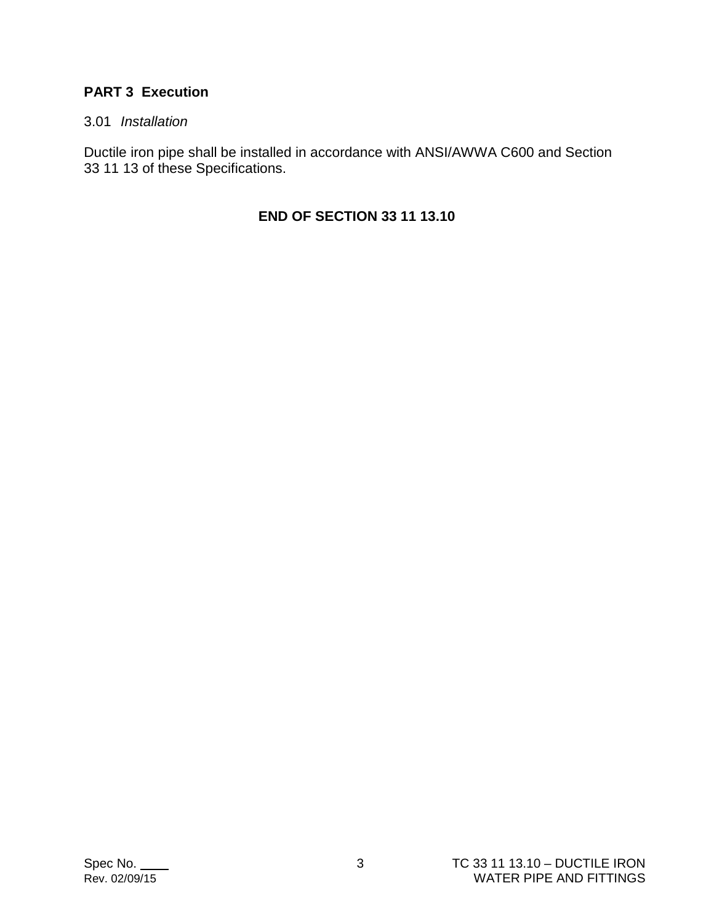# **PART 3 Execution**

#### 3.01 *Installation*

Ductile iron pipe shall be installed in accordance with ANSI/AWWA C600 and Section 33 11 13 of these Specifications.

# **END OF SECTION 33 11 13.10**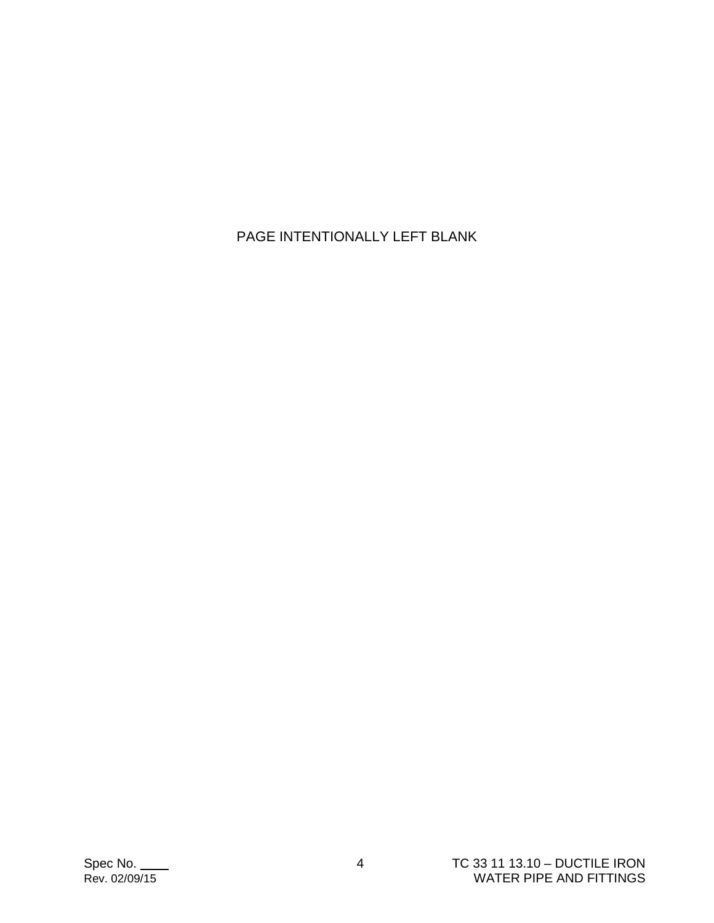PAGE INTENTIONALLY LEFT BLANK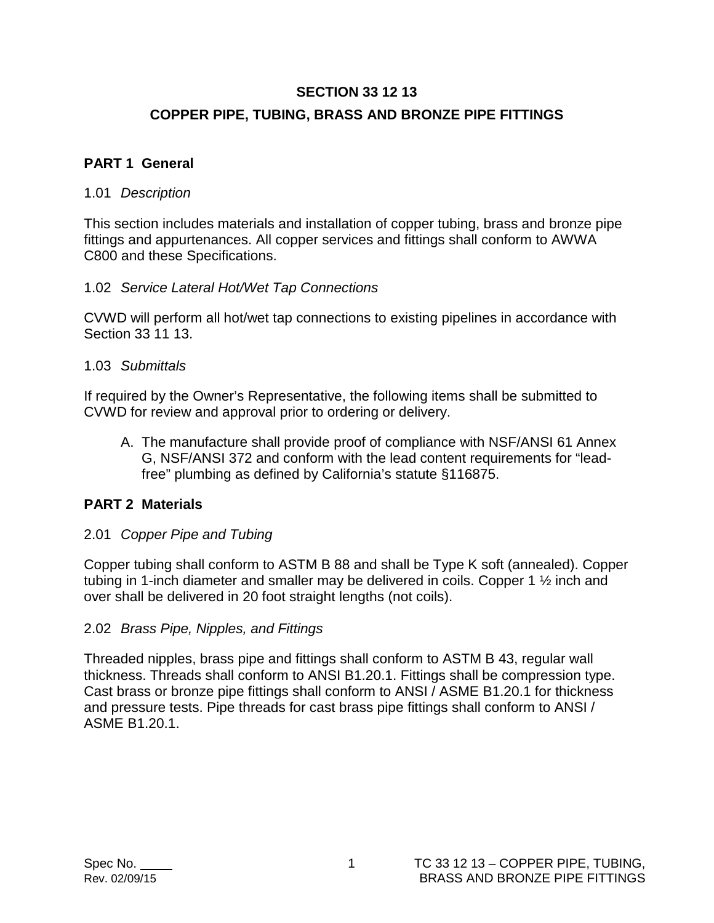# **SECTION 33 12 13 COPPER PIPE, TUBING, BRASS AND BRONZE PIPE FITTINGS**

# **PART 1 General**

## 1.01 *Description*

This section includes materials and installation of copper tubing, brass and bronze pipe fittings and appurtenances. All copper services and fittings shall conform to AWWA C800 and these Specifications.

# 1.02 *Service Lateral Hot/Wet Tap Connections*

CVWD will perform all hot/wet tap connections to existing pipelines in accordance with Section 33 11 13.

## 1.03 *Submittals*

If required by the Owner's Representative, the following items shall be submitted to CVWD for review and approval prior to ordering or delivery.

A. The manufacture shall provide proof of compliance with NSF/ANSI 61 Annex G, NSF/ANSI 372 and conform with the lead content requirements for "leadfree" plumbing as defined by California's statute §116875.

# **PART 2 Materials**

## 2.01 *Copper Pipe and Tubing*

Copper tubing shall conform to ASTM B 88 and shall be Type K soft (annealed). Copper tubing in 1-inch diameter and smaller may be delivered in coils. Copper 1 ½ inch and over shall be delivered in 20 foot straight lengths (not coils).

# 2.02 *Brass Pipe, Nipples, and Fittings*

Threaded nipples, brass pipe and fittings shall conform to ASTM B 43, regular wall thickness. Threads shall conform to ANSI B1.20.1. Fittings shall be compression type. Cast brass or bronze pipe fittings shall conform to ANSI / ASME B1.20.1 for thickness and pressure tests. Pipe threads for cast brass pipe fittings shall conform to ANSI / ASME B1.20.1.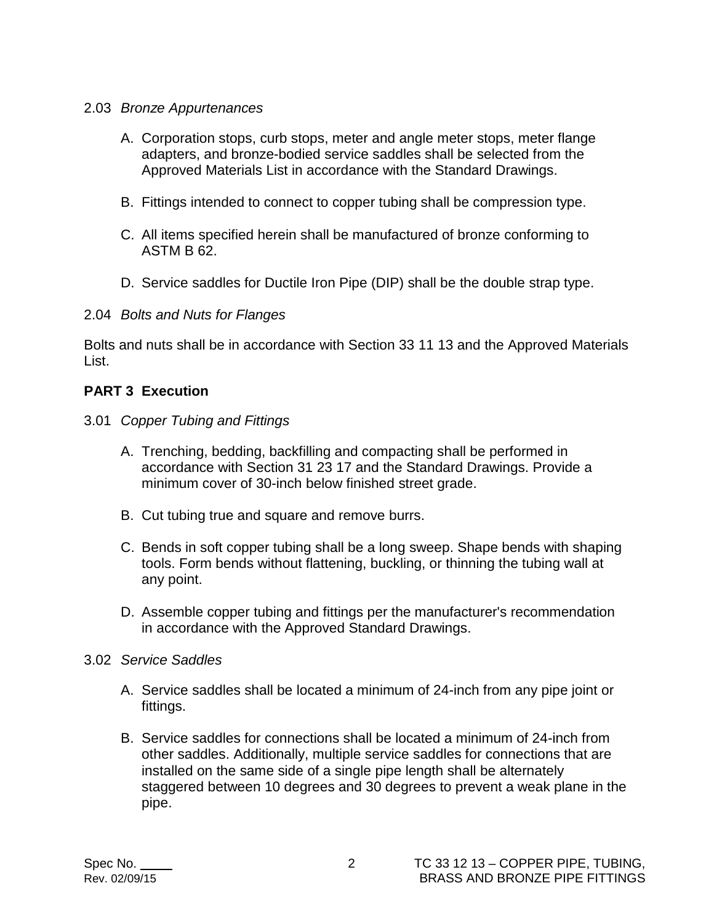- 2.03 *Bronze Appurtenances*
	- A. Corporation stops, curb stops, meter and angle meter stops, meter flange adapters, and bronze-bodied service saddles shall be selected from the Approved Materials List in accordance with the Standard Drawings.
	- B. Fittings intended to connect to copper tubing shall be compression type.
	- C. All items specified herein shall be manufactured of bronze conforming to ASTM B 62.
	- D. Service saddles for Ductile Iron Pipe (DIP) shall be the double strap type.
- 2.04 *Bolts and Nuts for Flanges*

Bolts and nuts shall be in accordance with Section 33 11 13 and the Approved Materials List.

# **PART 3 Execution**

- 3.01 *Copper Tubing and Fittings*
	- A. Trenching, bedding, backfilling and compacting shall be performed in accordance with Section 31 23 17 and the Standard Drawings. Provide a minimum cover of 30-inch below finished street grade.
	- B. Cut tubing true and square and remove burrs.
	- C. Bends in soft copper tubing shall be a long sweep. Shape bends with shaping tools. Form bends without flattening, buckling, or thinning the tubing wall at any point.
	- D. Assemble copper tubing and fittings per the manufacturer's recommendation in accordance with the Approved Standard Drawings.
- 3.02 *Service Saddles*
	- A. Service saddles shall be located a minimum of 24-inch from any pipe joint or fittings.
	- B. Service saddles for connections shall be located a minimum of 24-inch from other saddles. Additionally, multiple service saddles for connections that are installed on the same side of a single pipe length shall be alternately staggered between 10 degrees and 30 degrees to prevent a weak plane in the pipe.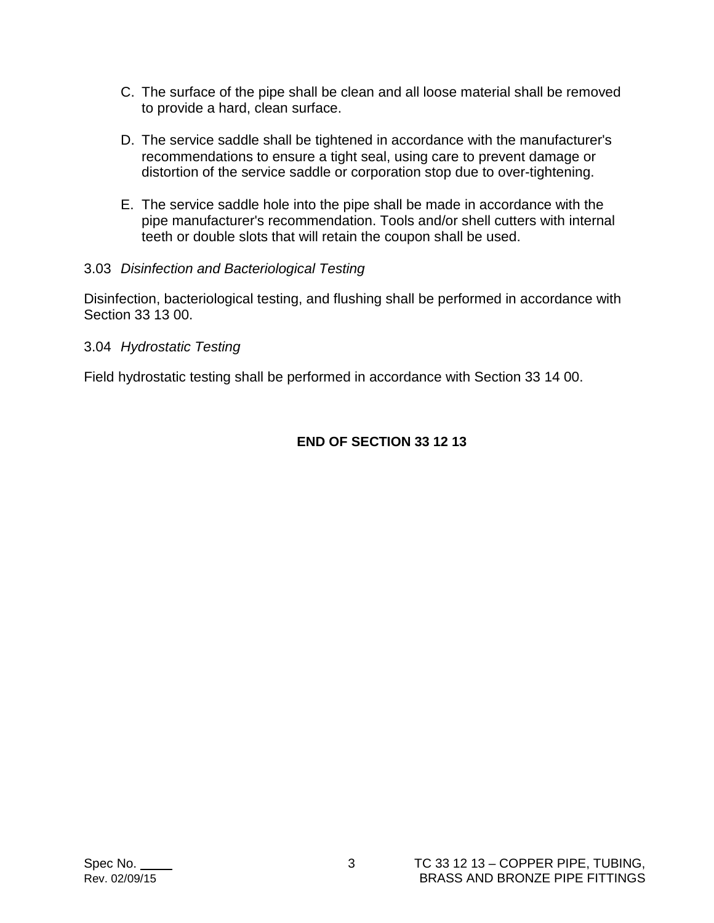- C. The surface of the pipe shall be clean and all loose material shall be removed to provide a hard, clean surface.
- D. The service saddle shall be tightened in accordance with the manufacturer's recommendations to ensure a tight seal, using care to prevent damage or distortion of the service saddle or corporation stop due to over-tightening.
- E. The service saddle hole into the pipe shall be made in accordance with the pipe manufacturer's recommendation. Tools and/or shell cutters with internal teeth or double slots that will retain the coupon shall be used.

# 3.03 *Disinfection and Bacteriological Testing*

Disinfection, bacteriological testing, and flushing shall be performed in accordance with Section 33 13 00.

# 3.04 *Hydrostatic Testing*

Field hydrostatic testing shall be performed in accordance with Section 33 14 00.

# **END OF SECTION 33 12 13**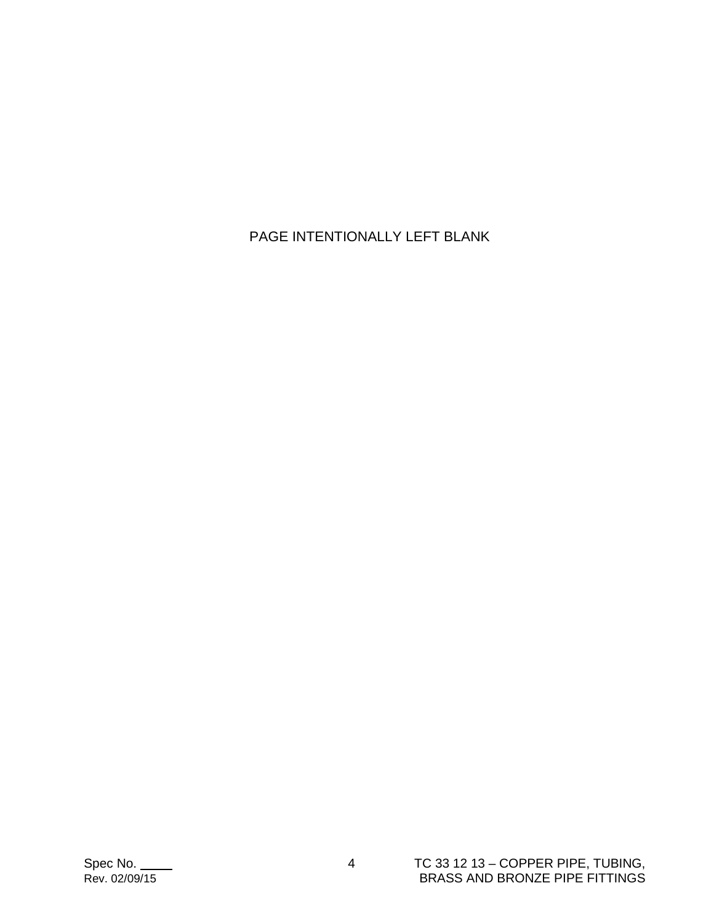PAGE INTENTIONALLY LEFT BLANK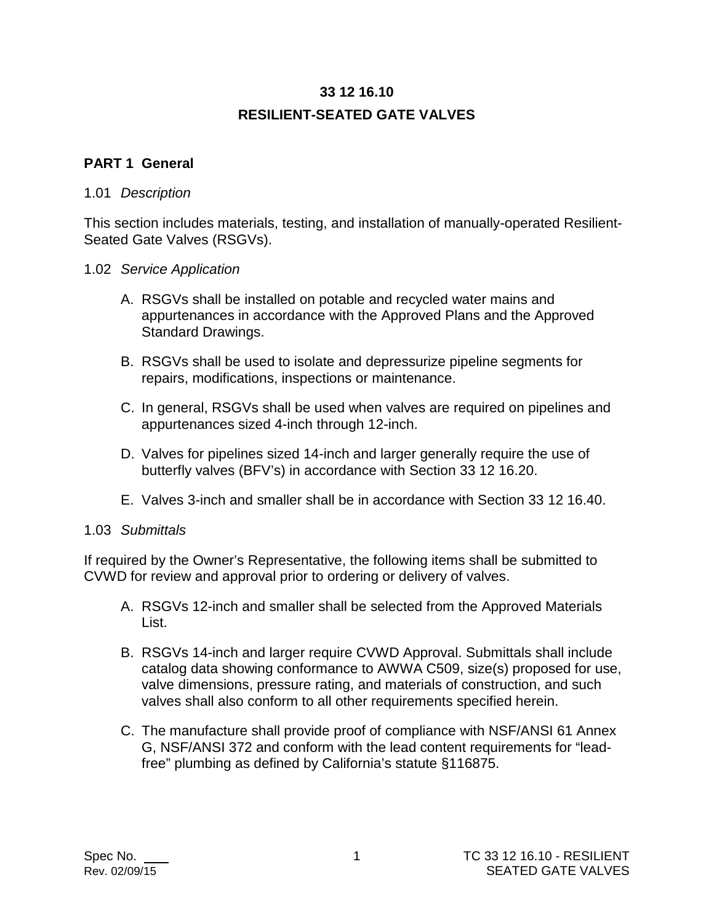# **33 12 16.10 RESILIENT-SEATED GATE VALVES**

### **PART 1 General**

#### 1.01 *Description*

This section includes materials, testing, and installation of manually-operated Resilient-Seated Gate Valves (RSGVs).

### 1.02 *Service Application*

- A. RSGVs shall be installed on potable and recycled water mains and appurtenances in accordance with the Approved Plans and the Approved Standard Drawings.
- B. RSGVs shall be used to isolate and depressurize pipeline segments for repairs, modifications, inspections or maintenance.
- C. In general, RSGVs shall be used when valves are required on pipelines and appurtenances sized 4-inch through 12-inch.
- D. Valves for pipelines sized 14-inch and larger generally require the use of butterfly valves (BFV's) in accordance with Section 33 12 16.20.
- E. Valves 3-inch and smaller shall be in accordance with Section 33 12 16.40.
- 1.03 *Submittals*

If required by the Owner's Representative, the following items shall be submitted to CVWD for review and approval prior to ordering or delivery of valves.

- A. RSGVs 12-inch and smaller shall be selected from the Approved Materials List.
- B. RSGVs 14-inch and larger require CVWD Approval. Submittals shall include catalog data showing conformance to AWWA C509, size(s) proposed for use, valve dimensions, pressure rating, and materials of construction, and such valves shall also conform to all other requirements specified herein.
- C. The manufacture shall provide proof of compliance with NSF/ANSI 61 Annex G, NSF/ANSI 372 and conform with the lead content requirements for "leadfree" plumbing as defined by California's statute §116875.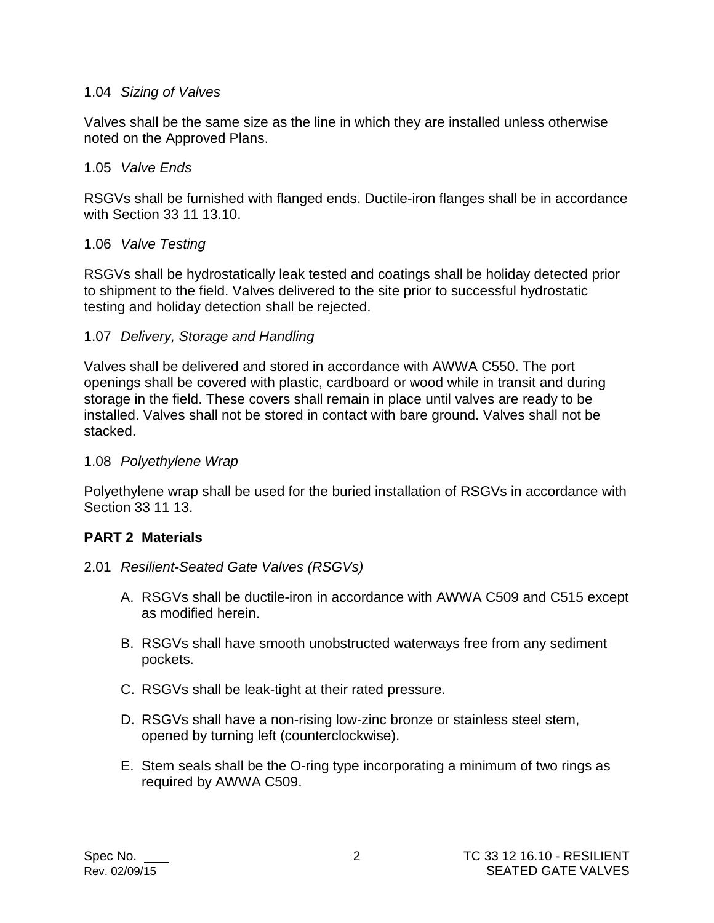### 1.04 *Sizing of Valves*

Valves shall be the same size as the line in which they are installed unless otherwise noted on the Approved Plans.

# 1.05 *Valve Ends*

RSGVs shall be furnished with flanged ends. Ductile-iron flanges shall be in accordance with Section 33 11 13.10.

# 1.06 *Valve Testing*

RSGVs shall be hydrostatically leak tested and coatings shall be holiday detected prior to shipment to the field. Valves delivered to the site prior to successful hydrostatic testing and holiday detection shall be rejected.

# 1.07 *Delivery, Storage and Handling*

Valves shall be delivered and stored in accordance with AWWA C550. The port openings shall be covered with plastic, cardboard or wood while in transit and during storage in the field. These covers shall remain in place until valves are ready to be installed. Valves shall not be stored in contact with bare ground. Valves shall not be stacked.

# 1.08 *Polyethylene Wrap*

Polyethylene wrap shall be used for the buried installation of RSGVs in accordance with Section 33 11 13.

# **PART 2 Materials**

# 2.01 *Resilient-Seated Gate Valves (RSGVs)*

- A. RSGVs shall be ductile-iron in accordance with AWWA C509 and C515 except as modified herein.
- B. RSGVs shall have smooth unobstructed waterways free from any sediment pockets.
- C. RSGVs shall be leak-tight at their rated pressure.
- D. RSGVs shall have a non-rising low-zinc bronze or stainless steel stem, opened by turning left (counterclockwise).
- E. Stem seals shall be the O-ring type incorporating a minimum of two rings as required by AWWA C509.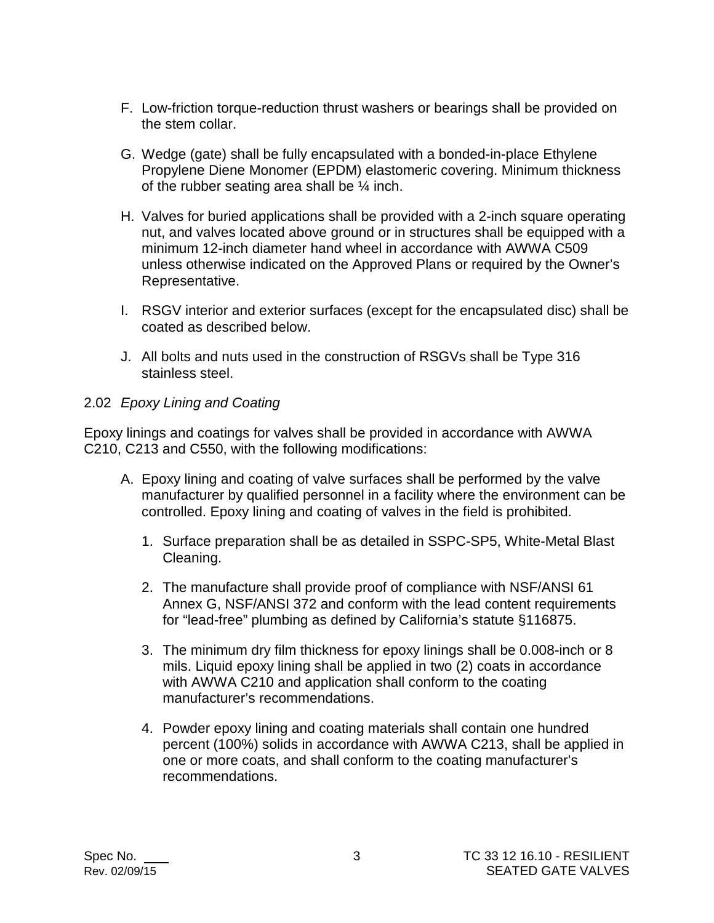- F. Low-friction torque-reduction thrust washers or bearings shall be provided on the stem collar.
- G. Wedge (gate) shall be fully encapsulated with a bonded-in-place Ethylene Propylene Diene Monomer (EPDM) elastomeric covering. Minimum thickness of the rubber seating area shall be  $\frac{1}{4}$  inch.
- H. Valves for buried applications shall be provided with a 2-inch square operating nut, and valves located above ground or in structures shall be equipped with a minimum 12-inch diameter hand wheel in accordance with AWWA C509 unless otherwise indicated on the Approved Plans or required by the Owner's Representative.
- I. RSGV interior and exterior surfaces (except for the encapsulated disc) shall be coated as described below.
- J. All bolts and nuts used in the construction of RSGVs shall be Type 316 stainless steel.

# 2.02 *Epoxy Lining and Coating*

Epoxy linings and coatings for valves shall be provided in accordance with AWWA C210, C213 and C550, with the following modifications:

- A. Epoxy lining and coating of valve surfaces shall be performed by the valve manufacturer by qualified personnel in a facility where the environment can be controlled. Epoxy lining and coating of valves in the field is prohibited.
	- 1. Surface preparation shall be as detailed in SSPC-SP5, White-Metal Blast Cleaning.
	- 2. The manufacture shall provide proof of compliance with NSF/ANSI 61 Annex G, NSF/ANSI 372 and conform with the lead content requirements for "lead-free" plumbing as defined by California's statute §116875.
	- 3. The minimum dry film thickness for epoxy linings shall be 0.008-inch or 8 mils. Liquid epoxy lining shall be applied in two (2) coats in accordance with AWWA C210 and application shall conform to the coating manufacturer's recommendations.
	- 4. Powder epoxy lining and coating materials shall contain one hundred percent (100%) solids in accordance with AWWA C213, shall be applied in one or more coats, and shall conform to the coating manufacturer's recommendations.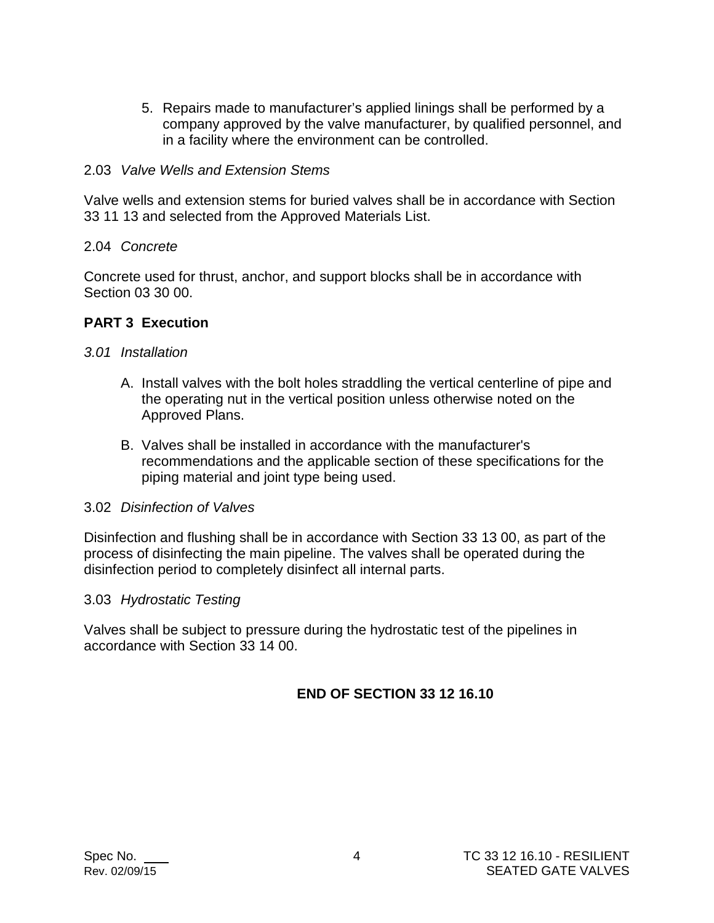- 5. Repairs made to manufacturer's applied linings shall be performed by a company approved by the valve manufacturer, by qualified personnel, and in a facility where the environment can be controlled.
- 2.03 *Valve Wells and Extension Stems*

Valve wells and extension stems for buried valves shall be in accordance with Section 33 11 13 and selected from the Approved Materials List.

### 2.04 *Concrete*

Concrete used for thrust, anchor, and support blocks shall be in accordance with Section 03 30 00.

# **PART 3 Execution**

### *3.01 Installation*

- A. Install valves with the bolt holes straddling the vertical centerline of pipe and the operating nut in the vertical position unless otherwise noted on the Approved Plans.
- B. Valves shall be installed in accordance with the manufacturer's recommendations and the applicable section of these specifications for the piping material and joint type being used.

#### 3.02 *Disinfection of Valves*

Disinfection and flushing shall be in accordance with Section 33 13 00, as part of the process of disinfecting the main pipeline. The valves shall be operated during the disinfection period to completely disinfect all internal parts.

# 3.03 *Hydrostatic Testing*

Valves shall be subject to pressure during the hydrostatic test of the pipelines in accordance with Section 33 14 00.

# **END OF SECTION 33 12 16.10**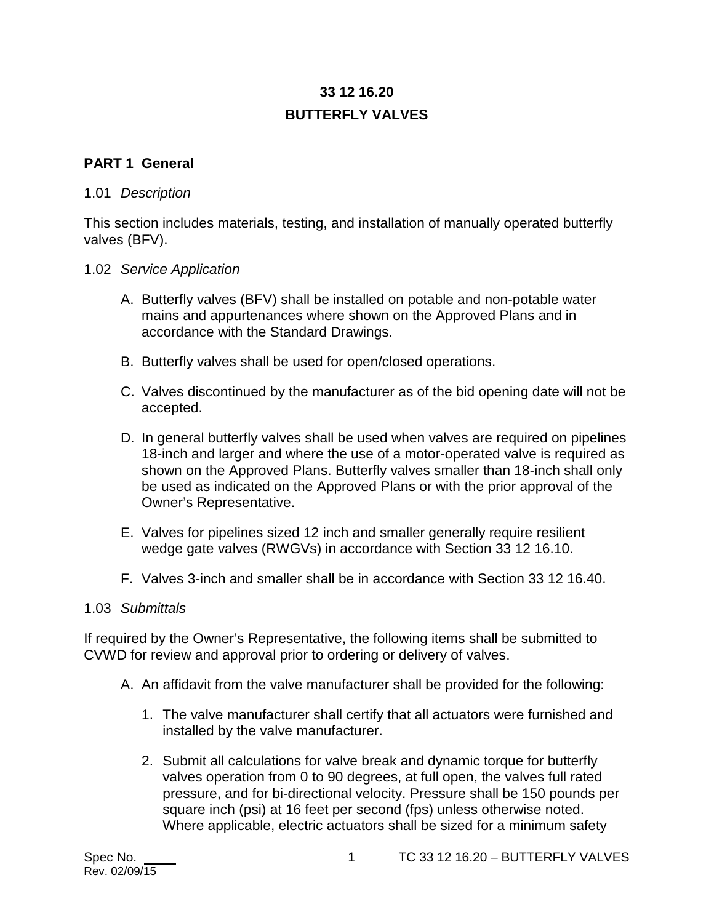# **33 12 16.20 BUTTERFLY VALVES**

#### **PART 1 General**

#### 1.01 *Description*

This section includes materials, testing, and installation of manually operated butterfly valves (BFV).

#### 1.02 *Service Application*

- A. Butterfly valves (BFV) shall be installed on potable and non-potable water mains and appurtenances where shown on the Approved Plans and in accordance with the Standard Drawings.
- B. Butterfly valves shall be used for open/closed operations.
- C. Valves discontinued by the manufacturer as of the bid opening date will not be accepted.
- D. In general butterfly valves shall be used when valves are required on pipelines 18-inch and larger and where the use of a motor-operated valve is required as shown on the Approved Plans. Butterfly valves smaller than 18-inch shall only be used as indicated on the Approved Plans or with the prior approval of the Owner's Representative.
- E. Valves for pipelines sized 12 inch and smaller generally require resilient wedge gate valves (RWGVs) in accordance with Section 33 12 16.10.
- F. Valves 3-inch and smaller shall be in accordance with Section 33 12 16.40.

# 1.03 *Submittals*

If required by the Owner's Representative, the following items shall be submitted to CVWD for review and approval prior to ordering or delivery of valves.

- A. An affidavit from the valve manufacturer shall be provided for the following:
	- 1. The valve manufacturer shall certify that all actuators were furnished and installed by the valve manufacturer.
	- 2. Submit all calculations for valve break and dynamic torque for butterfly valves operation from 0 to 90 degrees, at full open, the valves full rated pressure, and for bi-directional velocity. Pressure shall be 150 pounds per square inch (psi) at 16 feet per second (fps) unless otherwise noted. Where applicable, electric actuators shall be sized for a minimum safety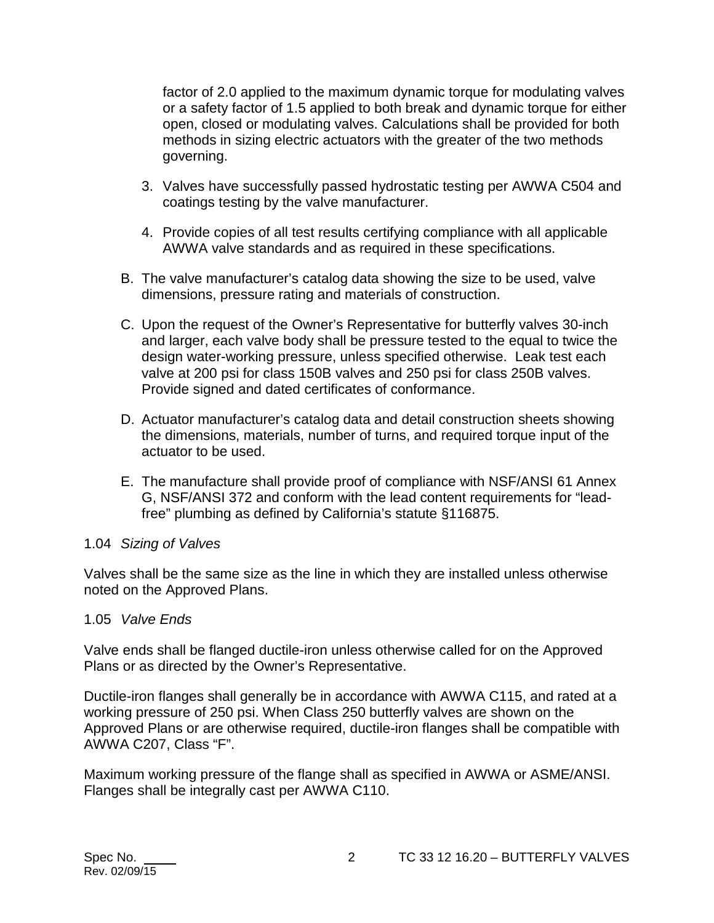factor of 2.0 applied to the maximum dynamic torque for modulating valves or a safety factor of 1.5 applied to both break and dynamic torque for either open, closed or modulating valves. Calculations shall be provided for both methods in sizing electric actuators with the greater of the two methods governing.

- 3. Valves have successfully passed hydrostatic testing per AWWA C504 and coatings testing by the valve manufacturer.
- 4. Provide copies of all test results certifying compliance with all applicable AWWA valve standards and as required in these specifications.
- B. The valve manufacturer's catalog data showing the size to be used, valve dimensions, pressure rating and materials of construction.
- C. Upon the request of the Owner's Representative for butterfly valves 30-inch and larger, each valve body shall be pressure tested to the equal to twice the design water-working pressure, unless specified otherwise. Leak test each valve at 200 psi for class 150B valves and 250 psi for class 250B valves. Provide signed and dated certificates of conformance.
- D. Actuator manufacturer's catalog data and detail construction sheets showing the dimensions, materials, number of turns, and required torque input of the actuator to be used.
- E. The manufacture shall provide proof of compliance with NSF/ANSI 61 Annex G, NSF/ANSI 372 and conform with the lead content requirements for "leadfree" plumbing as defined by California's statute §116875.

#### 1.04 *Sizing of Valves*

Valves shall be the same size as the line in which they are installed unless otherwise noted on the Approved Plans.

#### 1.05 *Valve Ends*

Valve ends shall be flanged ductile-iron unless otherwise called for on the Approved Plans or as directed by the Owner's Representative.

Ductile-iron flanges shall generally be in accordance with AWWA C115, and rated at a working pressure of 250 psi. When Class 250 butterfly valves are shown on the Approved Plans or are otherwise required, ductile-iron flanges shall be compatible with AWWA C207, Class "F".

Maximum working pressure of the flange shall as specified in AWWA or ASME/ANSI. Flanges shall be integrally cast per AWWA C110.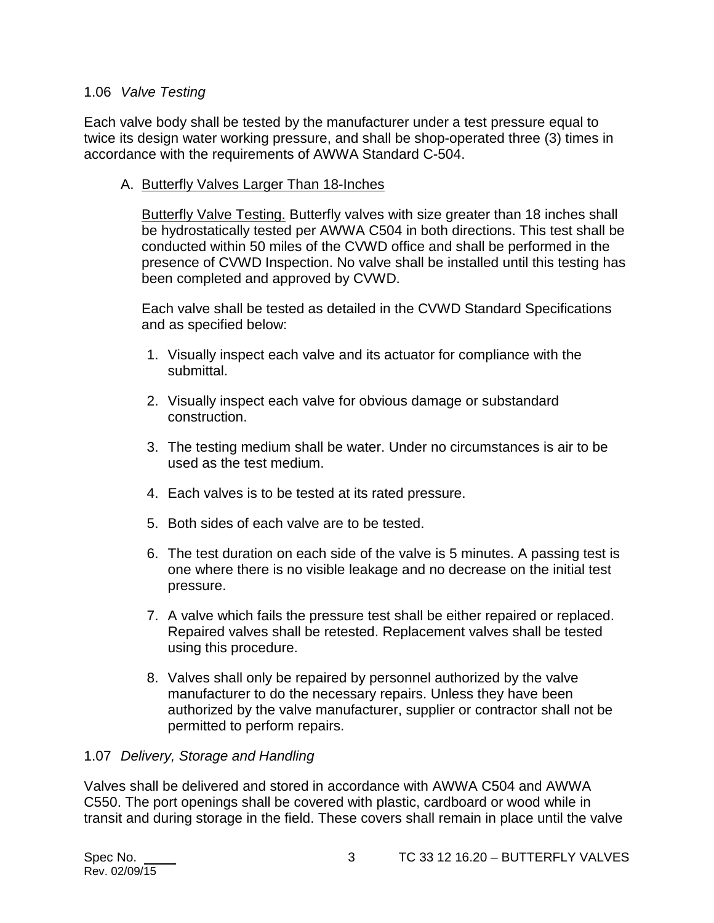#### 1.06 *Valve Testing*

Each valve body shall be tested by the manufacturer under a test pressure equal to twice its design water working pressure, and shall be shop-operated three (3) times in accordance with the requirements of AWWA Standard C-504.

#### A. Butterfly Valves Larger Than 18-Inches

Butterfly Valve Testing. Butterfly valves with size greater than 18 inches shall be hydrostatically tested per AWWA C504 in both directions. This test shall be conducted within 50 miles of the CVWD office and shall be performed in the presence of CVWD Inspection. No valve shall be installed until this testing has been completed and approved by CVWD.

Each valve shall be tested as detailed in the CVWD Standard Specifications and as specified below:

- 1. Visually inspect each valve and its actuator for compliance with the submittal.
- 2. Visually inspect each valve for obvious damage or substandard construction.
- 3. The testing medium shall be water. Under no circumstances is air to be used as the test medium.
- 4. Each valves is to be tested at its rated pressure.
- 5. Both sides of each valve are to be tested.
- 6. The test duration on each side of the valve is 5 minutes. A passing test is one where there is no visible leakage and no decrease on the initial test pressure.
- 7. A valve which fails the pressure test shall be either repaired or replaced. Repaired valves shall be retested. Replacement valves shall be tested using this procedure.
- 8. Valves shall only be repaired by personnel authorized by the valve manufacturer to do the necessary repairs. Unless they have been authorized by the valve manufacturer, supplier or contractor shall not be permitted to perform repairs.

# 1.07 *Delivery, Storage and Handling*

Valves shall be delivered and stored in accordance with AWWA C504 and AWWA C550. The port openings shall be covered with plastic, cardboard or wood while in transit and during storage in the field. These covers shall remain in place until the valve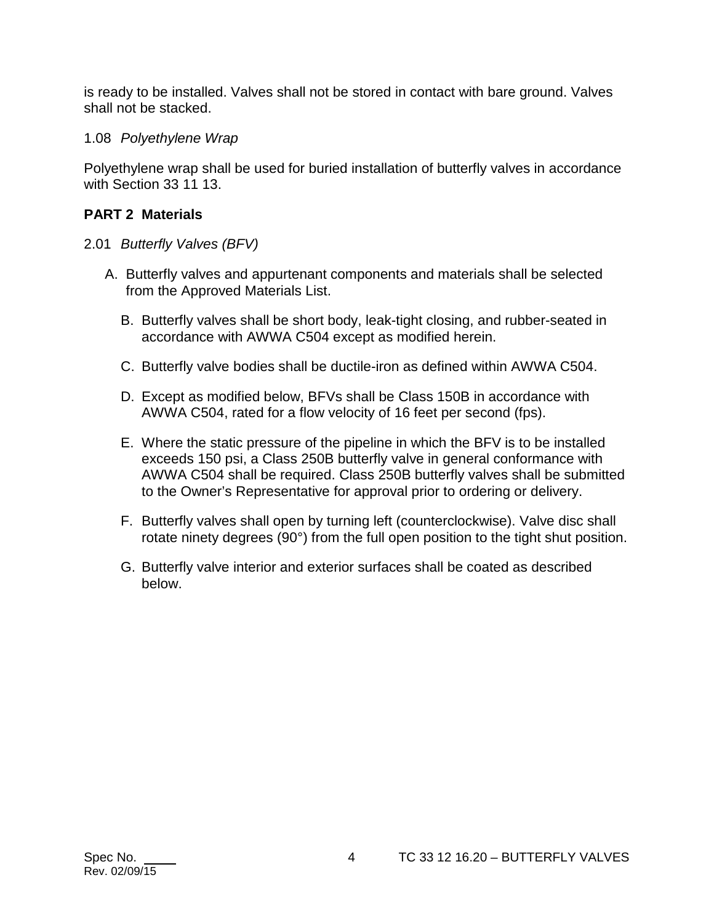is ready to be installed. Valves shall not be stored in contact with bare ground. Valves shall not be stacked.

#### 1.08 *Polyethylene Wrap*

Polyethylene wrap shall be used for buried installation of butterfly valves in accordance with Section 33 11 13.

# **PART 2 Materials**

#### 2.01 *Butterfly Valves (BFV)*

- A. Butterfly valves and appurtenant components and materials shall be selected from the Approved Materials List.
	- B. Butterfly valves shall be short body, leak-tight closing, and rubber-seated in accordance with AWWA C504 except as modified herein.
	- C. Butterfly valve bodies shall be ductile-iron as defined within AWWA C504.
	- D. Except as modified below, BFVs shall be Class 150B in accordance with AWWA C504, rated for a flow velocity of 16 feet per second (fps).
	- E. Where the static pressure of the pipeline in which the BFV is to be installed exceeds 150 psi, a Class 250B butterfly valve in general conformance with AWWA C504 shall be required. Class 250B butterfly valves shall be submitted to the Owner's Representative for approval prior to ordering or delivery.
	- F. Butterfly valves shall open by turning left (counterclockwise). Valve disc shall rotate ninety degrees (90°) from the full open position to the tight shut position.
	- G. Butterfly valve interior and exterior surfaces shall be coated as described below.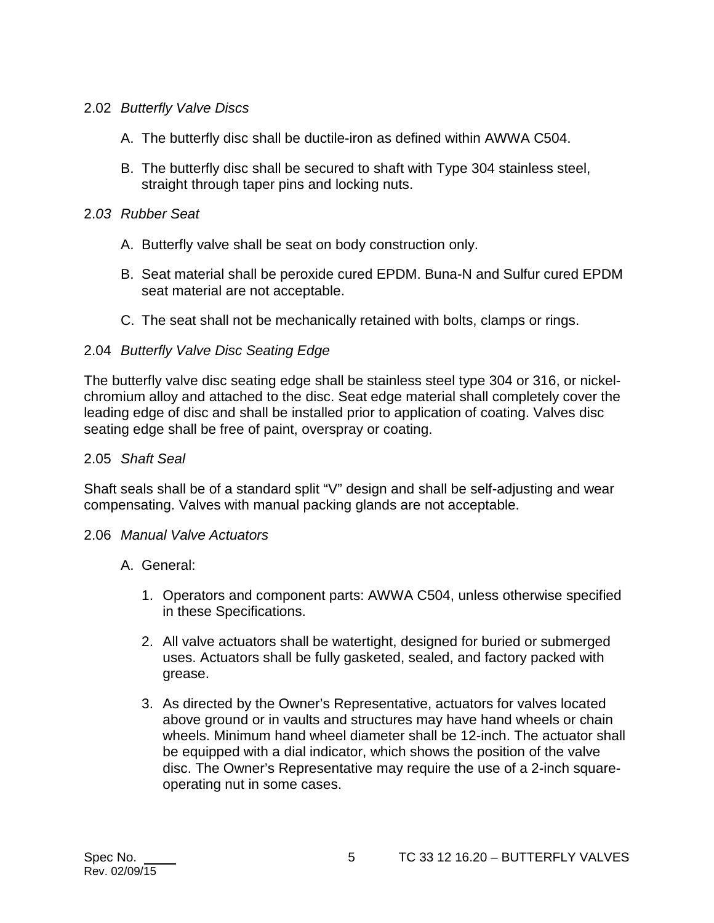### 2.02 *Butterfly Valve Discs*

- A. The butterfly disc shall be ductile-iron as defined within AWWA C504.
- B. The butterfly disc shall be secured to shaft with Type 304 stainless steel, straight through taper pins and locking nuts.

#### 2.*03 Rubber Seat*

- A. Butterfly valve shall be seat on body construction only.
- B. Seat material shall be peroxide cured EPDM. Buna-N and Sulfur cured EPDM seat material are not acceptable.
- C. The seat shall not be mechanically retained with bolts, clamps or rings.

# 2.04 *Butterfly Valve Disc Seating Edge*

The butterfly valve disc seating edge shall be stainless steel type 304 or 316, or nickelchromium alloy and attached to the disc. Seat edge material shall completely cover the leading edge of disc and shall be installed prior to application of coating. Valves disc seating edge shall be free of paint, overspray or coating.

#### 2.05 *Shaft Seal*

Shaft seals shall be of a standard split "V" design and shall be self-adjusting and wear compensating. Valves with manual packing glands are not acceptable.

#### 2.06 *Manual Valve Actuators*

# A. General:

- 1. Operators and component parts: AWWA C504, unless otherwise specified in these Specifications.
- 2. All valve actuators shall be watertight, designed for buried or submerged uses. Actuators shall be fully gasketed, sealed, and factory packed with grease.
- 3. As directed by the Owner's Representative, actuators for valves located above ground or in vaults and structures may have hand wheels or chain wheels. Minimum hand wheel diameter shall be 12-inch. The actuator shall be equipped with a dial indicator, which shows the position of the valve disc. The Owner's Representative may require the use of a 2-inch squareoperating nut in some cases.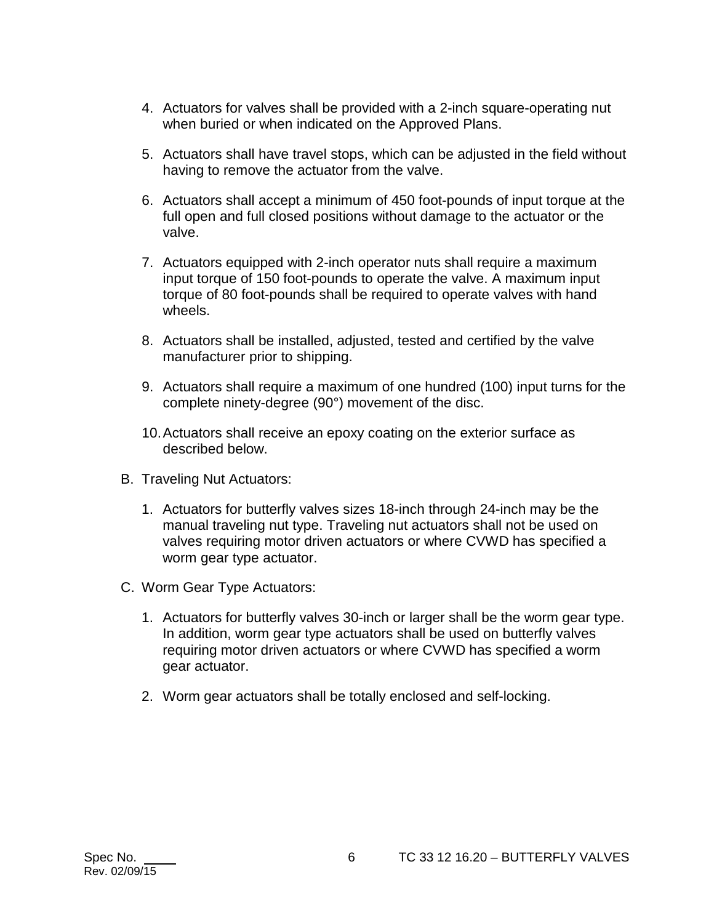- 4. Actuators for valves shall be provided with a 2-inch square-operating nut when buried or when indicated on the Approved Plans.
- 5. Actuators shall have travel stops, which can be adjusted in the field without having to remove the actuator from the valve.
- 6. Actuators shall accept a minimum of 450 foot-pounds of input torque at the full open and full closed positions without damage to the actuator or the valve.
- 7. Actuators equipped with 2-inch operator nuts shall require a maximum input torque of 150 foot-pounds to operate the valve. A maximum input torque of 80 foot-pounds shall be required to operate valves with hand wheels.
- 8. Actuators shall be installed, adjusted, tested and certified by the valve manufacturer prior to shipping.
- 9. Actuators shall require a maximum of one hundred (100) input turns for the complete ninety-degree (90°) movement of the disc.
- 10.Actuators shall receive an epoxy coating on the exterior surface as described below.
- B. Traveling Nut Actuators:
	- 1. Actuators for butterfly valves sizes 18-inch through 24-inch may be the manual traveling nut type. Traveling nut actuators shall not be used on valves requiring motor driven actuators or where CVWD has specified a worm gear type actuator.
- C. Worm Gear Type Actuators:
	- 1. Actuators for butterfly valves 30-inch or larger shall be the worm gear type. In addition, worm gear type actuators shall be used on butterfly valves requiring motor driven actuators or where CVWD has specified a worm gear actuator.
	- 2. Worm gear actuators shall be totally enclosed and self-locking.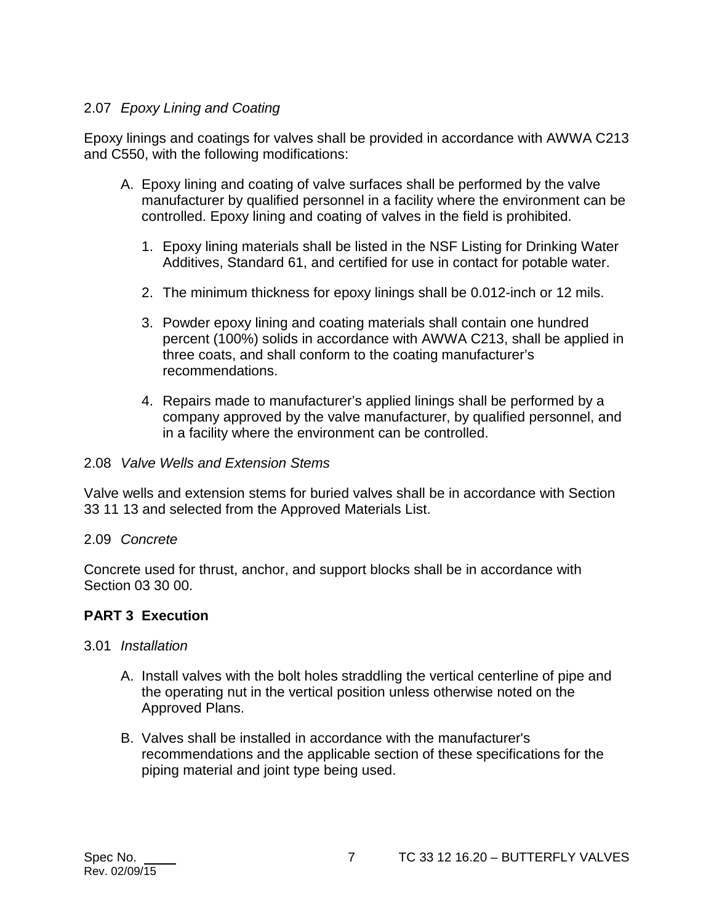# 2.07 *Epoxy Lining and Coating*

Epoxy linings and coatings for valves shall be provided in accordance with AWWA C213 and C550, with the following modifications:

- A. Epoxy lining and coating of valve surfaces shall be performed by the valve manufacturer by qualified personnel in a facility where the environment can be controlled. Epoxy lining and coating of valves in the field is prohibited.
	- 1. Epoxy lining materials shall be listed in the NSF Listing for Drinking Water Additives, Standard 61, and certified for use in contact for potable water.
	- 2. The minimum thickness for epoxy linings shall be 0.012-inch or 12 mils.
	- 3. Powder epoxy lining and coating materials shall contain one hundred percent (100%) solids in accordance with AWWA C213, shall be applied in three coats, and shall conform to the coating manufacturer's recommendations.
	- 4. Repairs made to manufacturer's applied linings shall be performed by a company approved by the valve manufacturer, by qualified personnel, and in a facility where the environment can be controlled.

#### 2.08 *Valve Wells and Extension Stems*

Valve wells and extension stems for buried valves shall be in accordance with Section 33 11 13 and selected from the Approved Materials List.

#### 2.09 *Concrete*

Concrete used for thrust, anchor, and support blocks shall be in accordance with Section 03 30 00.

# **PART 3 Execution**

# 3.01 *Installation*

- A. Install valves with the bolt holes straddling the vertical centerline of pipe and the operating nut in the vertical position unless otherwise noted on the Approved Plans.
- B. Valves shall be installed in accordance with the manufacturer's recommendations and the applicable section of these specifications for the piping material and joint type being used.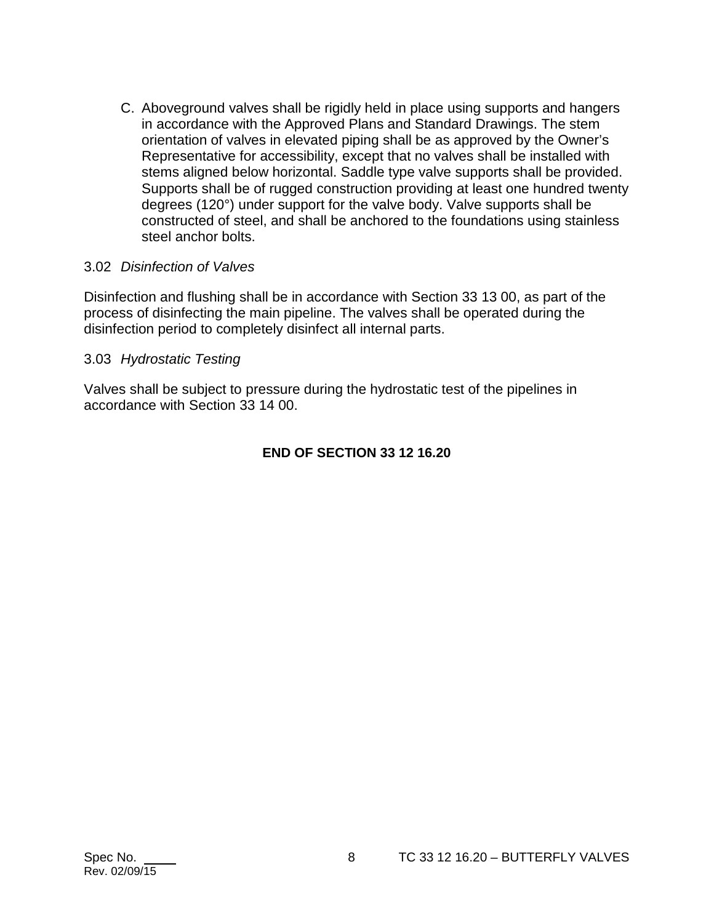C. Aboveground valves shall be rigidly held in place using supports and hangers in accordance with the Approved Plans and Standard Drawings. The stem orientation of valves in elevated piping shall be as approved by the Owner's Representative for accessibility, except that no valves shall be installed with stems aligned below horizontal. Saddle type valve supports shall be provided. Supports shall be of rugged construction providing at least one hundred twenty degrees (120°) under support for the valve body. Valve supports shall be constructed of steel, and shall be anchored to the foundations using stainless steel anchor bolts.

#### 3.02 *Disinfection of Valves*

Disinfection and flushing shall be in accordance with Section 33 13 00, as part of the process of disinfecting the main pipeline. The valves shall be operated during the disinfection period to completely disinfect all internal parts.

### 3.03 *Hydrostatic Testing*

Valves shall be subject to pressure during the hydrostatic test of the pipelines in accordance with Section 33 14 00.

### **END OF SECTION 33 12 16.20**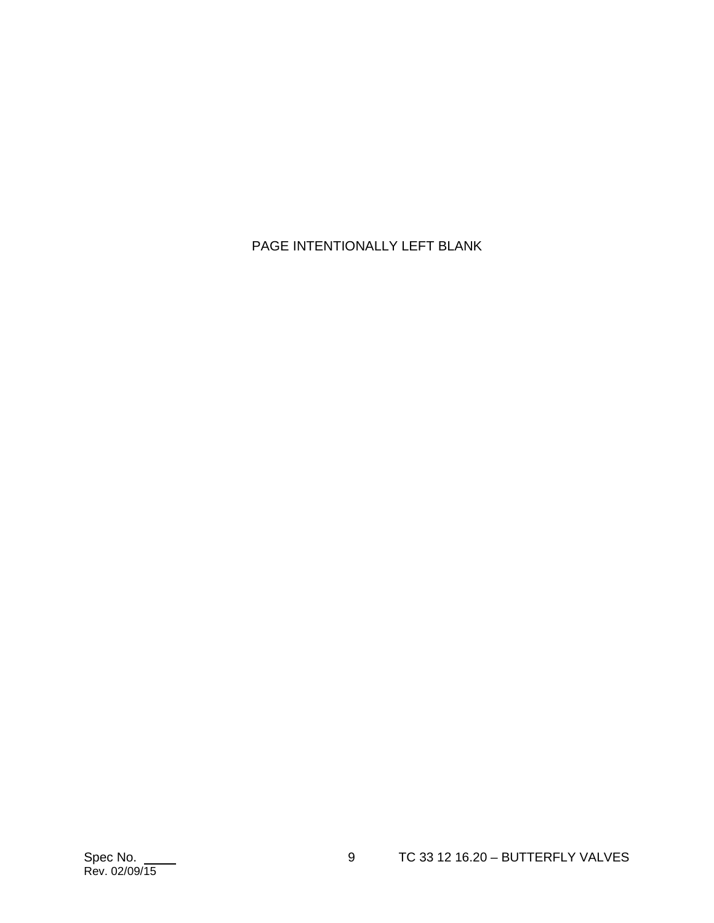PAGE INTENTIONALLY LEFT BLANK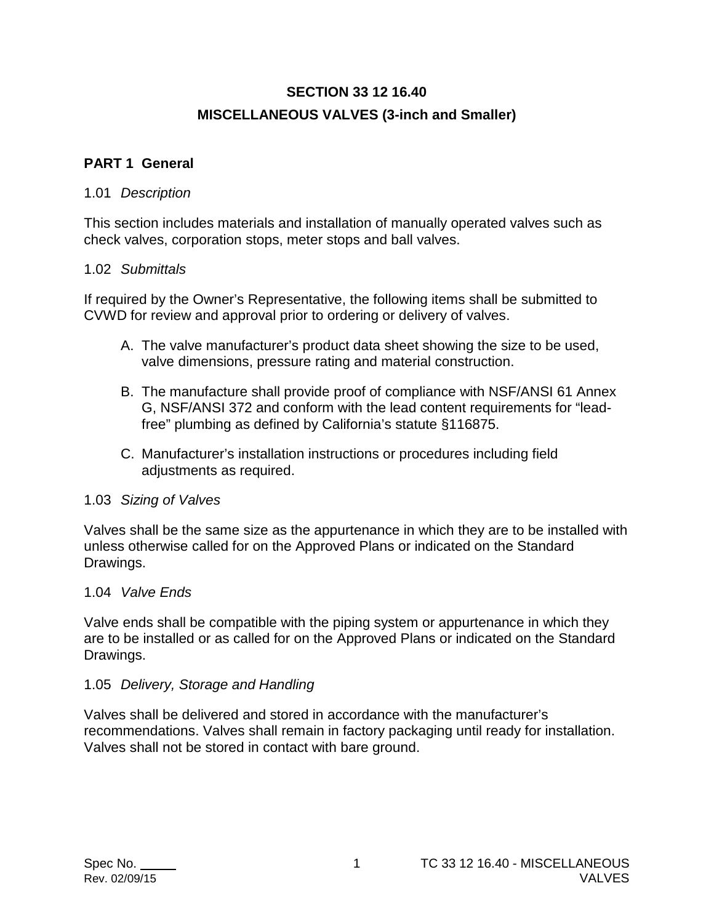# **SECTION 33 12 16.40 MISCELLANEOUS VALVES (3-inch and Smaller)**

# **PART 1 General**

### 1.01 *Description*

This section includes materials and installation of manually operated valves such as check valves, corporation stops, meter stops and ball valves.

### 1.02 *Submittals*

If required by the Owner's Representative, the following items shall be submitted to CVWD for review and approval prior to ordering or delivery of valves.

- A. The valve manufacturer's product data sheet showing the size to be used, valve dimensions, pressure rating and material construction.
- B. The manufacture shall provide proof of compliance with NSF/ANSI 61 Annex G, NSF/ANSI 372 and conform with the lead content requirements for "leadfree" plumbing as defined by California's statute §116875.
- C. Manufacturer's installation instructions or procedures including field adjustments as required.

# 1.03 *Sizing of Valves*

Valves shall be the same size as the appurtenance in which they are to be installed with unless otherwise called for on the Approved Plans or indicated on the Standard Drawings.

#### 1.04 *Valve Ends*

Valve ends shall be compatible with the piping system or appurtenance in which they are to be installed or as called for on the Approved Plans or indicated on the Standard Drawings.

# 1.05 *Delivery, Storage and Handling*

Valves shall be delivered and stored in accordance with the manufacturer's recommendations. Valves shall remain in factory packaging until ready for installation. Valves shall not be stored in contact with bare ground.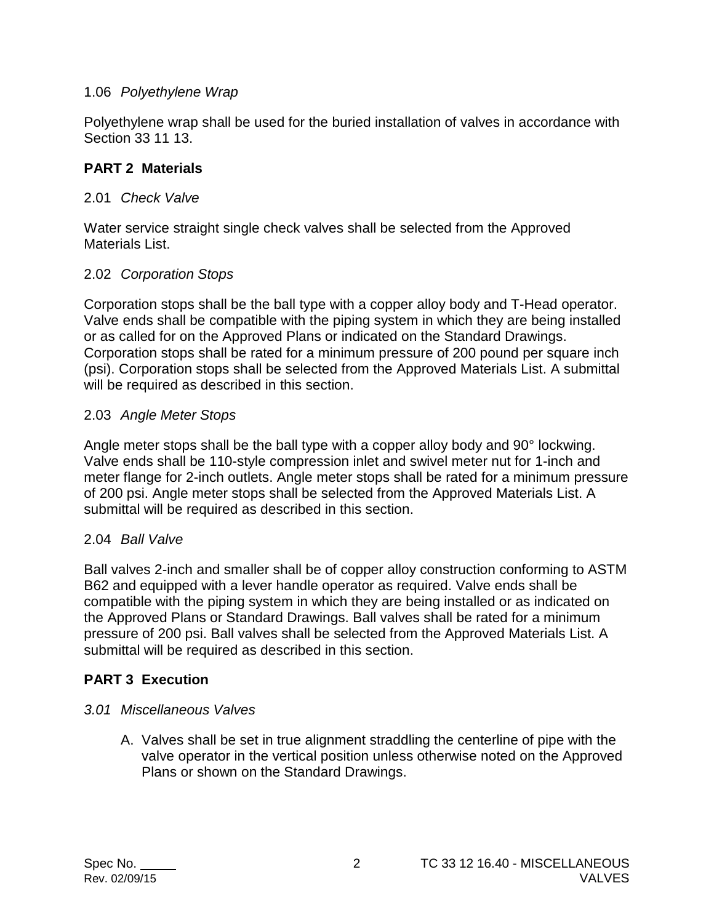### 1.06 *Polyethylene Wrap*

Polyethylene wrap shall be used for the buried installation of valves in accordance with Section 33 11 13.

# **PART 2 Materials**

### 2.01 *Check Valve*

Water service straight single check valves shall be selected from the Approved Materials List.

# 2.02 *Corporation Stops*

Corporation stops shall be the ball type with a copper alloy body and T-Head operator. Valve ends shall be compatible with the piping system in which they are being installed or as called for on the Approved Plans or indicated on the Standard Drawings. Corporation stops shall be rated for a minimum pressure of 200 pound per square inch (psi). Corporation stops shall be selected from the Approved Materials List. A submittal will be required as described in this section.

### 2.03 *Angle Meter Stops*

Angle meter stops shall be the ball type with a copper alloy body and 90° lockwing. Valve ends shall be 110-style compression inlet and swivel meter nut for 1-inch and meter flange for 2-inch outlets. Angle meter stops shall be rated for a minimum pressure of 200 psi. Angle meter stops shall be selected from the Approved Materials List. A submittal will be required as described in this section.

#### 2.04 *Ball Valve*

Ball valves 2-inch and smaller shall be of copper alloy construction conforming to ASTM B62 and equipped with a lever handle operator as required. Valve ends shall be compatible with the piping system in which they are being installed or as indicated on the Approved Plans or Standard Drawings. Ball valves shall be rated for a minimum pressure of 200 psi. Ball valves shall be selected from the Approved Materials List. A submittal will be required as described in this section.

# **PART 3 Execution**

#### *3.01 Miscellaneous Valves*

A. Valves shall be set in true alignment straddling the centerline of pipe with the valve operator in the vertical position unless otherwise noted on the Approved Plans or shown on the Standard Drawings.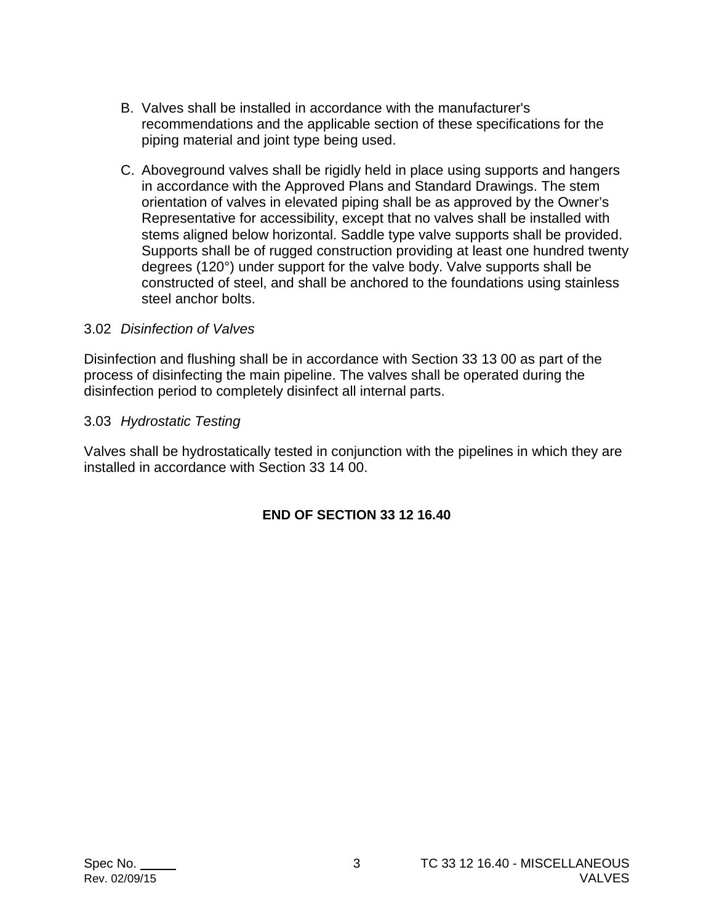- B. Valves shall be installed in accordance with the manufacturer's recommendations and the applicable section of these specifications for the piping material and joint type being used.
- C. Aboveground valves shall be rigidly held in place using supports and hangers in accordance with the Approved Plans and Standard Drawings. The stem orientation of valves in elevated piping shall be as approved by the Owner's Representative for accessibility, except that no valves shall be installed with stems aligned below horizontal. Saddle type valve supports shall be provided. Supports shall be of rugged construction providing at least one hundred twenty degrees (120°) under support for the valve body. Valve supports shall be constructed of steel, and shall be anchored to the foundations using stainless steel anchor bolts.

### 3.02 *Disinfection of Valves*

Disinfection and flushing shall be in accordance with Section 33 13 00 as part of the process of disinfecting the main pipeline. The valves shall be operated during the disinfection period to completely disinfect all internal parts.

#### 3.03 *Hydrostatic Testing*

Valves shall be hydrostatically tested in conjunction with the pipelines in which they are installed in accordance with Section 33 14 00.

# **END OF SECTION 33 12 16.40**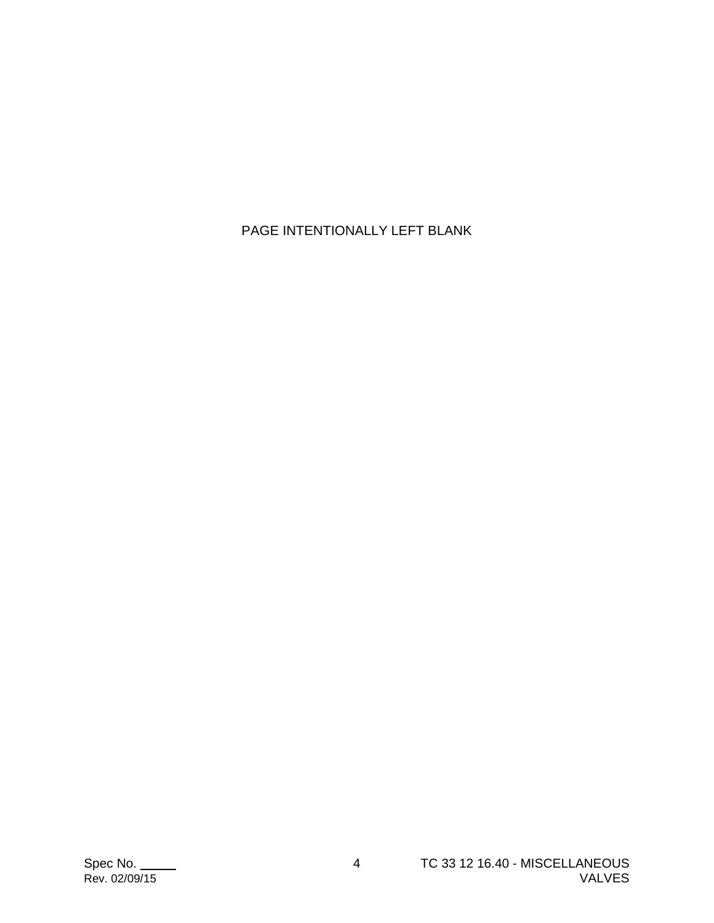PAGE INTENTIONALLY LEFT BLANK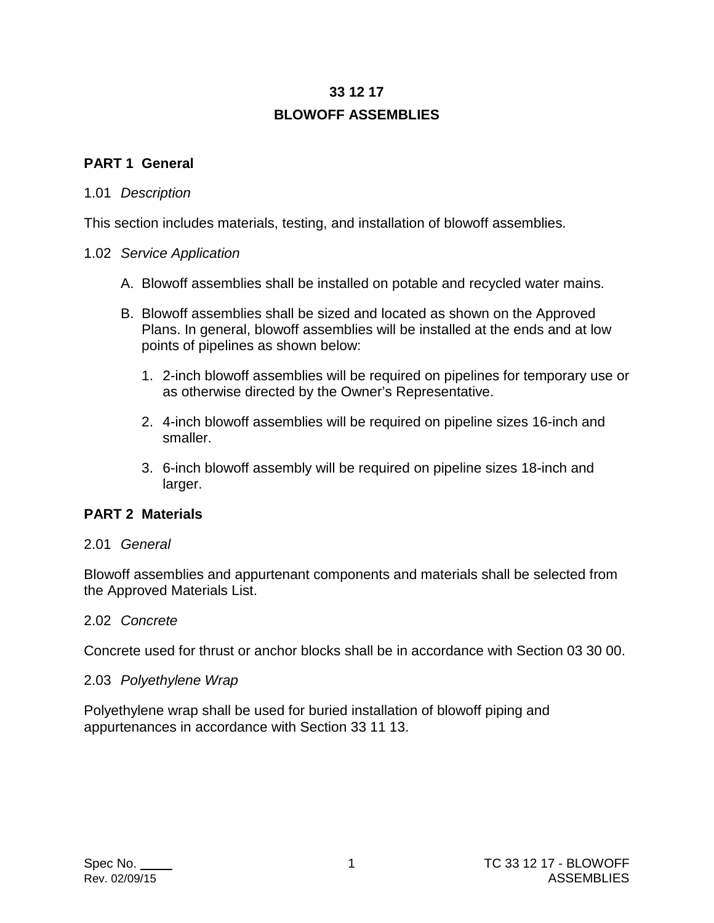# **33 12 17 BLOWOFF ASSEMBLIES**

# **PART 1 General**

#### 1.01 *Description*

This section includes materials, testing, and installation of blowoff assemblies.

### 1.02 *Service Application*

- A. Blowoff assemblies shall be installed on potable and recycled water mains.
- B. Blowoff assemblies shall be sized and located as shown on the Approved Plans. In general, blowoff assemblies will be installed at the ends and at low points of pipelines as shown below:
	- 1. 2-inch blowoff assemblies will be required on pipelines for temporary use or as otherwise directed by the Owner's Representative.
	- 2. 4-inch blowoff assemblies will be required on pipeline sizes 16-inch and smaller.
	- 3. 6-inch blowoff assembly will be required on pipeline sizes 18-inch and larger.

# **PART 2 Materials**

# 2.01 *General*

Blowoff assemblies and appurtenant components and materials shall be selected from the Approved Materials List.

# 2.02 *Concrete*

Concrete used for thrust or anchor blocks shall be in accordance with Section 03 30 00.

# 2.03 *Polyethylene Wrap*

Polyethylene wrap shall be used for buried installation of blowoff piping and appurtenances in accordance with Section 33 11 13.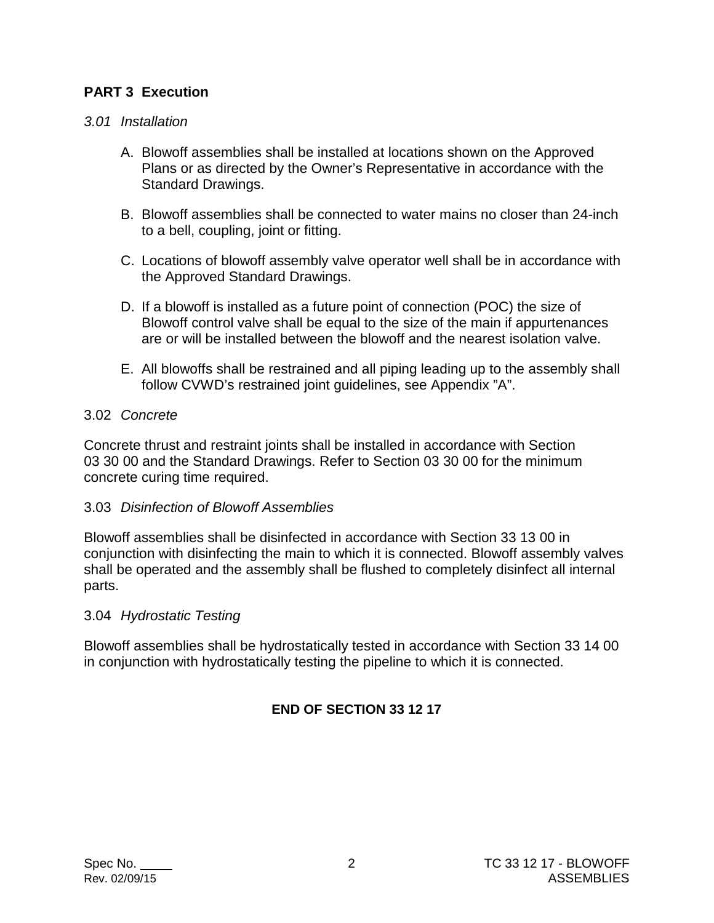# **PART 3 Execution**

#### *3.01 Installation*

- A. Blowoff assemblies shall be installed at locations shown on the Approved Plans or as directed by the Owner's Representative in accordance with the Standard Drawings.
- B. Blowoff assemblies shall be connected to water mains no closer than 24-inch to a bell, coupling, joint or fitting.
- C. Locations of blowoff assembly valve operator well shall be in accordance with the Approved Standard Drawings.
- D. If a blowoff is installed as a future point of connection (POC) the size of Blowoff control valve shall be equal to the size of the main if appurtenances are or will be installed between the blowoff and the nearest isolation valve.
- E. All blowoffs shall be restrained and all piping leading up to the assembly shall follow CVWD's restrained joint guidelines, see Appendix "A".

### 3.02 *Concrete*

Concrete thrust and restraint joints shall be installed in accordance with Section 03 30 00 and the Standard Drawings. Refer to Section 03 30 00 for the minimum concrete curing time required.

#### 3.03 *Disinfection of Blowoff Assemblies*

Blowoff assemblies shall be disinfected in accordance with Section 33 13 00 in conjunction with disinfecting the main to which it is connected. Blowoff assembly valves shall be operated and the assembly shall be flushed to completely disinfect all internal parts.

#### 3.04 *Hydrostatic Testing*

Blowoff assemblies shall be hydrostatically tested in accordance with Section 33 14 00 in conjunction with hydrostatically testing the pipeline to which it is connected.

# **END OF SECTION 33 12 17**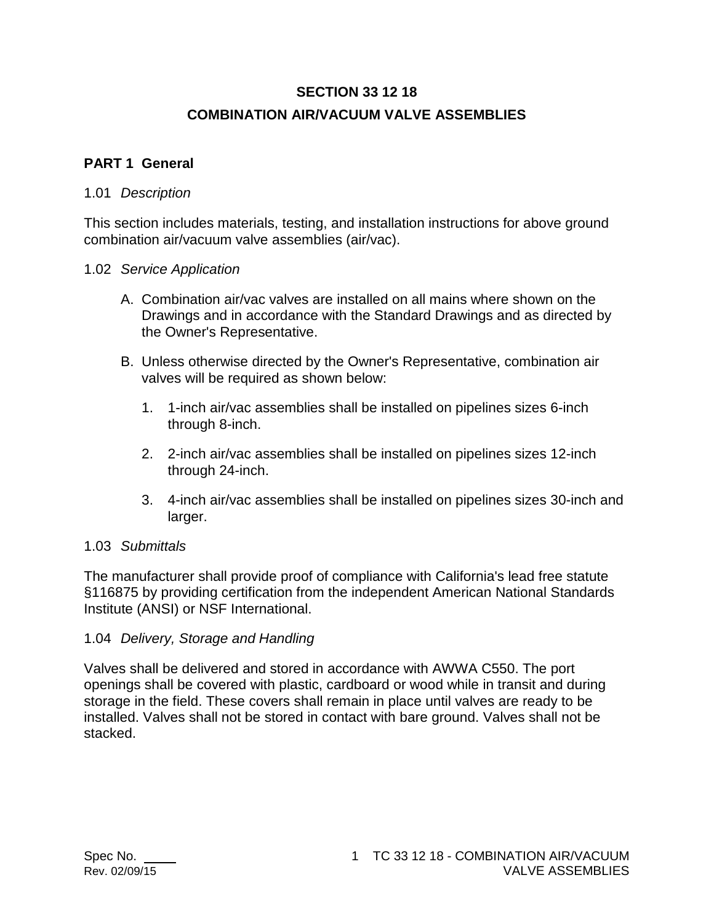# **SECTION 33 12 18 COMBINATION AIR/VACUUM VALVE ASSEMBLIES**

### **PART 1 General**

#### 1.01 *Description*

This section includes materials, testing, and installation instructions for above ground combination air/vacuum valve assemblies (air/vac).

#### 1.02 *Service Application*

- A. Combination air/vac valves are installed on all mains where shown on the Drawings and in accordance with the Standard Drawings and as directed by the Owner's Representative.
- B. Unless otherwise directed by the Owner's Representative, combination air valves will be required as shown below:
	- 1. 1-inch air/vac assemblies shall be installed on pipelines sizes 6-inch through 8-inch.
	- 2. 2-inch air/vac assemblies shall be installed on pipelines sizes 12-inch through 24-inch.
	- 3. 4-inch air/vac assemblies shall be installed on pipelines sizes 30-inch and larger.

# 1.03 *Submittals*

The manufacturer shall provide proof of compliance with California's lead free statute §116875 by providing certification from the independent American National Standards Institute (ANSI) or NSF International.

# 1.04 *Delivery, Storage and Handling*

Valves shall be delivered and stored in accordance with AWWA C550. The port openings shall be covered with plastic, cardboard or wood while in transit and during storage in the field. These covers shall remain in place until valves are ready to be installed. Valves shall not be stored in contact with bare ground. Valves shall not be stacked.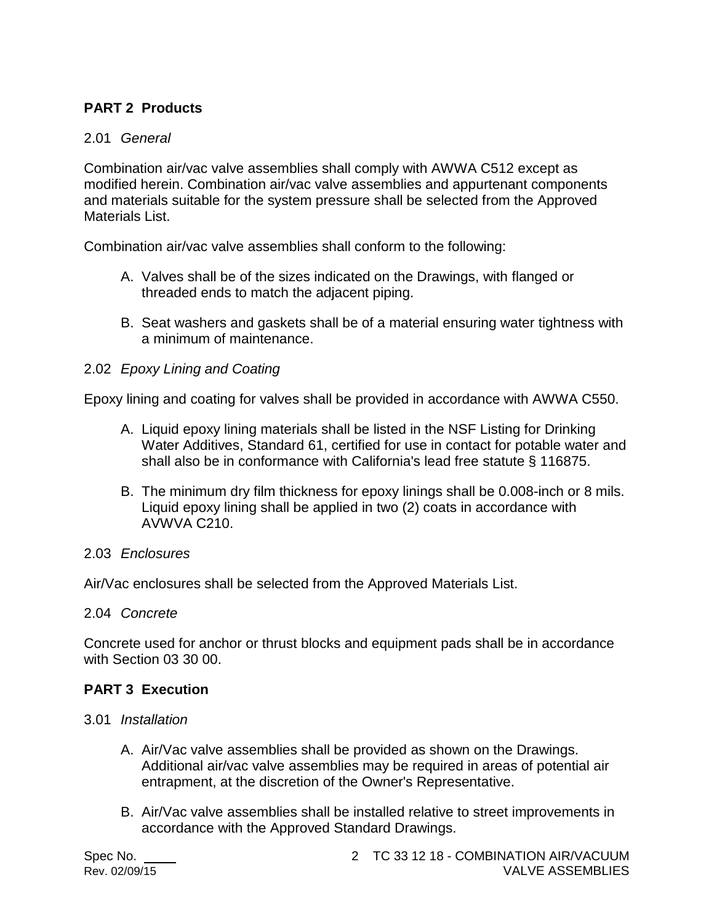# **PART 2 Products**

#### 2.01 *General*

Combination air/vac valve assemblies shall comply with AWWA C512 except as modified herein. Combination air/vac valve assemblies and appurtenant components and materials suitable for the system pressure shall be selected from the Approved Materials List.

Combination air/vac valve assemblies shall conform to the following:

- A. Valves shall be of the sizes indicated on the Drawings, with flanged or threaded ends to match the adjacent piping.
- B. Seat washers and gaskets shall be of a material ensuring water tightness with a minimum of maintenance.

### 2.02 *Epoxy Lining and Coating*

Epoxy lining and coating for valves shall be provided in accordance with AWWA C550.

- A. Liquid epoxy lining materials shall be listed in the NSF Listing for Drinking Water Additives, Standard 61, certified for use in contact for potable water and shall also be in conformance with California's lead free statute § 116875.
- B. The minimum dry film thickness for epoxy linings shall be 0.008-inch or 8 mils. Liquid epoxy lining shall be applied in two (2) coats in accordance with AVWVA C210.

#### 2.03 *Enclosures*

Air/Vac enclosures shall be selected from the Approved Materials List.

#### 2.04 *Concrete*

Concrete used for anchor or thrust blocks and equipment pads shall be in accordance with Section 03 30 00.

# **PART 3 Execution**

- 3.01 *Installation*
	- A. Air/Vac valve assemblies shall be provided as shown on the Drawings. Additional air/vac valve assemblies may be required in areas of potential air entrapment, at the discretion of the Owner's Representative.
	- B. Air/Vac valve assemblies shall be installed relative to street improvements in accordance with the Approved Standard Drawings.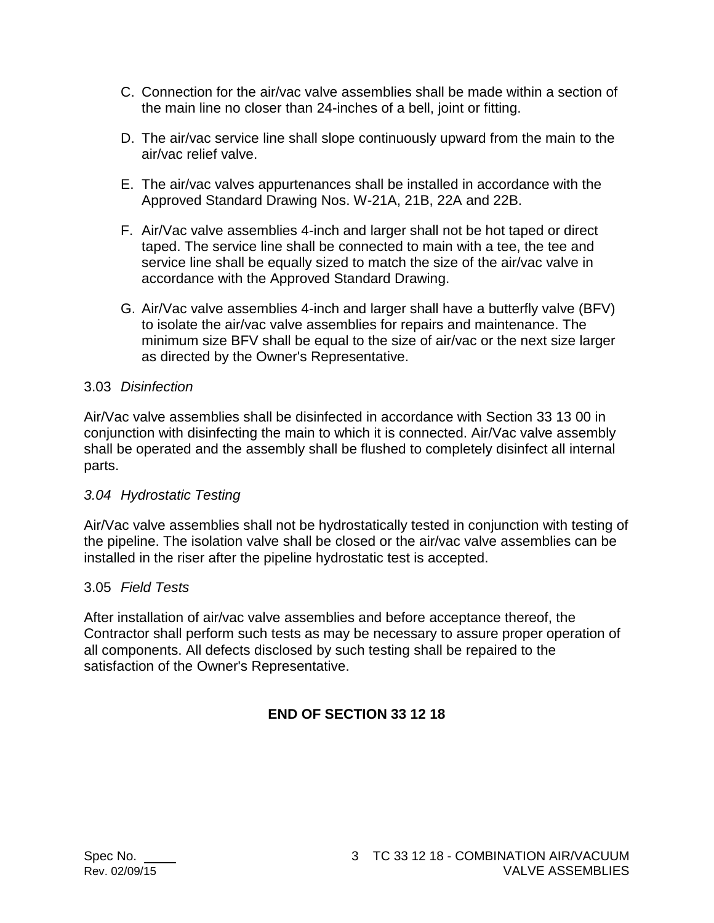- C. Connection for the air/vac valve assemblies shall be made within a section of the main line no closer than 24-inches of a bell, joint or fitting.
- D. The air/vac service line shall slope continuously upward from the main to the air/vac relief valve.
- E. The air/vac valves appurtenances shall be installed in accordance with the Approved Standard Drawing Nos. W-21A, 21B, 22A and 22B.
- F. Air/Vac valve assemblies 4-inch and larger shall not be hot taped or direct taped. The service line shall be connected to main with a tee, the tee and service line shall be equally sized to match the size of the air/vac valve in accordance with the Approved Standard Drawing.
- G. Air/Vac valve assemblies 4-inch and larger shall have a butterfly valve (BFV) to isolate the air/vac valve assemblies for repairs and maintenance. The minimum size BFV shall be equal to the size of air/vac or the next size larger as directed by the Owner's Representative.

### 3.03 *Disinfection*

Air/Vac valve assemblies shall be disinfected in accordance with Section 33 13 00 in conjunction with disinfecting the main to which it is connected. Air/Vac valve assembly shall be operated and the assembly shall be flushed to completely disinfect all internal parts.

#### *3.04 Hydrostatic Testing*

Air/Vac valve assemblies shall not be hydrostatically tested in conjunction with testing of the pipeline. The isolation valve shall be closed or the air/vac valve assemblies can be installed in the riser after the pipeline hydrostatic test is accepted.

#### 3.05 *Field Tests*

After installation of air/vac valve assemblies and before acceptance thereof, the Contractor shall perform such tests as may be necessary to assure proper operation of all components. All defects disclosed by such testing shall be repaired to the satisfaction of the Owner's Representative.

# **END OF SECTION 33 12 18**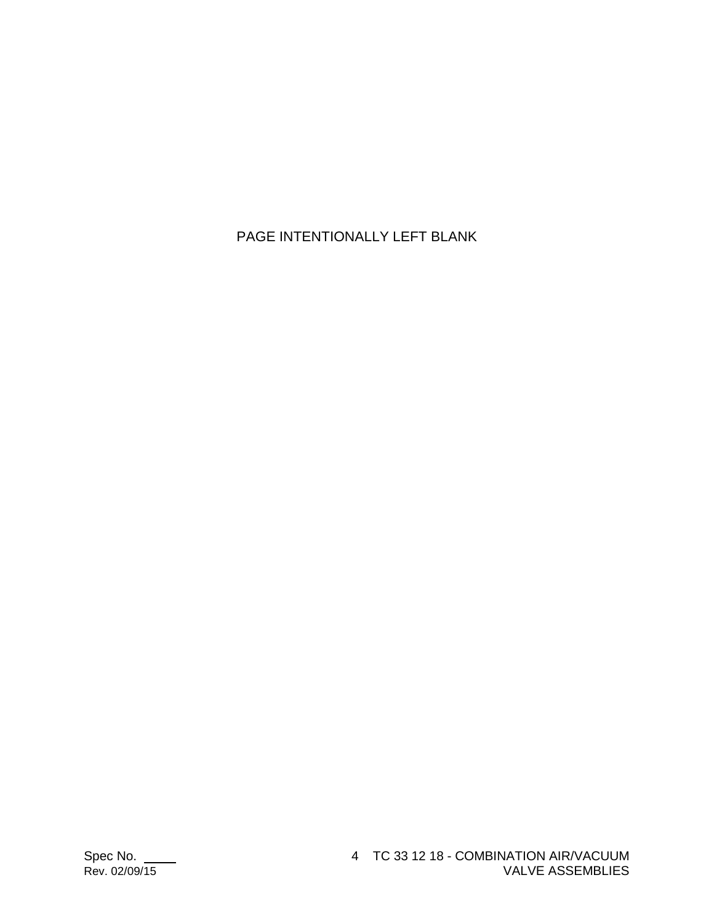PAGE INTENTIONALLY LEFT BLANK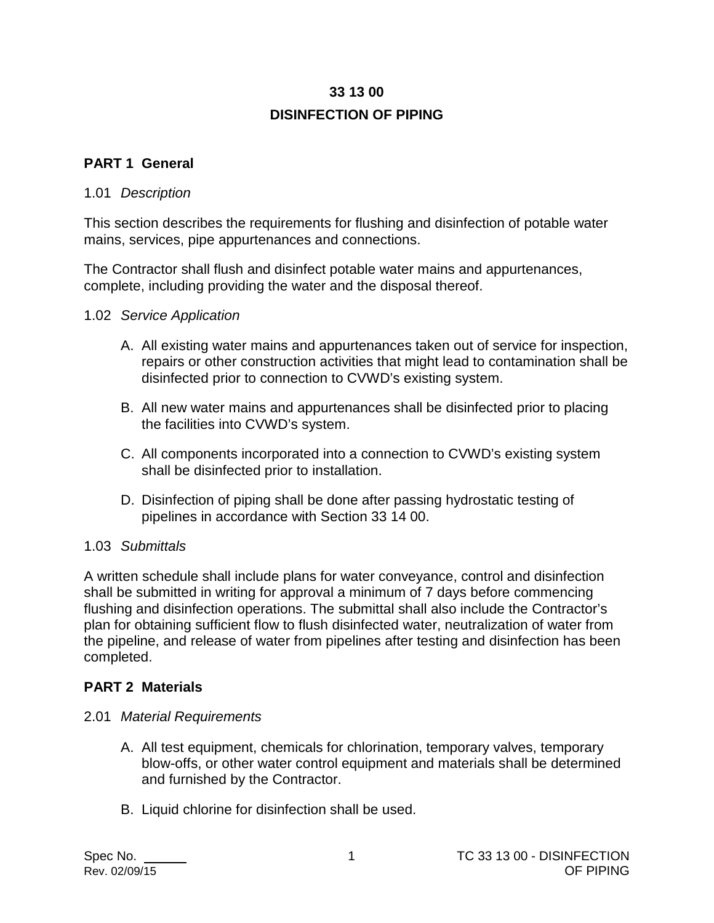# **33 13 00 DISINFECTION OF PIPING**

# **PART 1 General**

# 1.01 *Description*

This section describes the requirements for flushing and disinfection of potable water mains, services, pipe appurtenances and connections.

The Contractor shall flush and disinfect potable water mains and appurtenances, complete, including providing the water and the disposal thereof.

### 1.02 *Service Application*

- A. All existing water mains and appurtenances taken out of service for inspection, repairs or other construction activities that might lead to contamination shall be disinfected prior to connection to CVWD's existing system.
- B. All new water mains and appurtenances shall be disinfected prior to placing the facilities into CVWD's system.
- C. All components incorporated into a connection to CVWD's existing system shall be disinfected prior to installation.
- D. Disinfection of piping shall be done after passing hydrostatic testing of pipelines in accordance with Section 33 14 00.

# 1.03 *Submittals*

A written schedule shall include plans for water conveyance, control and disinfection shall be submitted in writing for approval a minimum of 7 days before commencing flushing and disinfection operations. The submittal shall also include the Contractor's plan for obtaining sufficient flow to flush disinfected water, neutralization of water from the pipeline, and release of water from pipelines after testing and disinfection has been completed.

# **PART 2 Materials**

- 2.01 *Material Requirements*
	- A. All test equipment, chemicals for chlorination, temporary valves, temporary blow-offs, or other water control equipment and materials shall be determined and furnished by the Contractor.
	- B. Liquid chlorine for disinfection shall be used.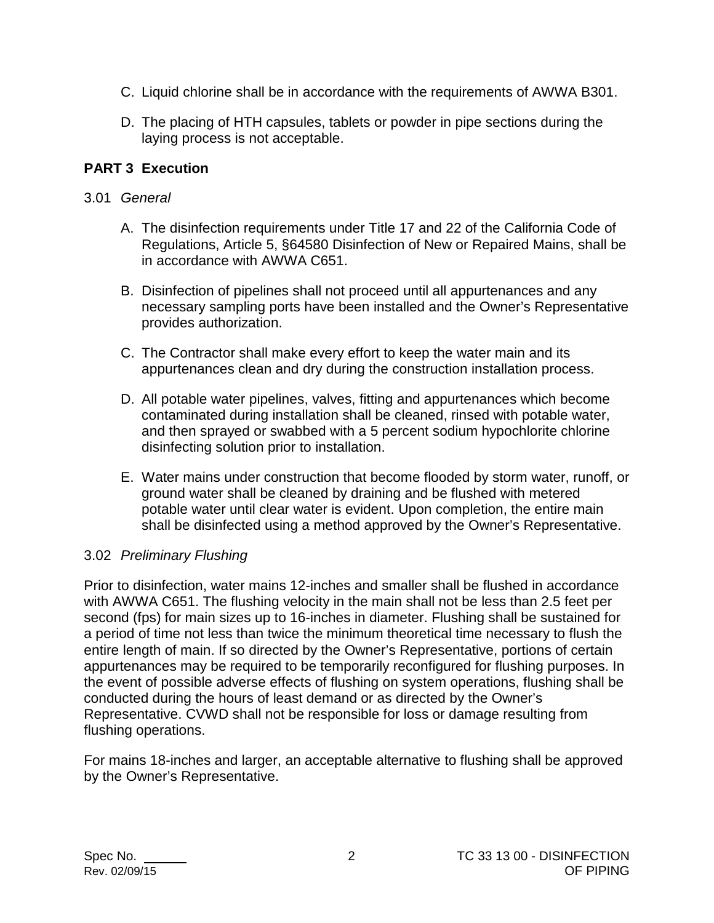- C. Liquid chlorine shall be in accordance with the requirements of AWWA B301.
- D. The placing of HTH capsules, tablets or powder in pipe sections during the laying process is not acceptable.

# **PART 3 Execution**

# 3.01 *General*

- A. The disinfection requirements under Title 17 and 22 of the California Code of Regulations, Article 5, §64580 Disinfection of New or Repaired Mains, shall be in accordance with AWWA C651.
- B. Disinfection of pipelines shall not proceed until all appurtenances and any necessary sampling ports have been installed and the Owner's Representative provides authorization.
- C. The Contractor shall make every effort to keep the water main and its appurtenances clean and dry during the construction installation process.
- D. All potable water pipelines, valves, fitting and appurtenances which become contaminated during installation shall be cleaned, rinsed with potable water, and then sprayed or swabbed with a 5 percent sodium hypochlorite chlorine disinfecting solution prior to installation.
- E. Water mains under construction that become flooded by storm water, runoff, or ground water shall be cleaned by draining and be flushed with metered potable water until clear water is evident. Upon completion, the entire main shall be disinfected using a method approved by the Owner's Representative.

# 3.02 *Preliminary Flushing*

Prior to disinfection, water mains 12-inches and smaller shall be flushed in accordance with AWWA C651. The flushing velocity in the main shall not be less than 2.5 feet per second (fps) for main sizes up to 16-inches in diameter. Flushing shall be sustained for a period of time not less than twice the minimum theoretical time necessary to flush the entire length of main. If so directed by the Owner's Representative, portions of certain appurtenances may be required to be temporarily reconfigured for flushing purposes. In the event of possible adverse effects of flushing on system operations, flushing shall be conducted during the hours of least demand or as directed by the Owner's Representative. CVWD shall not be responsible for loss or damage resulting from flushing operations.

For mains 18-inches and larger, an acceptable alternative to flushing shall be approved by the Owner's Representative.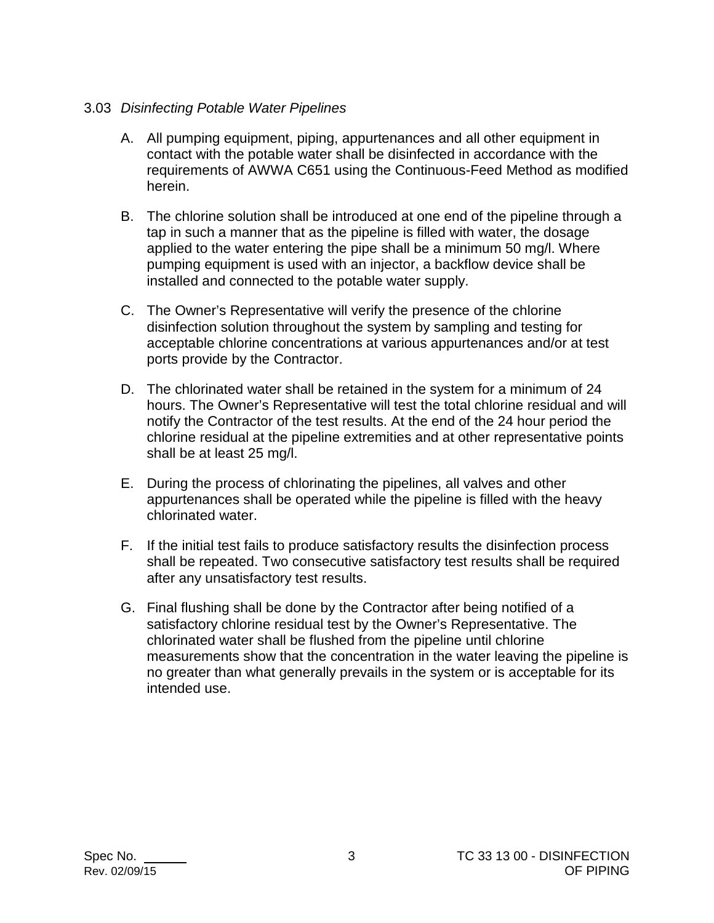### 3.03 *Disinfecting Potable Water Pipelines*

- A. All pumping equipment, piping, appurtenances and all other equipment in contact with the potable water shall be disinfected in accordance with the requirements of AWWA C651 using the Continuous-Feed Method as modified herein.
- B. The chlorine solution shall be introduced at one end of the pipeline through a tap in such a manner that as the pipeline is filled with water, the dosage applied to the water entering the pipe shall be a minimum 50 mg/l. Where pumping equipment is used with an injector, a backflow device shall be installed and connected to the potable water supply.
- C. The Owner's Representative will verify the presence of the chlorine disinfection solution throughout the system by sampling and testing for acceptable chlorine concentrations at various appurtenances and/or at test ports provide by the Contractor.
- D. The chlorinated water shall be retained in the system for a minimum of 24 hours. The Owner's Representative will test the total chlorine residual and will notify the Contractor of the test results. At the end of the 24 hour period the chlorine residual at the pipeline extremities and at other representative points shall be at least 25 mg/l.
- E. During the process of chlorinating the pipelines, all valves and other appurtenances shall be operated while the pipeline is filled with the heavy chlorinated water.
- F. If the initial test fails to produce satisfactory results the disinfection process shall be repeated. Two consecutive satisfactory test results shall be required after any unsatisfactory test results.
- G. Final flushing shall be done by the Contractor after being notified of a satisfactory chlorine residual test by the Owner's Representative. The chlorinated water shall be flushed from the pipeline until chlorine measurements show that the concentration in the water leaving the pipeline is no greater than what generally prevails in the system or is acceptable for its intended use.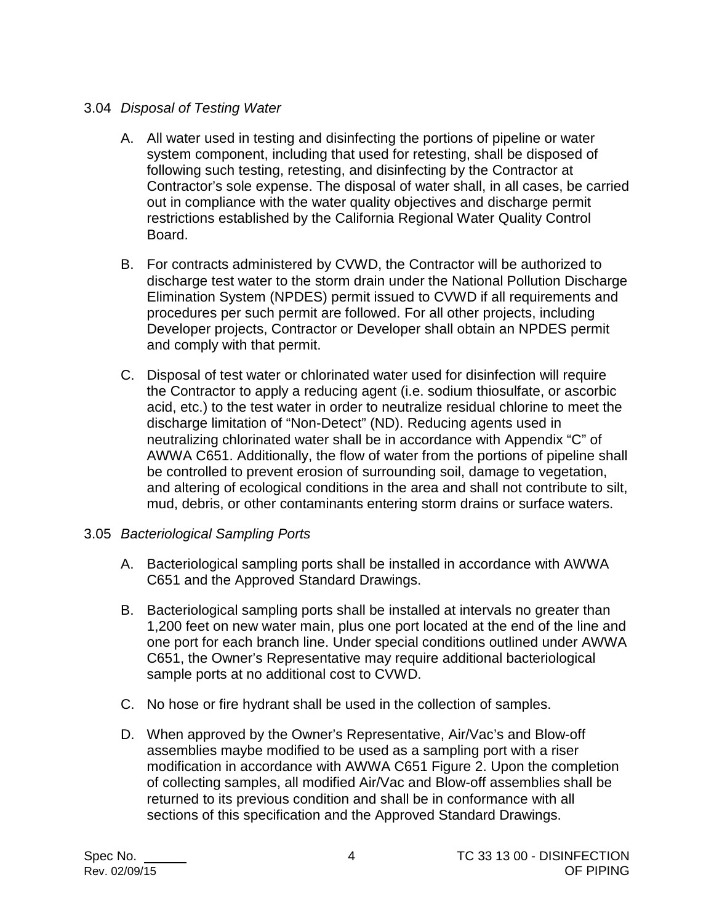# 3.04 *Disposal of Testing Water*

- A. All water used in testing and disinfecting the portions of pipeline or water system component, including that used for retesting, shall be disposed of following such testing, retesting, and disinfecting by the Contractor at Contractor's sole expense. The disposal of water shall, in all cases, be carried out in compliance with the water quality objectives and discharge permit restrictions established by the California Regional Water Quality Control Board.
- B. For contracts administered by CVWD, the Contractor will be authorized to discharge test water to the storm drain under the National Pollution Discharge Elimination System (NPDES) permit issued to CVWD if all requirements and procedures per such permit are followed. For all other projects, including Developer projects, Contractor or Developer shall obtain an NPDES permit and comply with that permit.
- C. Disposal of test water or chlorinated water used for disinfection will require the Contractor to apply a reducing agent (i.e. sodium thiosulfate, or ascorbic acid, etc.) to the test water in order to neutralize residual chlorine to meet the discharge limitation of "Non-Detect" (ND). Reducing agents used in neutralizing chlorinated water shall be in accordance with Appendix "C" of AWWA C651. Additionally, the flow of water from the portions of pipeline shall be controlled to prevent erosion of surrounding soil, damage to vegetation, and altering of ecological conditions in the area and shall not contribute to silt, mud, debris, or other contaminants entering storm drains or surface waters.
- 3.05 *Bacteriological Sampling Ports*
	- A. Bacteriological sampling ports shall be installed in accordance with AWWA C651 and the Approved Standard Drawings.
	- B. Bacteriological sampling ports shall be installed at intervals no greater than 1,200 feet on new water main, plus one port located at the end of the line and one port for each branch line. Under special conditions outlined under AWWA C651, the Owner's Representative may require additional bacteriological sample ports at no additional cost to CVWD.
	- C. No hose or fire hydrant shall be used in the collection of samples.
	- D. When approved by the Owner's Representative, Air/Vac's and Blow-off assemblies maybe modified to be used as a sampling port with a riser modification in accordance with AWWA C651 Figure 2. Upon the completion of collecting samples, all modified Air/Vac and Blow-off assemblies shall be returned to its previous condition and shall be in conformance with all sections of this specification and the Approved Standard Drawings.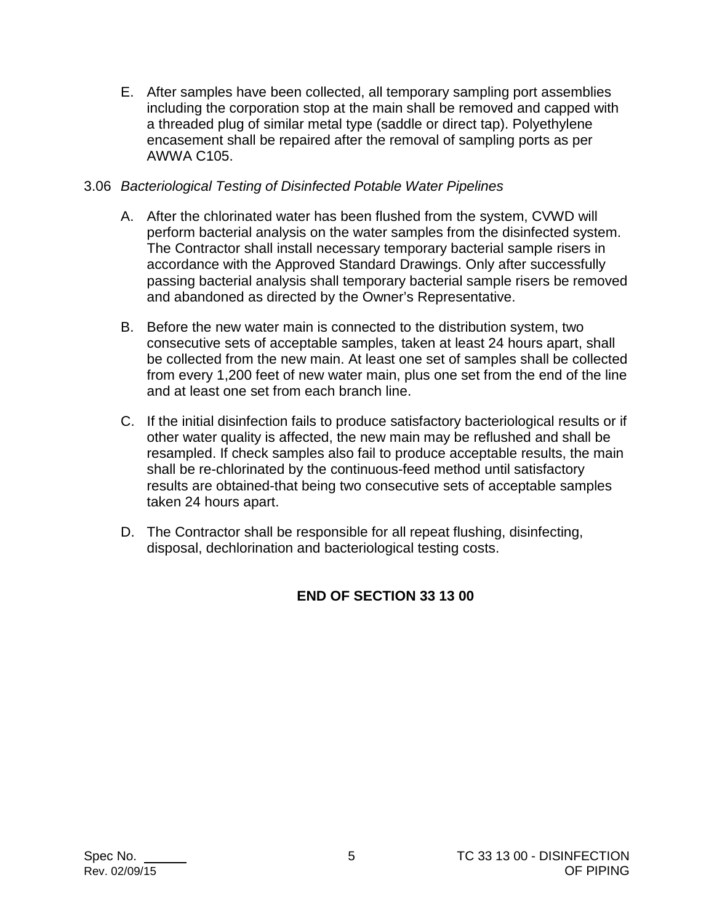E. After samples have been collected, all temporary sampling port assemblies including the corporation stop at the main shall be removed and capped with a threaded plug of similar metal type (saddle or direct tap). Polyethylene encasement shall be repaired after the removal of sampling ports as per AWWA C105.

# 3.06 *Bacteriological Testing of Disinfected Potable Water Pipelines*

- A. After the chlorinated water has been flushed from the system, CVWD will perform bacterial analysis on the water samples from the disinfected system. The Contractor shall install necessary temporary bacterial sample risers in accordance with the Approved Standard Drawings. Only after successfully passing bacterial analysis shall temporary bacterial sample risers be removed and abandoned as directed by the Owner's Representative.
- B. Before the new water main is connected to the distribution system, two consecutive sets of acceptable samples, taken at least 24 hours apart, shall be collected from the new main. At least one set of samples shall be collected from every 1,200 feet of new water main, plus one set from the end of the line and at least one set from each branch line.
- C. If the initial disinfection fails to produce satisfactory bacteriological results or if other water quality is affected, the new main may be reflushed and shall be resampled. If check samples also fail to produce acceptable results, the main shall be re-chlorinated by the continuous-feed method until satisfactory results are obtained-that being two consecutive sets of acceptable samples taken 24 hours apart.
- D. The Contractor shall be responsible for all repeat flushing, disinfecting, disposal, dechlorination and bacteriological testing costs.

# **END OF SECTION 33 13 00**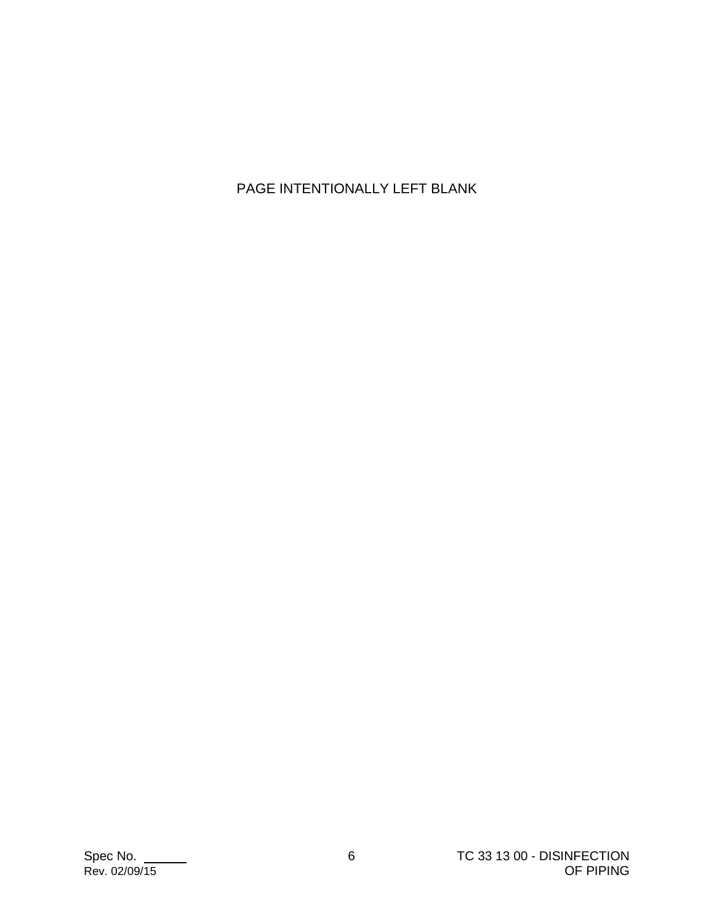PAGE INTENTIONALLY LEFT BLANK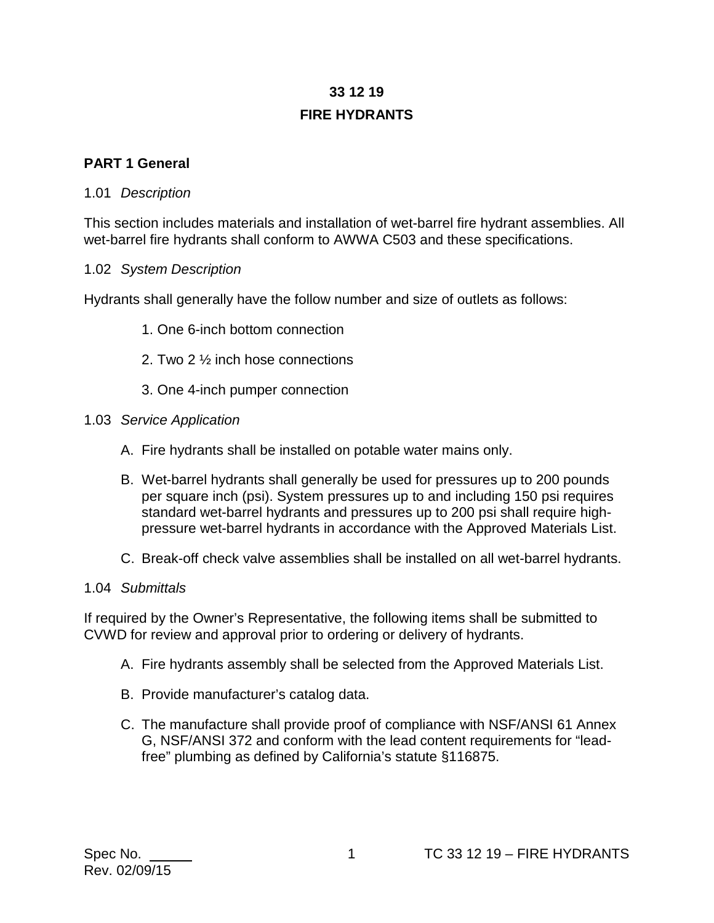# **33 12 19 FIRE HYDRANTS**

### **PART 1 General**

#### 1.01 *Description*

This section includes materials and installation of wet-barrel fire hydrant assemblies. All wet-barrel fire hydrants shall conform to AWWA C503 and these specifications.

#### 1.02 *System Description*

Hydrants shall generally have the follow number and size of outlets as follows:

- 1. One 6-inch bottom connection
- 2. Two 2 ½ inch hose connections
- 3. One 4-inch pumper connection

#### 1.03 *Service Application*

- A. Fire hydrants shall be installed on potable water mains only.
- B. Wet-barrel hydrants shall generally be used for pressures up to 200 pounds per square inch (psi). System pressures up to and including 150 psi requires standard wet-barrel hydrants and pressures up to 200 psi shall require highpressure wet-barrel hydrants in accordance with the Approved Materials List.
- C. Break-off check valve assemblies shall be installed on all wet-barrel hydrants.

#### 1.04 *Submittals*

If required by the Owner's Representative, the following items shall be submitted to CVWD for review and approval prior to ordering or delivery of hydrants.

- A. Fire hydrants assembly shall be selected from the Approved Materials List.
- B. Provide manufacturer's catalog data.
- C. The manufacture shall provide proof of compliance with NSF/ANSI 61 Annex G, NSF/ANSI 372 and conform with the lead content requirements for "leadfree" plumbing as defined by California's statute §116875.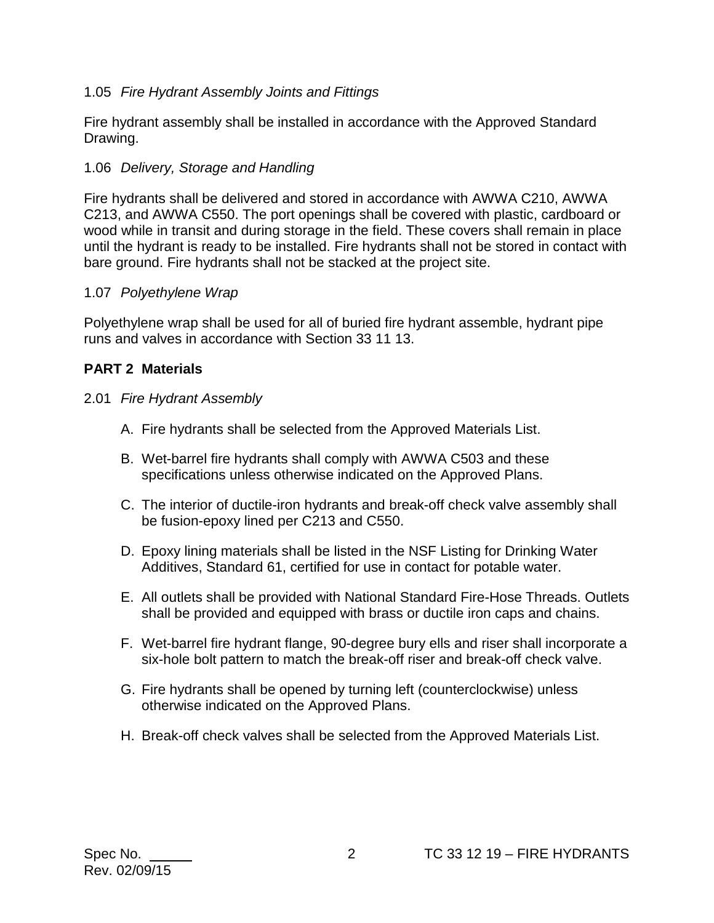# 1.05 *Fire Hydrant Assembly Joints and Fittings*

Fire hydrant assembly shall be installed in accordance with the Approved Standard Drawing.

# 1.06 *Delivery, Storage and Handling*

Fire hydrants shall be delivered and stored in accordance with AWWA C210, AWWA C213, and AWWA C550. The port openings shall be covered with plastic, cardboard or wood while in transit and during storage in the field. These covers shall remain in place until the hydrant is ready to be installed. Fire hydrants shall not be stored in contact with bare ground. Fire hydrants shall not be stacked at the project site.

# 1.07 *Polyethylene Wrap*

Polyethylene wrap shall be used for all of buried fire hydrant assemble, hydrant pipe runs and valves in accordance with Section 33 11 13.

# **PART 2 Materials**

- 2.01 *Fire Hydrant Assembly*
	- A. Fire hydrants shall be selected from the Approved Materials List.
	- B. Wet-barrel fire hydrants shall comply with AWWA C503 and these specifications unless otherwise indicated on the Approved Plans.
	- C. The interior of ductile-iron hydrants and break-off check valve assembly shall be fusion-epoxy lined per C213 and C550.
	- D. Epoxy lining materials shall be listed in the NSF Listing for Drinking Water Additives, Standard 61, certified for use in contact for potable water.
	- E. All outlets shall be provided with National Standard Fire-Hose Threads. Outlets shall be provided and equipped with brass or ductile iron caps and chains.
	- F. Wet-barrel fire hydrant flange, 90-degree bury ells and riser shall incorporate a six-hole bolt pattern to match the break-off riser and break-off check valve.
	- G. Fire hydrants shall be opened by turning left (counterclockwise) unless otherwise indicated on the Approved Plans.
	- H. Break-off check valves shall be selected from the Approved Materials List.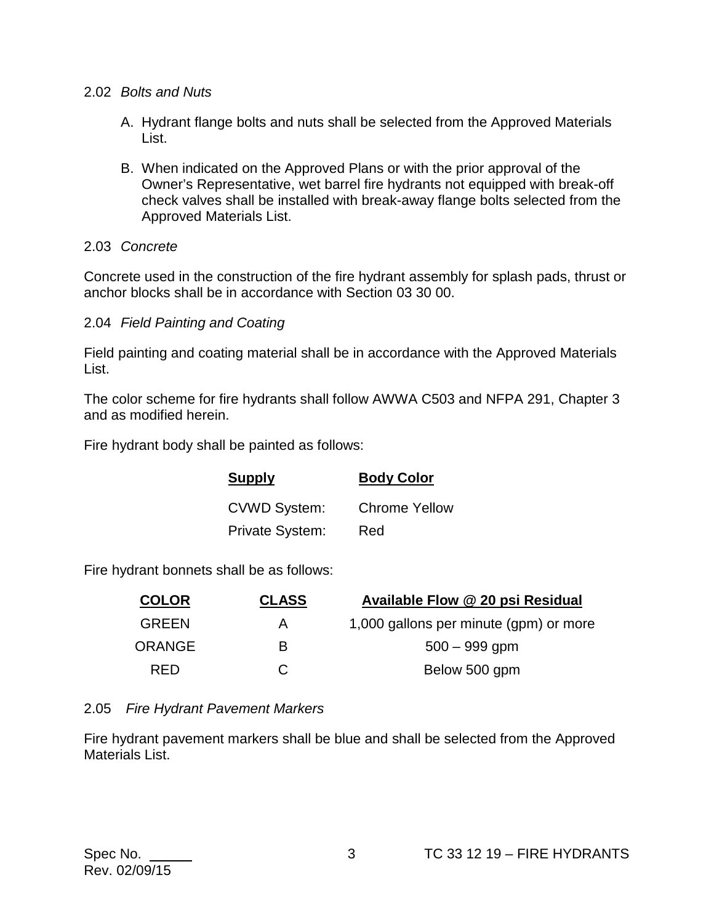#### 2.02 *Bolts and Nuts*

- A. Hydrant flange bolts and nuts shall be selected from the Approved Materials List.
- B. When indicated on the Approved Plans or with the prior approval of the Owner's Representative, wet barrel fire hydrants not equipped with break-off check valves shall be installed with break-away flange bolts selected from the Approved Materials List.

# 2.03 *Concrete*

Concrete used in the construction of the fire hydrant assembly for splash pads, thrust or anchor blocks shall be in accordance with Section 03 30 00.

# 2.04 *Field Painting and Coating*

Field painting and coating material shall be in accordance with the Approved Materials List.

The color scheme for fire hydrants shall follow AWWA C503 and NFPA 291, Chapter 3 and as modified herein.

**Body Color**

Fire hydrant body shall be painted as follows:

**Supply**

| $U$                    | <b>DUUY UUIUI</b>    |
|------------------------|----------------------|
| <b>CVWD System:</b>    | <b>Chrome Yellow</b> |
| <b>Private System:</b> | Red                  |

Fire hydrant bonnets shall be as follows:

| <b>COLOR</b>  | <b>CLASS</b> | Available Flow @ 20 psi Residual       |
|---------------|--------------|----------------------------------------|
| <b>GREEN</b>  | A            | 1,000 gallons per minute (gpm) or more |
| <b>ORANGE</b> | В            | $500 - 999$ gpm                        |
| <b>RFD</b>    | C.           | Below 500 gpm                          |

# 2.05 *Fire Hydrant Pavement Markers*

Fire hydrant pavement markers shall be blue and shall be selected from the Approved Materials List.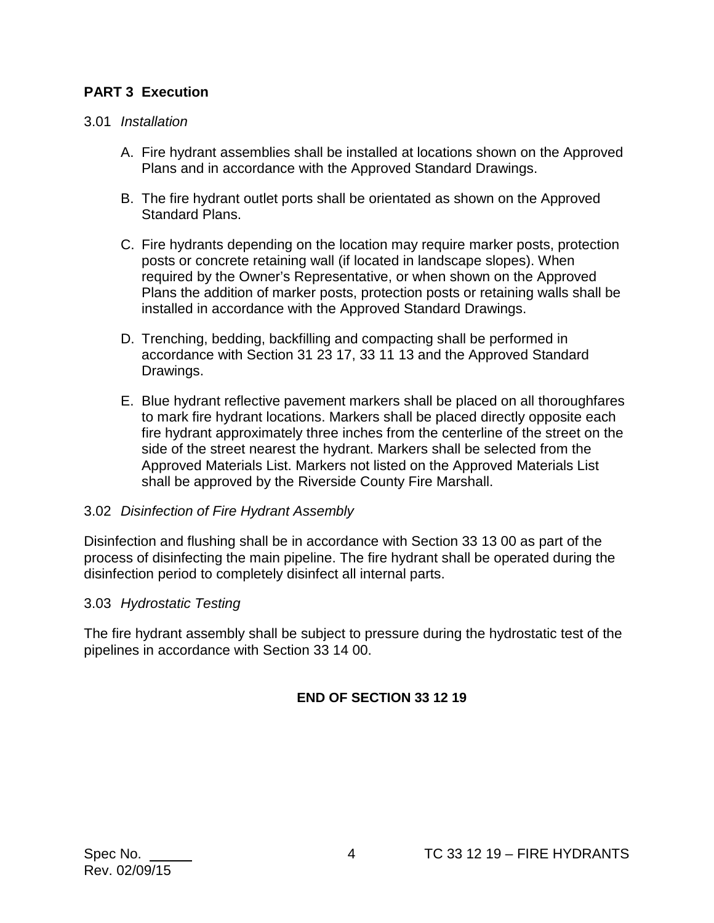# **PART 3 Execution**

#### 3.01 *Installation*

- A. Fire hydrant assemblies shall be installed at locations shown on the Approved Plans and in accordance with the Approved Standard Drawings.
- B. The fire hydrant outlet ports shall be orientated as shown on the Approved Standard Plans.
- C. Fire hydrants depending on the location may require marker posts, protection posts or concrete retaining wall (if located in landscape slopes). When required by the Owner's Representative, or when shown on the Approved Plans the addition of marker posts, protection posts or retaining walls shall be installed in accordance with the Approved Standard Drawings.
- D. Trenching, bedding, backfilling and compacting shall be performed in accordance with Section 31 23 17, 33 11 13 and the Approved Standard Drawings.
- E. Blue hydrant reflective pavement markers shall be placed on all thoroughfares to mark fire hydrant locations. Markers shall be placed directly opposite each fire hydrant approximately three inches from the centerline of the street on the side of the street nearest the hydrant. Markers shall be selected from the Approved Materials List. Markers not listed on the Approved Materials List shall be approved by the Riverside County Fire Marshall.

#### 3.02 *Disinfection of Fire Hydrant Assembly*

Disinfection and flushing shall be in accordance with Section 33 13 00 as part of the process of disinfecting the main pipeline. The fire hydrant shall be operated during the disinfection period to completely disinfect all internal parts.

#### 3.03 *Hydrostatic Testing*

The fire hydrant assembly shall be subject to pressure during the hydrostatic test of the pipelines in accordance with Section 33 14 00.

# **END OF SECTION 33 12 19**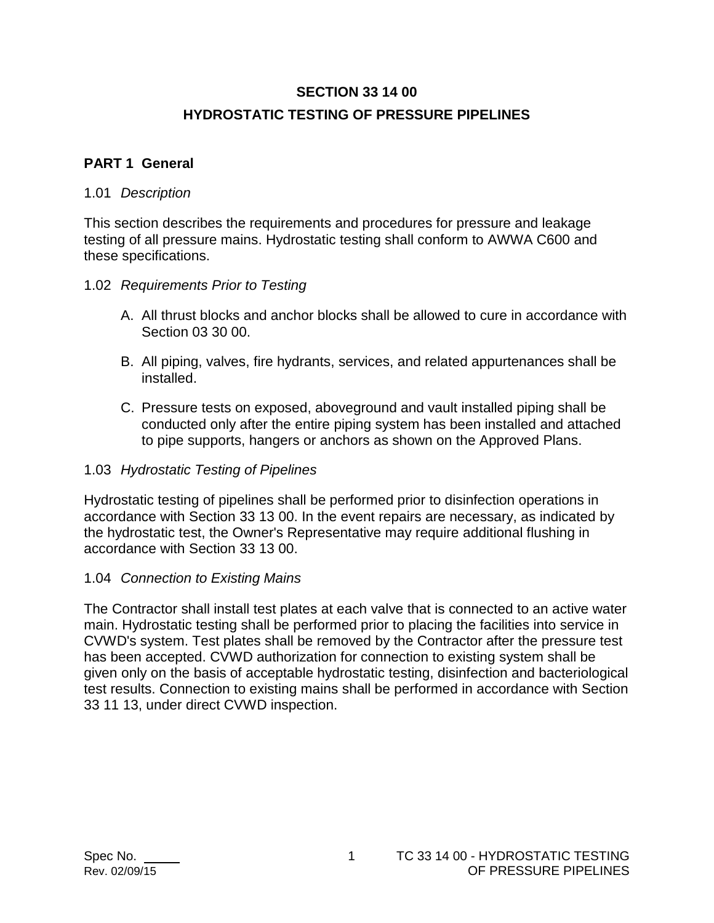# **SECTION 33 14 00 HYDROSTATIC TESTING OF PRESSURE PIPELINES**

### **PART 1 General**

#### 1.01 *Description*

This section describes the requirements and procedures for pressure and leakage testing of all pressure mains. Hydrostatic testing shall conform to AWWA C600 and these specifications.

#### 1.02 *Requirements Prior to Testing*

- A. All thrust blocks and anchor blocks shall be allowed to cure in accordance with Section 03 30 00.
- B. All piping, valves, fire hydrants, services, and related appurtenances shall be installed.
- C. Pressure tests on exposed, aboveground and vault installed piping shall be conducted only after the entire piping system has been installed and attached to pipe supports, hangers or anchors as shown on the Approved Plans.

### 1.03 *Hydrostatic Testing of Pipelines*

Hydrostatic testing of pipelines shall be performed prior to disinfection operations in accordance with Section 33 13 00. In the event repairs are necessary, as indicated by the hydrostatic test, the Owner's Representative may require additional flushing in accordance with Section 33 13 00.

### 1.04 *Connection to Existing Mains*

The Contractor shall install test plates at each valve that is connected to an active water main. Hydrostatic testing shall be performed prior to placing the facilities into service in CVWD's system. Test plates shall be removed by the Contractor after the pressure test has been accepted. CVWD authorization for connection to existing system shall be given only on the basis of acceptable hydrostatic testing, disinfection and bacteriological test results. Connection to existing mains shall be performed in accordance with Section 33 11 13, under direct CVWD inspection.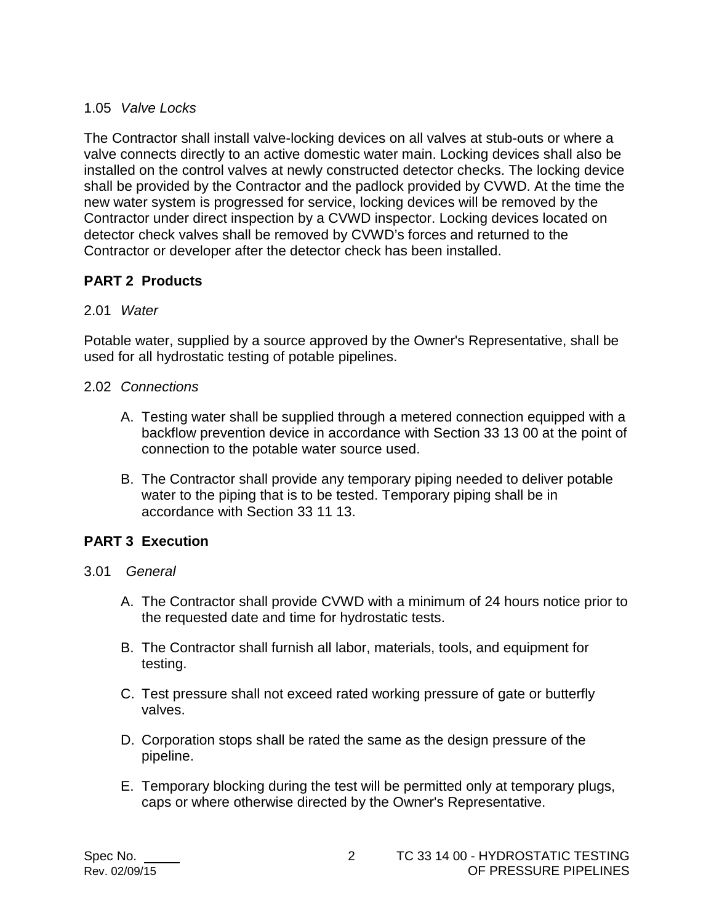### 1.05 *Valve Locks*

The Contractor shall install valve-locking devices on all valves at stub-outs or where a valve connects directly to an active domestic water main. Locking devices shall also be installed on the control valves at newly constructed detector checks. The locking device shall be provided by the Contractor and the padlock provided by CVWD. At the time the new water system is progressed for service, locking devices will be removed by the Contractor under direct inspection by a CVWD inspector. Locking devices located on detector check valves shall be removed by CVWD's forces and returned to the Contractor or developer after the detector check has been installed.

## **PART 2 Products**

### 2.01 *Water*

Potable water, supplied by a source approved by the Owner's Representative, shall be used for all hydrostatic testing of potable pipelines.

### 2.02 *Connections*

- A. Testing water shall be supplied through a metered connection equipped with a backflow prevention device in accordance with Section 33 13 00 at the point of connection to the potable water source used.
- B. The Contractor shall provide any temporary piping needed to deliver potable water to the piping that is to be tested. Temporary piping shall be in accordance with Section 33 11 13.

## **PART 3 Execution**

### 3.01 *General*

- A. The Contractor shall provide CVWD with a minimum of 24 hours notice prior to the requested date and time for hydrostatic tests.
- B. The Contractor shall furnish all labor, materials, tools, and equipment for testing.
- C. Test pressure shall not exceed rated working pressure of gate or butterfly valves.
- D. Corporation stops shall be rated the same as the design pressure of the pipeline.
- E. Temporary blocking during the test will be permitted only at temporary plugs, caps or where otherwise directed by the Owner's Representative.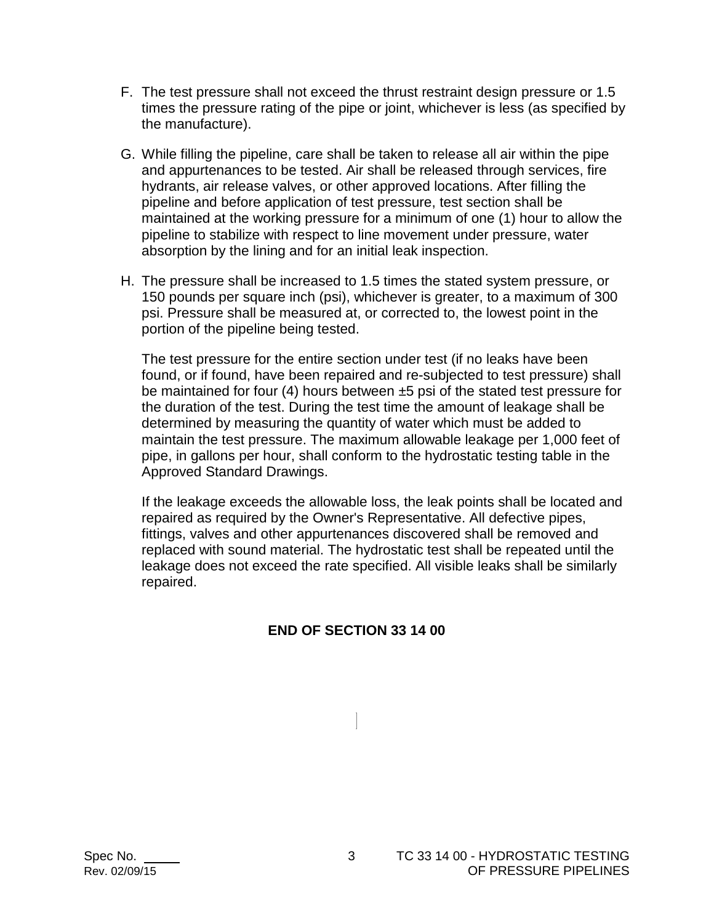- F. The test pressure shall not exceed the thrust restraint design pressure or 1.5 times the pressure rating of the pipe or joint, whichever is less (as specified by the manufacture).
- G. While filling the pipeline, care shall be taken to release all air within the pipe and appurtenances to be tested. Air shall be released through services, fire hydrants, air release valves, or other approved locations. After filling the pipeline and before application of test pressure, test section shall be maintained at the working pressure for a minimum of one (1) hour to allow the pipeline to stabilize with respect to line movement under pressure, water absorption by the lining and for an initial leak inspection.
- H. The pressure shall be increased to 1.5 times the stated system pressure, or 150 pounds per square inch (psi), whichever is greater, to a maximum of 300 psi. Pressure shall be measured at, or corrected to, the lowest point in the portion of the pipeline being tested.

The test pressure for the entire section under test (if no leaks have been found, or if found, have been repaired and re-subjected to test pressure) shall be maintained for four (4) hours between ±5 psi of the stated test pressure for the duration of the test. During the test time the amount of leakage shall be determined by measuring the quantity of water which must be added to maintain the test pressure. The maximum allowable leakage per 1,000 feet of pipe, in gallons per hour, shall conform to the hydrostatic testing table in the Approved Standard Drawings.

If the leakage exceeds the allowable loss, the leak points shall be located and repaired as required by the Owner's Representative. All defective pipes, fittings, valves and other appurtenances discovered shall be removed and replaced with sound material. The hydrostatic test shall be repeated until the leakage does not exceed the rate specified. All visible leaks shall be similarly repaired.

### **END OF SECTION 33 14 00**